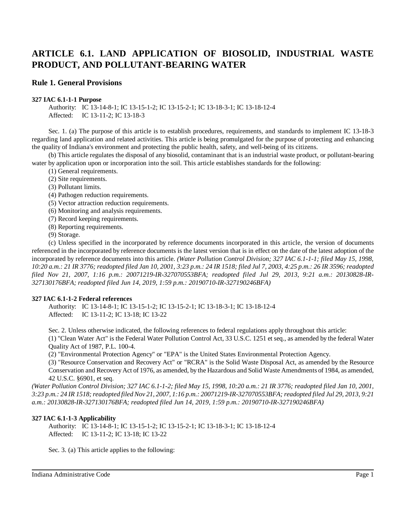## **Rule 1. General Provisions**

#### **327 IAC 6.1-1-1 Purpose**

Authority: IC 13-14-8-1; IC 13-15-1-2; IC 13-15-2-1; IC 13-18-3-1; IC 13-18-12-4 Affected: IC 13-11-2; IC 13-18-3

Sec. 1. (a) The purpose of this article is to establish procedures, requirements, and standards to implement IC 13-18-3 regarding land application and related activities. This article is being promulgated for the purpose of protecting and enhancing the quality of Indiana's environment and protecting the public health, safety, and well-being of its citizens.

(b) This article regulates the disposal of any biosolid, contaminant that is an industrial waste product, or pollutant-bearing water by application upon or incorporation into the soil. This article establishes standards for the following:

- (1) General requirements.
- (2) Site requirements.
- (3) Pollutant limits.
- (4) Pathogen reduction requirements.
- (5) Vector attraction reduction requirements.
- (6) Monitoring and analysis requirements.
- (7) Record keeping requirements.
- (8) Reporting requirements.
- (9) Storage.

(c) Unless specified in the incorporated by reference documents incorporated in this article, the version of documents referenced in the incorporated by reference documents is the latest version that is in effect on the date of the latest adoption of the incorporated by reference documents into this article. *(Water Pollution Control Division; 327 IAC 6.1-1-1; filed May 15, 1998,* 10:20 a.m.: 21 IR 3776; readopted filed Jan 10, 2001, 3:23 p.m.: 24 IR 1518; filed Jul 7, 2003, 4:25 p.m.: 26 IR 3596; readopted *filed Nov 21, 2007, 1:16 p.m.: 20071219-IR-327070553BFA; readopted filed Jul 29, 2013, 9:21 a.m.: 20130828-IR-327130176BFA; readopted filed Jun 14, 2019, 1:59 p.m.: 20190710-IR-327190246BFA)*

## **327 IAC 6.1-1-2 Federal references**

Authority: IC 13-14-8-1; IC 13-15-1-2; IC 13-15-2-1; IC 13-18-3-1; IC 13-18-12-4 Affected: IC 13-11-2; IC 13-18; IC 13-22

Sec. 2. Unless otherwise indicated, the following references to federal regulations apply throughout this article: (1) "Clean Water Act" is the Federal Water Pollution Control Act, 33 U.S.C. 1251 et seq., as amended by the federal Water Quality Act of 1987, P.L. 100-4.

(2) "Environmental Protection Agency" or "EPA" is the United States Environmental Protection Agency.

(3) "Resource Conservation and Recovery Act" or "RCRA" is the Solid Waste Disposal Act, as amended by the Resource Conservation and RecoveryAct of 1976, as amended, by the Hazardous and Solid Waste Amendments of 1984, as amended,

42 U.S.C. §6901, et seq.

(Water Pollution Control Division; 327 IAC 6.1-1-2; filed May 15, 1998, 10:20 a.m.: 21 IR 3776; readopted filed Jan 10, 2001, 3:23 p.m.: 24 IR 1518; readopted filed Nov 21, 2007, 1:16 p.m.: 20071219-IR-327070553BFA; readopted filed Jul 29, 2013, 9:21 *a.m.: 20130828-IR-327130176BFA; readopted filed Jun 14, 2019, 1:59 p.m.: 20190710-IR-327190246BFA)*

## **327 IAC 6.1-1-3 Applicability**

Authority: IC 13-14-8-1; IC 13-15-1-2; IC 13-15-2-1; IC 13-18-3-1; IC 13-18-12-4 Affected: IC 13-11-2; IC 13-18; IC 13-22

Sec. 3. (a) This article applies to the following: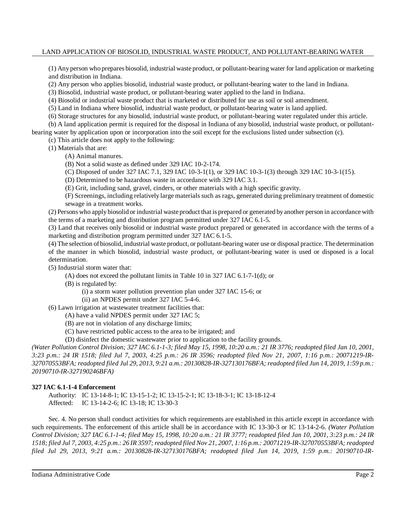(1) Any person who prepares biosolid, industrial waste product, or pollutant-bearing water for land application or marketing and distribution in Indiana.

(2) Any person who applies biosolid, industrial waste product, or pollutant-bearing water to the land in Indiana.

(3) Biosolid, industrial waste product, or pollutant-bearing water applied to the land in Indiana.

(4) Biosolid or industrial waste product that is marketed or distributed for use as soil or soil amendment.

(5) Land in Indiana where biosolid, industrial waste product, or pollutant-bearing water is land applied.

(6) Storage structures for any biosolid, industrial waste product, or pollutant-bearing water regulated under this article.

(b) A land application permit is required for the disposal in Indiana of any biosolid, industrial waste product, or pollutantbearing water by application upon or incorporation into the soil except for the exclusions listed under subsection (c).

(c) This article does not apply to the following:

(1) Materials that are:

- (A) Animal manures.
- (B) Not a solid waste as defined under 329 IAC 10-2-174.
- (C) Disposed of under 327 IAC 7.1, 329 IAC 10-3-1(1), or 329 IAC 10-3-1(3) through 329 IAC 10-3-1(15).
- (D) Determined to be hazardous waste in accordance with 329 IAC 3.1.

(E) Grit, including sand, gravel, cinders, or other materials with a high specific gravity.

(F) Screenings, including relatively large materials such as rags, generated during preliminary treatment of domestic sewage in a treatment works.

(2) Persons who apply biosolid or industrial waste product that is prepared or generated byanother person in accordance with the terms of a marketing and distribution program permitted under 327 IAC 6.1-5.

(3) Land that receives only biosolid or industrial waste product prepared or generated in accordance with the terms of a marketing and distribution program permitted under 327 IAC 6.1-5.

(4) The selection of biosolid, industrial waste product, or pollutant-bearing water use or disposal practice. The determination of the manner in which biosolid, industrial waste product, or pollutant-bearing water is used or disposed is a local determination.

(5) Industrial storm water that:

(A) does not exceed the pollutant limits in Table 10 in 327 IAC 6.1-7-1(d); or

(B) is regulated by:

- (i) a storm water pollution prevention plan under 327 IAC 15-6; or
- (ii) an NPDES permit under 327 IAC 5-4-6.

(6) Lawn irrigation at wastewater treatment facilities that:

- (A) have a valid NPDES permit under 327 IAC 5;
- (B) are not in violation of any discharge limits;
- (C) have restricted public access to the area to be irrigated; and

(D) disinfect the domestic wastewater prior to application to the facility grounds.

(Water Pollution Control Division; 327 IAC 6.1-1-3; filed May 15, 1998, 10:20 a.m.: 21 IR 3776; readopted filed Jan 10, 2001, 3:23 p.m.: 24 IR 1518; filed Jul 7, 2003, 4:25 p.m.: 26 IR 3596; readopted filed Nov 21, 2007, 1:16 p.m.: 20071219-IR-327070553BFA; readopted filed Jul 29, 2013, 9:21 a.m.: 20130828-IR-327130176BFA; readopted filed Jun 14, 2019, 1:59 p.m.: *20190710-IR-327190246BFA)*

## **327 IAC 6.1-1-4 Enforcement**

Authority: IC 13-14-8-1; IC 13-15-1-2; IC 13-15-2-1; IC 13-18-3-1; IC 13-18-12-4 Affected: IC 13-14-2-6; IC 13-18; IC 13-30-3

Sec. 4. No person shall conduct activities for which requirements are established in this article except in accordance with such requirements. The enforcement of this article shall be in accordance with IC 13-30-3 or IC 13-14-2-6. *(Water Pollution* Control Division; 327 IAC 6.1-1-4; filed May 15, 1998, 10:20 a.m.: 21 IR 3777; readopted filed Jan 10, 2001, 3:23 p.m.: 24 IR 1518; filed Jul 7, 2003, 4:25 p.m.: 26 IR 3597; readopted filed Nov 21, 2007, 1:16 p.m.: 20071219-IR-327070553BFA; readopted *filed Jul 29, 2013, 9:21 a.m.: 20130828-IR-327130176BFA; readopted filed Jun 14, 2019, 1:59 p.m.: 20190710-IR-*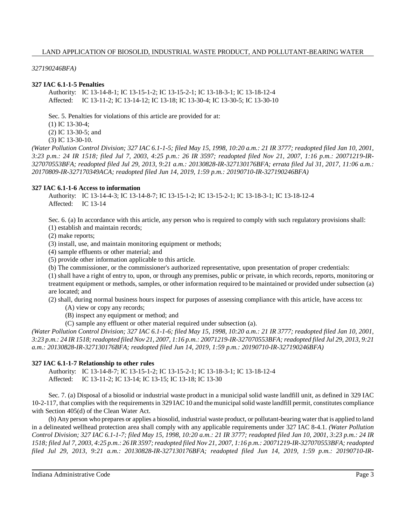*327190246BFA)*

## **327 IAC 6.1-1-5 Penalties**

Authority: IC 13-14-8-1; IC 13-15-1-2; IC 13-15-2-1; IC 13-18-3-1; IC 13-18-12-4 Affected: IC 13-11-2; IC 13-14-12; IC 13-18; IC 13-30-4; IC 13-30-5; IC 13-30-10

Sec. 5. Penalties for violations of this article are provided for at:

(1) IC 13-30-4;

(2) IC 13-30-5; and

(3) IC 13-30-10.

(Water Pollution Control Division; 327 IAC 6.1-1-5; filed May 15, 1998, 10:20 a.m.: 21 IR 3777; readopted filed Jan 10, 2001, *3:23 p.m.: 24 IR 1518; filed Jul 7, 2003, 4:25 p.m.: 26 IR 3597; readopted filed Nov 21, 2007, 1:16 p.m.: 20071219-IR-327070553BFA; readopted filed Jul 29, 2013, 9:21 a.m.: 20130828-IR-327130176BFA; errata filed Jul 31, 2017, 11:06 a.m.: 20170809-IR-327170349ACA; readopted filed Jun 14, 2019, 1:59 p.m.: 20190710-IR-327190246BFA)*

## **327 IAC 6.1-1-6 Access to information**

Authority: IC 13-14-4-3; IC 13-14-8-7; IC 13-15-1-2; IC 13-15-2-1; IC 13-18-3-1; IC 13-18-12-4 Affected: IC 13-14

Sec. 6. (a) In accordance with this article, any person who is required to comply with such regulatory provisions shall: (1) establish and maintain records;

(2) make reports;

(3) install, use, and maintain monitoring equipment or methods;

(4) sample effluents or other material; and

(5) provide other information applicable to this article.

(b) The commissioner, or the commissioner's authorized representative, upon presentation of proper credentials:

(1) shall have a right of entry to, upon, or through any premises, public or private, in which records, reports, monitoring or treatment equipment or methods, samples, or other information required to be maintained or provided under subsection (a) are located; and

(2) shall, during normal business hours inspect for purposes of assessing compliance with this article, have access to:

(A) view or copy any records;

(B) inspect any equipment or method; and

(C) sample any effluent or other material required under subsection (a).

(Water Pollution Control Division; 327 IAC 6.1-1-6; filed May 15, 1998, 10:20 a.m.: 21 IR 3777; readopted filed Jan 10, 2001, 3:23 p.m.: 24 IR 1518; readopted filed Nov 21, 2007, 1:16 p.m.: 20071219-IR-327070553BFA; readopted filed Jul 29, 2013, 9:21 *a.m.: 20130828-IR-327130176BFA; readopted filed Jun 14, 2019, 1:59 p.m.: 20190710-IR-327190246BFA)*

## **327 IAC 6.1-1-7 Relationship to other rules**

Authority: IC 13-14-8-7; IC 13-15-1-2; IC 13-15-2-1; IC 13-18-3-1; IC 13-18-12-4 Affected: IC 13-11-2; IC 13-14; IC 13-15; IC 13-18; IC 13-30

Sec. 7. (a) Disposal of a biosolid or industrial waste product in a municipal solid waste landfill unit, as defined in 329 IAC 10-2-117, that complies with the requirementsin 329 IAC 10 and themunicipalsolid waste landfill permit, constitutes compliance with Section 405(d) of the Clean Water Act.

(b) Any person who prepares or applies a biosolid, industrial waste product, or pollutant-bearing water that is applied to land in a delineated wellhead protection area shall comply with any applicable requirements under 327 IAC 8-4.1. *(Water Pollution* Control Division; 327 IAC 6.1-1-7; filed May 15, 1998, 10:20 a.m.: 21 IR 3777; readopted filed Jan 10, 2001, 3:23 p.m.: 24 IR 1518; filed Jul 7, 2003, 4:25 p.m.: 26 IR 3597; readopted filed Nov 21, 2007, 1:16 p.m.: 20071219-IR-327070553BFA; readopted *filed Jul 29, 2013, 9:21 a.m.: 20130828-IR-327130176BFA; readopted filed Jun 14, 2019, 1:59 p.m.: 20190710-IR-*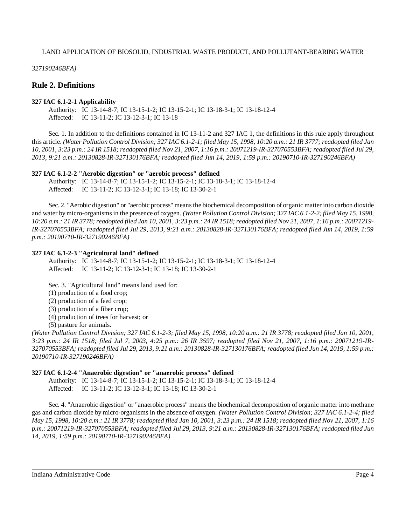*327190246BFA)*

## **Rule 2. Definitions**

## **327 IAC 6.1-2-1 Applicability**

Authority: IC 13-14-8-7; IC 13-15-1-2; IC 13-15-2-1; IC 13-18-3-1; IC 13-18-12-4 Affected: IC 13-11-2; IC 13-12-3-1; IC 13-18

Sec. 1. In addition to the definitions contained in IC 13-11-2 and 327 IAC 1, the definitions in this rule apply throughout this article. (Water Pollution Control Division; 327 IAC 6.1-2-1; filed May 15, 1998, 10:20 a.m.: 21 IR 3777; readopted filed Jan 10, 2001, 3:23 p.m.: 24 IR 1518; readopted filed Nov 21, 2007, 1:16 p.m.: 20071219-IR-327070553BFA; readopted filed Jul 29, *2013, 9:21 a.m.: 20130828-IR-327130176BFA; readopted filed Jun 14, 2019, 1:59 p.m.: 20190710-IR-327190246BFA)*

## **327 IAC 6.1-2-2 "Aerobic digestion" or "aerobic process" defined**

Authority: IC 13-14-8-7; IC 13-15-1-2; IC 13-15-2-1; IC 13-18-3-1; IC 13-18-12-4 Affected: IC 13-11-2; IC 13-12-3-1; IC 13-18; IC 13-30-2-1

Sec. 2. "Aerobic digestion" or "aerobic process" meansthe biochemical decomposition of organic matter into carbon dioxide and water bymicro-organismsin the presence of oxygen. *(Water Pollution Control Division; 327 IAC 6.1-2-2; filed May 15, 1998,* 10:20 a.m.: 21 IR 3778; readopted filed Jan 10, 2001, 3:23 p.m.: 24 IR 1518; readopted filed Nov 21, 2007, 1:16 p.m.: 20071219-*IR-327070553BFA; readopted filed Jul 29, 2013, 9:21 a.m.: 20130828-IR-327130176BFA; readopted filed Jun 14, 2019, 1:59 p.m.: 20190710-IR-327190246BFA)*

## **327 IAC 6.1-2-3 "Agricultural land" defined**

Authority: IC 13-14-8-7; IC 13-15-1-2; IC 13-15-2-1; IC 13-18-3-1; IC 13-18-12-4 Affected: IC 13-11-2; IC 13-12-3-1; IC 13-18; IC 13-30-2-1

Sec. 3. "Agricultural land" means land used for:

(1) production of a food crop;

(2) production of a feed crop;

(3) production of a fiber crop;

(4) production of trees for harvest; or

(5) pasture for animals.

(Water Pollution Control Division; 327 IAC 6.1-2-3; filed May 15, 1998, 10:20 a.m.: 21 IR 3778; readopted filed Jan 10, 2001, 3:23 p.m.: 24 IR 1518; filed Jul 7, 2003, 4:25 p.m.: 26 IR 3597; readopted filed Nov 21, 2007, 1:16 p.m.: 20071219-IR-327070553BFA; readopted filed Jul 29, 2013, 9:21 a.m.: 20130828-IR-327130176BFA; readopted filed Jun 14, 2019, 1:59 p.m.: *20190710-IR-327190246BFA)*

## **327 IAC 6.1-2-4 "Anaerobic digestion" or "anaerobic process" defined**

Authority: IC 13-14-8-7; IC 13-15-1-2; IC 13-15-2-1; IC 13-18-3-1; IC 13-18-12-4 Affected: IC 13-11-2; IC 13-12-3-1; IC 13-18; IC 13-30-2-1

Sec. 4. "Anaerobic digestion" or "anaerobic process" means the biochemical decomposition of organic matter into methane gas and carbon dioxide by micro-organisms in the absence of oxygen. *(Water Pollution Control Division; 327 IAC 6.1-2-4; filed* May 15, 1998, 10:20 a.m.: 21 IR 3778; readopted filed Jan 10, 2001, 3:23 p.m.: 24 IR 1518; readopted filed Nov 21, 2007, 1:16 *p.m.: 20071219-IR-327070553BFA; readopted filed Jul 29, 2013, 9:21 a.m.: 20130828-IR-327130176BFA; readopted filed Jun 14, 2019, 1:59 p.m.: 20190710-IR-327190246BFA)*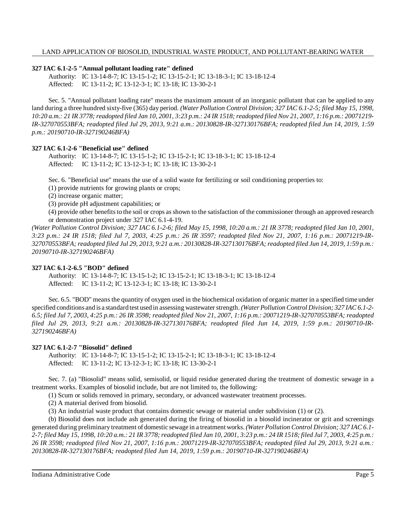#### **327 IAC 6.1-2-5 "Annual pollutant loading rate" defined**

Authority: IC 13-14-8-7; IC 13-15-1-2; IC 13-15-2-1; IC 13-18-3-1; IC 13-18-12-4 Affected: IC 13-11-2; IC 13-12-3-1; IC 13-18; IC 13-30-2-1

Sec. 5. "Annual pollutant loading rate" means the maximum amount of an inorganic pollutant that can be applied to any land during a three hundred sixty-five (365) day period. *(Water Pollution Control Division; 327 IAC 6.1-2-5; filed May 15, 1998,* 10:20 a.m.: 21 IR 3778; readopted filed Jan 10, 2001, 3:23 p.m.: 24 IR 1518; readopted filed Nov 21, 2007, 1:16 p.m.: 20071219-*IR-327070553BFA; readopted filed Jul 29, 2013, 9:21 a.m.: 20130828-IR-327130176BFA; readopted filed Jun 14, 2019, 1:59 p.m.: 20190710-IR-327190246BFA)*

#### **327 IAC 6.1-2-6 "Beneficial use" defined**

Authority: IC 13-14-8-7; IC 13-15-1-2; IC 13-15-2-1; IC 13-18-3-1; IC 13-18-12-4 Affected: IC 13-11-2; IC 13-12-3-1; IC 13-18; IC 13-30-2-1

Sec. 6. "Beneficial use" means the use of a solid waste for fertilizing or soil conditioning properties to:

(1) provide nutrients for growing plants or crops;

(2) increase organic matter;

(3) provide pH adjustment capabilities; or

(4) provide other benefitsto the soil or crops asshown to the satisfaction of the commissioner through an approved research or demonstration project under 327 IAC 6.1-4-19.

(Water Pollution Control Division; 327 IAC 6.1-2-6; filed May 15, 1998, 10:20 a.m.: 21 IR 3778; readopted filed Jan 10, 2001, *3:23 p.m.: 24 IR 1518; filed Jul 7, 2003, 4:25 p.m.: 26 IR 3597; readopted filed Nov 21, 2007, 1:16 p.m.: 20071219-IR-*327070553BFA; readopted filed Jul 29, 2013, 9:21 a.m.: 20130828-IR-327130176BFA; readopted filed Jun 14, 2019, 1:59 p.m.: *20190710-IR-327190246BFA)*

## **327 IAC 6.1-2-6.5 "BOD" defined**

Authority: IC 13-14-8-7; IC 13-15-1-2; IC 13-15-2-1; IC 13-18-3-1; IC 13-18-12-4 Affected: IC 13-11-2; IC 13-12-3-1; IC 13-18; IC 13-30-2-1

Sec. 6.5. "BOD" means the quantity of oxygen used in the biochemical oxidation of organic matter in a specified time under specified conditions and is a standard test used in assessing wastewaterstrength. *(Water Pollution Control Division; 327 IAC 6.1-2-* 6.5; filed Jul 7, 2003, 4:25 p.m.: 26 IR 3598; readopted filed Nov 21, 2007, 1:16 p.m.: 20071219-IR-327070553BFA; readopted *filed Jul 29, 2013, 9:21 a.m.: 20130828-IR-327130176BFA; readopted filed Jun 14, 2019, 1:59 p.m.: 20190710-IR-327190246BFA)*

## **327 IAC 6.1-2-7 "Biosolid" defined**

Authority: IC 13-14-8-7; IC 13-15-1-2; IC 13-15-2-1; IC 13-18-3-1; IC 13-18-12-4 Affected: IC 13-11-2; IC 13-12-3-1; IC 13-18; IC 13-30-2-1

Sec. 7. (a) "Biosolid" means solid, semisolid, or liquid residue generated during the treatment of domestic sewage in a treatment works. Examples of biosolid include, but are not limited to, the following:

(1) Scum or solids removed in primary, secondary, or advanced wastewater treatment processes.

(2) A material derived from biosolid.

(3) An industrial waste product that contains domestic sewage or material under subdivision (1) or (2).

(b) Biosolid does not include ash generated during the firing of biosolid in a biosolid incinerator or grit and screenings generated during preliminary treatment of domestic sewage in a treatment works. *(Water Pollution Control Division; 327 IAC 6.1-* 2-7; filed May 15, 1998, 10:20 a.m.: 21 IR 3778; readopted filed Jan 10, 2001, 3:23 p.m.: 24 IR 1518; filed Jul 7, 2003, 4:25 p.m.: *26 IR 3598; readopted filed Nov 21, 2007, 1:16 p.m.: 20071219-IR-327070553BFA; readopted filed Jul 29, 2013, 9:21 a.m.: 20130828-IR-327130176BFA; readopted filed Jun 14, 2019, 1:59 p.m.: 20190710-IR-327190246BFA)*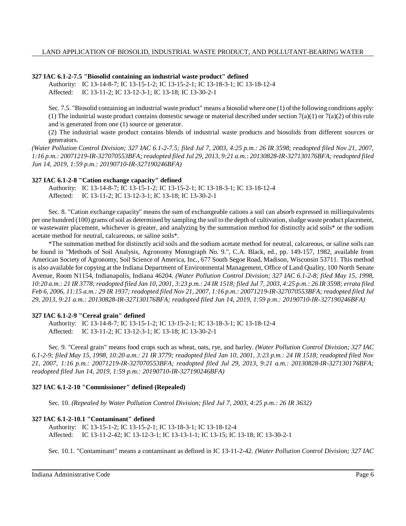## **327 IAC 6.1-2-7.5 "Biosolid containing an industrial waste product" defined**

Authority: IC 13-14-8-7; IC 13-15-1-2; IC 13-15-2-1; IC 13-18-3-1; IC 13-18-12-4 Affected: IC 13-11-2; IC 13-12-3-1; IC 13-18; IC 13-30-2-1

Sec. 7.5. "Biosolid containing an industrial waste product" means a biosolid where one (1) of the following conditions apply: (1) The industrial waste product contains domestic sewage or material described under section 7(a)(1) or 7(a)(2) of this rule and is generated from one (1) source or generator.

(2) The industrial waste product contains blends of industrial waste products and biosolids from different sources or generators.

*(Water Pollution Control Division; 327 IAC 6.1-2-7.5; filed Jul 7, 2003, 4:25 p.m.: 26 IR 3598; readopted filed Nov 21, 2007, 1:16 p.m.: 20071219-IR-327070553BFA; readopted filed Jul 29, 2013, 9:21 a.m.: 20130828-IR-327130176BFA; readopted filed Jun 14, 2019, 1:59 p.m.: 20190710-IR-327190246BFA)*

## **327 IAC 6.1-2-8 "Cation exchange capacity" defined**

Authority: IC 13-14-8-7; IC 13-15-1-2; IC 13-15-2-1; IC 13-18-3-1; IC 13-18-12-4 Affected: IC 13-11-2; IC 13-12-3-1; IC 13-18; IC 13-30-2-1

Sec. 8. "Cation exchange capacity" means the sum of exchangeable cations a soil can absorb expressed in milliequivalents per one hundred (100) grams ofsoil as determined by sampling the soil to the depth of cultivation, sludge waste product placement, or wastewater placement, whichever is greater, and analyzing by the summation method for distinctly acid soils\* or the sodium acetate method for neutral, calcareous, or saline soils\*.

\*The summation method for distinctly acid soils and the sodium acetate method for neutral, calcareous, or saline soils can be found in "Methods of Soil Analysis, Agronomy Monograph No. 9.", C.A. Black, ed., pp. 149-157, 1982, available from American Society of Agronomy, Soil Science of America, Inc., 677 South Segoe Road, Madison, Wisconsin 53711. This method is also available for copying at the Indiana Department of Environmental Management, Office of Land Quality, 100 North Senate Avenue, Room N1154, Indianapolis, Indiana 46204. *(Water Pollution Control Division; 327 IAC 6.1-2-8; filed May 15, 1998,* 10:20 a.m.: 21 IR 3778; readopted filed Jan 10, 2001, 3:23 p.m.: 24 IR 1518; filed Jul 7, 2003, 4:25 p.m.: 26 IR 3598; errata filed Feb 6, 2006, 11:15 a.m.: 29 IR 1937; readopted filed Nov 21, 2007, 1:16 p.m.: 20071219-IR-327070553BFA; readopted filed Jul *29, 2013, 9:21 a.m.: 20130828-IR-327130176BFA; readopted filed Jun 14, 2019, 1:59 p.m.: 20190710-IR-327190246BFA)*

## **327 IAC 6.1-2-9 "Cereal grain" defined**

Authority: IC 13-14-8-7; IC 13-15-1-2; IC 13-15-2-1; IC 13-18-3-1; IC 13-18-12-4 Affected: IC 13-11-2; IC 13-12-3-1; IC 13-18; IC 13-30-2-1

Sec. 9. "Cereal grain" means food crops such as wheat, oats, rye, and barley. *(Water Pollution Control Division; 327 IAC 6.1-2-9; filed May 15, 1998, 10:20 a.m.: 21 IR 3779; readopted filed Jan 10, 2001, 3:23 p.m.: 24 IR 1518; readopted filed Nov 21, 2007, 1:16 p.m.: 20071219-IR-327070553BFA; readopted filed Jul 29, 2013, 9:21 a.m.: 20130828-IR-327130176BFA; readopted filed Jun 14, 2019, 1:59 p.m.: 20190710-IR-327190246BFA)*

## **327 IAC 6.1-2-10 "Commissioner" defined (Repealed)**

Sec. 10. *(Repealed by Water Pollution Control Division; filed Jul 7, 2003, 4:25 p.m.: 26 IR 3632)*

## **327 IAC 6.1-2-10.1 "Contaminant" defined**

Authority: IC 13-15-1-2; IC 13-15-2-1; IC 13-18-3-1; IC 13-18-12-4 Affected: IC 13-11-2-42; IC 13-12-3-1; IC 13-13-1-1; IC 13-15; IC 13-18; IC 13-30-2-1

Sec. 10.1. "Contaminant" means a contaminant as defined in IC 13-11-2-42. *(Water Pollution Control Division; 327 IAC*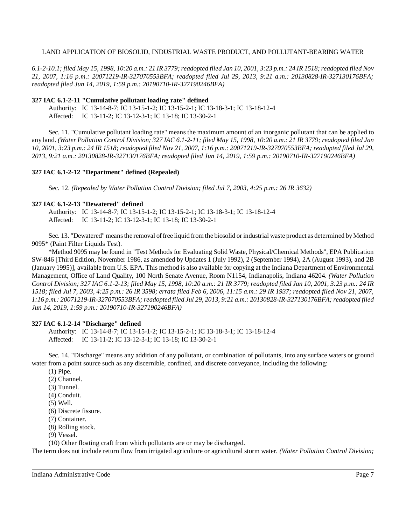6.1-2-10.1; filed May 15, 1998, 10:20 a.m.: 21 IR 3779; readopted filed Jan 10, 2001, 3:23 p.m.: 24 IR 1518; readopted filed Nov *21, 2007, 1:16 p.m.: 20071219-IR-327070553BFA; readopted filed Jul 29, 2013, 9:21 a.m.: 20130828-IR-327130176BFA; readopted filed Jun 14, 2019, 1:59 p.m.: 20190710-IR-327190246BFA)*

#### **327 IAC 6.1-2-11 "Cumulative pollutant loading rate" defined**

Authority: IC 13-14-8-7; IC 13-15-1-2; IC 13-15-2-1; IC 13-18-3-1; IC 13-18-12-4 Affected: IC 13-11-2; IC 13-12-3-1; IC 13-18; IC 13-30-2-1

Sec. 11. "Cumulative pollutant loading rate" means the maximum amount of an inorganic pollutant that can be applied to any land. (Water Pollution Control Division; 327 IAC 6.1-2-11; filed May 15, 1998, 10:20 a.m.: 21 IR 3779; readopted filed Jan 10, 2001, 3:23 p.m.: 24 IR 1518; readopted filed Nov 21, 2007, 1:16 p.m.: 20071219-IR-327070553BFA; readopted filed Jul 29, *2013, 9:21 a.m.: 20130828-IR-327130176BFA; readopted filed Jun 14, 2019, 1:59 p.m.: 20190710-IR-327190246BFA)*

## **327 IAC 6.1-2-12 "Department" defined (Repealed)**

Sec. 12. *(Repealed by Water Pollution Control Division; filed Jul 7, 2003, 4:25 p.m.: 26 IR 3632)*

#### **327 IAC 6.1-2-13 "Dewatered" defined**

Authority: IC 13-14-8-7; IC 13-15-1-2; IC 13-15-2-1; IC 13-18-3-1; IC 13-18-12-4 Affected: IC 13-11-2; IC 13-12-3-1; IC 13-18; IC 13-30-2-1

Sec. 13. "Dewatered" meansthe removal offree liquid from the biosolid or industrial waste product as determined byMethod 9095\* (Paint Filter Liquids Test).

\*Method 9095 may be found in "Test Methods for Evaluating Solid Waste, Physical/Chemical Methods", EPA Publication SW-846 [Third Edition, November 1986, as amended by Updates 1 (July 1992), 2 (September 1994), 2A (August 1993), and 2B (January 1995)], available from U.S. EPA. This method is also available for copying at the Indiana Department of Environmental Management, Office of Land Quality, 100 North Senate Avenue, Room N1154, Indianapolis, Indiana 46204. *(Water Pollution* Control Division; 327 IAC 6.1-2-13; filed May 15, 1998, 10:20 a.m.: 21 IR 3779; readopted filed Jan 10, 2001, 3:23 p.m.: 24 IR *1518; filed Jul 7, 2003, 4:25 p.m.: 26 IR 3598; errata filed Feb 6, 2006, 11:15 a.m.: 29 IR 1937; readopted filed Nov 21, 2007, 1:16 p.m.: 20071219-IR-327070553BFA; readopted filed Jul 29, 2013, 9:21 a.m.: 20130828-IR-327130176BFA; readopted filed Jun 14, 2019, 1:59 p.m.: 20190710-IR-327190246BFA)*

## **327 IAC 6.1-2-14 "Discharge" defined**

Authority: IC 13-14-8-7; IC 13-15-1-2; IC 13-15-2-1; IC 13-18-3-1; IC 13-18-12-4 Affected: IC 13-11-2; IC 13-12-3-1; IC 13-18; IC 13-30-2-1

Sec. 14. "Discharge" means any addition of any pollutant, or combination of pollutants, into any surface waters or ground water from a point source such as any discernible, confined, and discrete conveyance, including the following:

- (1) Pipe.
- (2) Channel.
- (3) Tunnel.
- (4) Conduit.
- (5) Well.
- (6) Discrete fissure.
- (7) Container.
- (8) Rolling stock.
- (9) Vessel.

(10) Other floating craft from which pollutants are or may be discharged.

The term does not include return flow from irrigated agriculture or agricultural storm water. *(Water Pollution Control Division;*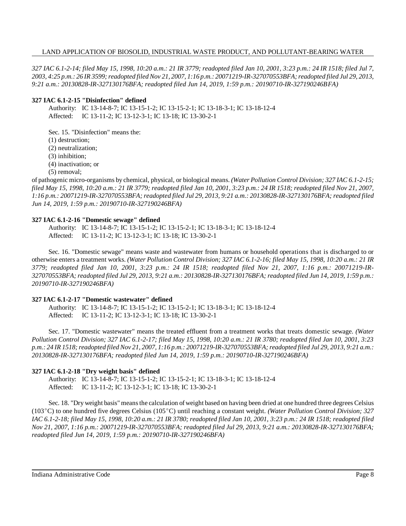327 IAC 6.1-2-14; filed May 15, 1998, 10:20 a.m.: 21 IR 3779; readopted filed Jan 10, 2001, 3:23 p.m.: 24 IR 1518; filed Jul 7, 2003, 4:25 p.m.: 26 IR 3599; readopted filed Nov 21, 2007, 1:16 p.m.: 20071219-IR-327070553BFA; readopted filed Jul 29, 2013, *9:21 a.m.: 20130828-IR-327130176BFA; readopted filed Jun 14, 2019, 1:59 p.m.: 20190710-IR-327190246BFA)*

#### **327 IAC 6.1-2-15 "Disinfection" defined**

Authority: IC 13-14-8-7; IC 13-15-1-2; IC 13-15-2-1; IC 13-18-3-1; IC 13-18-12-4 Affected: IC 13-11-2; IC 13-12-3-1; IC 13-18; IC 13-30-2-1

Sec. 15. "Disinfection" means the:

(1) destruction;

(2) neutralization;

(3) inhibition;

(4) inactivation; or

(5) removal;

of pathogenic micro-organisms by chemical, physical, or biological means. *(Water Pollution Control Division; 327 IAC 6.1-2-15;* filed May 15, 1998, 10:20 a.m.: 21 IR 3779; readopted filed Jan 10, 2001, 3:23 p.m.: 24 IR 1518; readopted filed Nov 21, 2007, *1:16 p.m.: 20071219-IR-327070553BFA; readopted filed Jul 29, 2013, 9:21 a.m.: 20130828-IR-327130176BFA; readopted filed Jun 14, 2019, 1:59 p.m.: 20190710-IR-327190246BFA)*

## **327 IAC 6.1-2-16 "Domestic sewage" defined**

Authority: IC 13-14-8-7; IC 13-15-1-2; IC 13-15-2-1; IC 13-18-3-1; IC 13-18-12-4 Affected: IC 13-11-2; IC 13-12-3-1; IC 13-18; IC 13-30-2-1

Sec. 16. "Domestic sewage" means waste and wastewater from humans or household operations that is discharged to or otherwise enters a treatment works. (Water Pollution Control Division; 327 IAC 6.1-2-16; filed May 15, 1998, 10:20 a.m.: 21 IR 3779; readopted filed Jan 10, 2001, 3:23 p.m.: 24 IR 1518; readopted filed Nov 21, 2007, 1:16 p.m.: 20071219-IR-327070553BFA; readopted filed Jul 29, 2013, 9:21 a.m.: 20130828-IR-327130176BFA; readopted filed Jun 14, 2019, 1:59 p.m.: *20190710-IR-327190246BFA)*

## **327 IAC 6.1-2-17 "Domestic wastewater" defined**

Authority: IC 13-14-8-7; IC 13-15-1-2; IC 13-15-2-1; IC 13-18-3-1; IC 13-18-12-4 Affected: IC 13-11-2; IC 13-12-3-1; IC 13-18; IC 13-30-2-1

Sec. 17. "Domestic wastewater" means the treated effluent from a treatment works that treats domestic sewage. *(Water Pollution Control Division; 327 IAC 6.1-2-17; filed May 15, 1998, 10:20 a.m.: 21 IR 3780; readopted filed Jan 10, 2001, 3:23* p.m.: 24 IR 1518; readopted filed Nov 21, 2007, 1:16 p.m.: 20071219-IR-327070553BFA; readopted filed Jul 29, 2013, 9:21 a.m.: *20130828-IR-327130176BFA; readopted filed Jun 14, 2019, 1:59 p.m.: 20190710-IR-327190246BFA)*

## **327 IAC 6.1-2-18 "Dry weight basis" defined**

Authority: IC 13-14-8-7; IC 13-15-1-2; IC 13-15-2-1; IC 13-18-3-1; IC 13-18-12-4 Affected: IC 13-11-2; IC 13-12-3-1; IC 13-18; IC 13-30-2-1

Sec. 18. "Dry weight basis" means the calculation of weight based on having been dried at one hundred three degrees Celsius (103C) to one hundred five degrees Celsius (105C) until reaching a constant weight. *(Water Pollution Control Division; 327* IAC 6.1-2-18; filed May 15, 1998, 10:20 a.m.: 21 IR 3780; readopted filed Jan 10, 2001, 3:23 p.m.: 24 IR 1518; readopted filed *Nov 21, 2007, 1:16 p.m.: 20071219-IR-327070553BFA; readopted filed Jul 29, 2013, 9:21 a.m.: 20130828-IR-327130176BFA; readopted filed Jun 14, 2019, 1:59 p.m.: 20190710-IR-327190246BFA)*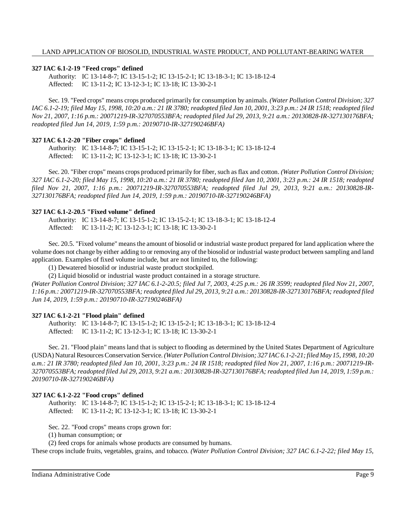## **327 IAC 6.1-2-19 "Feed crops" defined**

Authority: IC 13-14-8-7; IC 13-15-1-2; IC 13-15-2-1; IC 13-18-3-1; IC 13-18-12-4 Affected: IC 13-11-2; IC 13-12-3-1; IC 13-18; IC 13-30-2-1

Sec. 19. "Feed crops" means crops produced primarily for consumption by animals. *(Water Pollution Control Division; 327* IAC 6.1-2-19; filed May 15, 1998, 10:20 a.m.: 21 IR 3780; readopted filed Jan 10, 2001, 3:23 p.m.: 24 IR 1518; readopted filed *Nov 21, 2007, 1:16 p.m.: 20071219-IR-327070553BFA; readopted filed Jul 29, 2013, 9:21 a.m.: 20130828-IR-327130176BFA; readopted filed Jun 14, 2019, 1:59 p.m.: 20190710-IR-327190246BFA)*

## **327 IAC 6.1-2-20 "Fiber crops" defined**

Authority: IC 13-14-8-7; IC 13-15-1-2; IC 13-15-2-1; IC 13-18-3-1; IC 13-18-12-4 Affected: IC 13-11-2; IC 13-12-3-1; IC 13-18; IC 13-30-2-1

Sec. 20. "Fiber crops" means crops produced primarily for fiber, such as flax and cotton. *(Water Pollution Control Division;* 327 IAC 6.1-2-20; filed May 15, 1998, 10:20 a.m.: 21 IR 3780; readopted filed Jan 10, 2001, 3:23 p.m.: 24 IR 1518; readopted *filed Nov 21, 2007, 1:16 p.m.: 20071219-IR-327070553BFA; readopted filed Jul 29, 2013, 9:21 a.m.: 20130828-IR-327130176BFA; readopted filed Jun 14, 2019, 1:59 p.m.: 20190710-IR-327190246BFA)*

## **327 IAC 6.1-2-20.5 "Fixed volume" defined**

Authority: IC 13-14-8-7; IC 13-15-1-2; IC 13-15-2-1; IC 13-18-3-1; IC 13-18-12-4 Affected: IC 13-11-2; IC 13-12-3-1; IC 13-18; IC 13-30-2-1

Sec. 20.5. "Fixed volume" meansthe amount of biosolid or industrial waste product prepared for land application where the volume does not change by either adding to or removing any of the biosolid or industrial waste product between sampling and land application. Examples of fixed volume include, but are not limited to, the following:

(1) Dewatered biosolid or industrial waste product stockpiled.

(2) Liquid biosolid or industrial waste product contained in a storage structure.

*(Water Pollution Control Division; 327 IAC 6.1-2-20.5; filed Jul 7, 2003, 4:25 p.m.: 26 IR 3599; readopted filed Nov 21, 2007, 1:16 p.m.: 20071219-IR-327070553BFA; readopted filed Jul 29, 2013, 9:21 a.m.: 20130828-IR-327130176BFA; readopted filed Jun 14, 2019, 1:59 p.m.: 20190710-IR-327190246BFA)*

## **327 IAC 6.1-2-21 "Flood plain" defined**

Authority: IC 13-14-8-7; IC 13-15-1-2; IC 13-15-2-1; IC 13-18-3-1; IC 13-18-12-4 Affected: IC 13-11-2; IC 13-12-3-1; IC 13-18; IC 13-30-2-1

Sec. 21. "Flood plain" means land that is subject to flooding as determined by the United States Department of Agriculture (USDA) Natural ResourcesConservation Service. *(Water Pollution Control Division; 327 IAC 6.1-2-21;filed May 15, 1998, 10:20 a.m.: 21 IR 3780; readopted filed Jan 10, 2001, 3:23 p.m.: 24 IR 1518; readopted filed Nov 21, 2007, 1:16 p.m.: 20071219-IR-*327070553BFA; readopted filed Jul 29, 2013, 9:21 a.m.: 20130828-IR-327130176BFA; readopted filed Jun 14, 2019, 1:59 p.m.: *20190710-IR-327190246BFA)*

## **327 IAC 6.1-2-22 "Food crops" defined**

Authority: IC 13-14-8-7; IC 13-15-1-2; IC 13-15-2-1; IC 13-18-3-1; IC 13-18-12-4 Affected: IC 13-11-2; IC 13-12-3-1; IC 13-18; IC 13-30-2-1

Sec. 22. "Food crops" means crops grown for:

(1) human consumption; or

(2) feed crops for animals whose products are consumed by humans.

These crops include fruits, vegetables, grains, and tobacco. *(Water Pollution Control Division; 327 IAC 6.1-2-22; filed May 15,*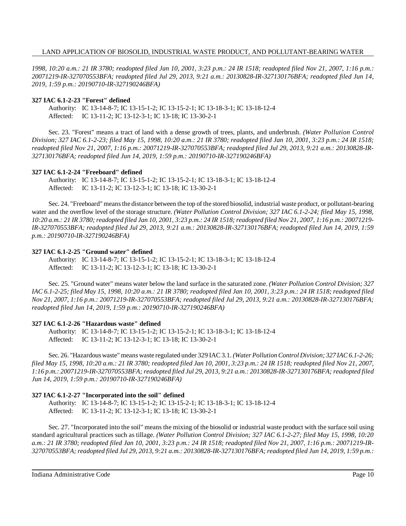1998, 10:20 a.m.: 21 IR 3780; readopted filed Jan 10, 2001, 3:23 p.m.: 24 IR 1518; readopted filed Nov 21, 2007, 1:16 p.m.: *20071219-IR-327070553BFA; readopted filed Jul 29, 2013, 9:21 a.m.: 20130828-IR-327130176BFA; readopted filed Jun 14, 2019, 1:59 p.m.: 20190710-IR-327190246BFA)*

#### **327 IAC 6.1-2-23 "Forest" defined**

Authority: IC 13-14-8-7; IC 13-15-1-2; IC 13-15-2-1; IC 13-18-3-1; IC 13-18-12-4 Affected: IC 13-11-2; IC 13-12-3-1; IC 13-18; IC 13-30-2-1

Sec. 23. "Forest" means a tract of land with a dense growth of trees, plants, and underbrush. *(Water Pollution Control Division; 327 IAC 6.1-2-23; filed May 15, 1998, 10:20 a.m.: 21 IR 3780; readopted filed Jan 10, 2001, 3:23 p.m.: 24 IR 1518; readopted filed Nov 21, 2007, 1:16 p.m.: 20071219-IR-327070553BFA; readopted filed Jul 29, 2013, 9:21 a.m.: 20130828-IR-327130176BFA; readopted filed Jun 14, 2019, 1:59 p.m.: 20190710-IR-327190246BFA)*

#### **327 IAC 6.1-2-24 "Freeboard" defined**

Authority: IC 13-14-8-7; IC 13-15-1-2; IC 13-15-2-1; IC 13-18-3-1; IC 13-18-12-4 Affected: IC 13-11-2; IC 13-12-3-1; IC 13-18; IC 13-30-2-1

Sec. 24. "Freeboard" meansthe distance between the top of the stored biosolid, industrial waste product, or pollutant-bearing water and the overflow level of the storage structure. *(Water Pollution Control Division; 327 IAC 6.1-2-24; filed May 15, 1998,* 10:20 a.m.: 21 IR 3780; readopted filed Jan 10, 2001, 3:23 p.m.: 24 IR 1518; readopted filed Nov 21, 2007, 1:16 p.m.: 20071219-*IR-327070553BFA; readopted filed Jul 29, 2013, 9:21 a.m.: 20130828-IR-327130176BFA; readopted filed Jun 14, 2019, 1:59 p.m.: 20190710-IR-327190246BFA)*

#### **327 IAC 6.1-2-25 "Ground water" defined**

Authority: IC 13-14-8-7; IC 13-15-1-2; IC 13-15-2-1; IC 13-18-3-1; IC 13-18-12-4 Affected: IC 13-11-2; IC 13-12-3-1; IC 13-18; IC 13-30-2-1

Sec. 25. "Ground water" means water below the land surface in the saturated zone. *(Water Pollution Control Division; 327* IAC 6.1-2-25; filed May 15, 1998, 10:20 a.m.: 21 IR 3780; readopted filed Jan 10, 2001, 3:23 p.m.: 24 IR 1518; readopted filed *Nov 21, 2007, 1:16 p.m.: 20071219-IR-327070553BFA; readopted filed Jul 29, 2013, 9:21 a.m.: 20130828-IR-327130176BFA; readopted filed Jun 14, 2019, 1:59 p.m.: 20190710-IR-327190246BFA)*

## **327 IAC 6.1-2-26 "Hazardous waste" defined**

Authority: IC 13-14-8-7; IC 13-15-1-2; IC 13-15-2-1; IC 13-18-3-1; IC 13-18-12-4 Affected: IC 13-11-2; IC 13-12-3-1; IC 13-18; IC 13-30-2-1

Sec. 26. "Hazardouswaste" means waste regulated under 329 IAC 3.1. *(Water PollutionControl Division; 327 IAC6.1-2-26;* filed May 15, 1998, 10:20 a.m.: 21 IR 3780; readopted filed Jan 10, 2001, 3:23 p.m.: 24 IR 1518; readopted filed Nov 21, 2007, *1:16 p.m.: 20071219-IR-327070553BFA; readopted filed Jul 29, 2013, 9:21 a.m.: 20130828-IR-327130176BFA; readopted filed Jun 14, 2019, 1:59 p.m.: 20190710-IR-327190246BFA)*

## **327 IAC 6.1-2-27 "Incorporated into the soil" defined**

Authority: IC 13-14-8-7; IC 13-15-1-2; IC 13-15-2-1; IC 13-18-3-1; IC 13-18-12-4 Affected: IC 13-11-2; IC 13-12-3-1; IC 13-18; IC 13-30-2-1

Sec. 27. "Incorporated into the soil" means the mixing of the biosolid or industrial waste product with the surface soil using standard agricultural practices such as tillage. *(Water Pollution Control Division; 327 IAC 6.1-2-27; filed May 15, 1998, 10:20 a.m.: 21 IR 3780; readopted filed Jan 10, 2001, 3:23 p.m.: 24 IR 1518; readopted filed Nov 21, 2007, 1:16 p.m.: 20071219-IR-*327070553BFA; readopted filed Jul 29, 2013, 9:21 a.m.: 20130828-IR-327130176BFA; readopted filed Jun 14, 2019, 1:59 p.m.: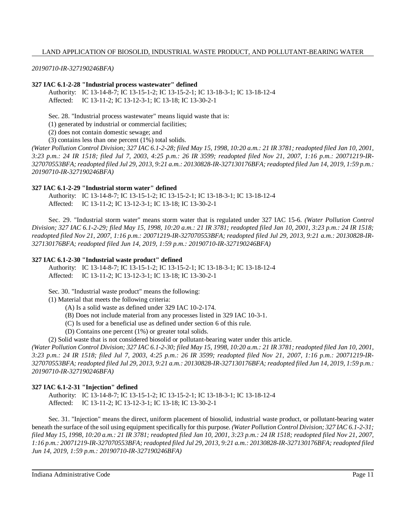*20190710-IR-327190246BFA)*

## **327 IAC 6.1-2-28 "Industrial process wastewater" defined**

Authority: IC 13-14-8-7; IC 13-15-1-2; IC 13-15-2-1; IC 13-18-3-1; IC 13-18-12-4 Affected: IC 13-11-2; IC 13-12-3-1; IC 13-18; IC 13-30-2-1

Sec. 28. "Industrial process wastewater" means liquid waste that is:

(1) generated by industrial or commercial facilities;

(2) does not contain domestic sewage; and

(3) contains less than one percent (1%) total solids.

(Water Pollution Control Division; 327 IAC 6.1-2-28; filed May 15, 1998, 10:20 a.m.: 21 IR 3781; readopted filed Jan 10, 2001, *3:23 p.m.: 24 IR 1518; filed Jul 7, 2003, 4:25 p.m.: 26 IR 3599; readopted filed Nov 21, 2007, 1:16 p.m.: 20071219-IR-*327070553BFA; readopted filed Jul 29, 2013, 9:21 a.m.: 20130828-IR-327130176BFA; readopted filed Jun 14, 2019, 1:59 p.m.: *20190710-IR-327190246BFA)*

#### **327 IAC 6.1-2-29 "Industrial storm water" defined**

Authority: IC 13-14-8-7; IC 13-15-1-2; IC 13-15-2-1; IC 13-18-3-1; IC 13-18-12-4 Affected: IC 13-11-2; IC 13-12-3-1; IC 13-18; IC 13-30-2-1

Sec. 29. "Industrial storm water" means storm water that is regulated under 327 IAC 15-6. *(Water Pollution Control Division; 327 IAC 6.1-2-29; filed May 15, 1998, 10:20 a.m.: 21 IR 3781; readopted filed Jan 10, 2001, 3:23 p.m.: 24 IR 1518; readopted filed Nov 21, 2007, 1:16 p.m.: 20071219-IR-327070553BFA; readopted filed Jul 29, 2013, 9:21 a.m.: 20130828-IR-327130176BFA; readopted filed Jun 14, 2019, 1:59 p.m.: 20190710-IR-327190246BFA)*

#### **327 IAC 6.1-2-30 "Industrial waste product" defined**

Authority: IC 13-14-8-7; IC 13-15-1-2; IC 13-15-2-1; IC 13-18-3-1; IC 13-18-12-4 Affected: IC 13-11-2; IC 13-12-3-1; IC 13-18; IC 13-30-2-1

Sec. 30. "Industrial waste product" means the following:

(1) Material that meets the following criteria:

- (A) Is a solid waste as defined under 329 IAC 10-2-174.
- (B) Does not include material from any processes listed in 329 IAC 10-3-1.
- (C) Is used for a beneficial use as defined under section 6 of this rule.
- (D) Contains one percent (1%) or greater total solids.

(2) Solid waste that is not considered biosolid or pollutant-bearing water under this article.

(Water Pollution Control Division; 327 IAC 6.1-2-30; filed May 15, 1998, 10:20 a.m.: 21 IR 3781; readopted filed Jan 10, 2001, 3:23 p.m.: 24 IR 1518; filed Jul 7, 2003, 4:25 p.m.: 26 IR 3599; readopted filed Nov 21, 2007, 1:16 p.m.: 20071219-IR-327070553BFA; readopted filed Jul 29, 2013, 9:21 a.m.: 20130828-IR-327130176BFA; readopted filed Jun 14, 2019, 1:59 p.m.: *20190710-IR-327190246BFA)*

## **327 IAC 6.1-2-31 "Injection" defined**

Authority: IC 13-14-8-7; IC 13-15-1-2; IC 13-15-2-1; IC 13-18-3-1; IC 13-18-12-4 Affected: IC 13-11-2; IC 13-12-3-1; IC 13-18; IC 13-30-2-1

Sec. 31. "Injection" means the direct, uniform placement of biosolid, industrial waste product, or pollutant-bearing water beneath the surface of the soil using equipment specifically for this purpose. *(Water Pollution Control Division; 327 IAC 6.1-2-31;* filed May 15, 1998, 10:20 a.m.: 21 IR 3781; readopted filed Jan 10, 2001, 3:23 p.m.: 24 IR 1518; readopted filed Nov 21, 2007, *1:16 p.m.: 20071219-IR-327070553BFA; readopted filed Jul 29, 2013, 9:21 a.m.: 20130828-IR-327130176BFA; readopted filed Jun 14, 2019, 1:59 p.m.: 20190710-IR-327190246BFA)*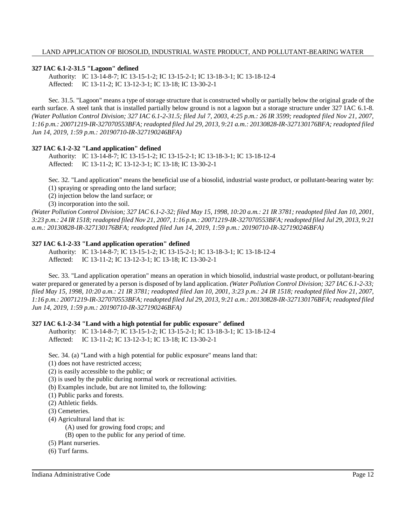## **327 IAC 6.1-2-31.5 "Lagoon" defined**

Authority: IC 13-14-8-7; IC 13-15-1-2; IC 13-15-2-1; IC 13-18-3-1; IC 13-18-12-4 Affected: IC 13-11-2; IC 13-12-3-1; IC 13-18; IC 13-30-2-1

Sec. 31.5. "Lagoon" means a type of storage structure that is constructed wholly or partially below the original grade of the earth surface. A steel tank that is installed partially below ground is not a lagoon but a storage structure under 327 IAC 6.1-8. *(Water Pollution Control Division; 327 IAC 6.1-2-31.5; filed Jul 7, 2003, 4:25 p.m.: 26 IR 3599; readopted filed Nov 21, 2007, 1:16 p.m.: 20071219-IR-327070553BFA; readopted filed Jul 29, 2013, 9:21 a.m.: 20130828-IR-327130176BFA; readopted filed Jun 14, 2019, 1:59 p.m.: 20190710-IR-327190246BFA)*

## **327 IAC 6.1-2-32 "Land application" defined**

Authority: IC 13-14-8-7; IC 13-15-1-2; IC 13-15-2-1; IC 13-18-3-1; IC 13-18-12-4 Affected: IC 13-11-2; IC 13-12-3-1; IC 13-18; IC 13-30-2-1

Sec. 32. "Land application" means the beneficial use of a biosolid, industrial waste product, or pollutant-bearing water by: (1) spraying or spreading onto the land surface;

(2) injection below the land surface; or

(3) incorporation into the soil.

(Water Pollution Control Division; 327 IAC 6.1-2-32; filed May 15, 1998, 10:20 a.m.: 21 IR 3781; readopted filed Jan 10, 2001, 3:23 p.m.: 24 IR 1518; readopted filed Nov 21, 2007, 1:16 p.m.: 20071219-IR-327070553BFA; readopted filed Jul 29, 2013, 9:21 *a.m.: 20130828-IR-327130176BFA; readopted filed Jun 14, 2019, 1:59 p.m.: 20190710-IR-327190246BFA)*

## **327 IAC 6.1-2-33 "Land application operation" defined**

Authority: IC 13-14-8-7; IC 13-15-1-2; IC 13-15-2-1; IC 13-18-3-1; IC 13-18-12-4 Affected: IC 13-11-2; IC 13-12-3-1; IC 13-18; IC 13-30-2-1

Sec. 33. "Land application operation" means an operation in which biosolid, industrial waste product, or pollutant-bearing water prepared or generated by a person is disposed of by land application. *(Water Pollution Control Division; 327 IAC 6.1-2-33;* filed May 15, 1998, 10:20 a.m.: 21 IR 3781; readopted filed Jan 10, 2001, 3:23 p.m.: 24 IR 1518; readopted filed Nov 21, 2007, *1:16 p.m.: 20071219-IR-327070553BFA; readopted filed Jul 29, 2013, 9:21 a.m.: 20130828-IR-327130176BFA; readopted filed Jun 14, 2019, 1:59 p.m.: 20190710-IR-327190246BFA)*

## **327 IAC 6.1-2-34 "Land with a high potential for public exposure" defined**

Authority: IC 13-14-8-7; IC 13-15-1-2; IC 13-15-2-1; IC 13-18-3-1; IC 13-18-12-4 Affected: IC 13-11-2; IC 13-12-3-1; IC 13-18; IC 13-30-2-1

Sec. 34. (a) "Land with a high potential for public exposure" means land that:

(1) does not have restricted access;

(2) is easily accessible to the public; or

(3) is used by the public during normal work or recreational activities.

(b) Examples include, but are not limited to, the following:

(1) Public parks and forests.

(2) Athletic fields.

(3) Cemeteries.

(4) Agricultural land that is:

(A) used for growing food crops; and

(B) open to the public for any period of time.

(5) Plant nurseries.

(6) Turf farms.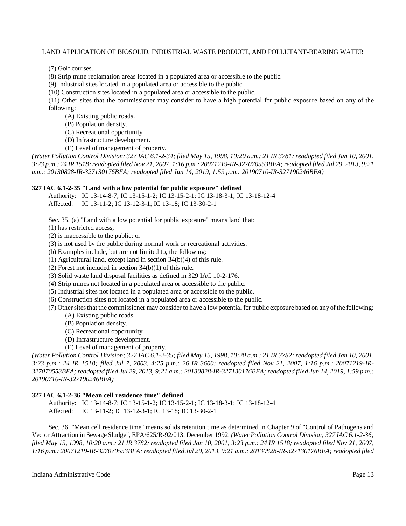(7) Golf courses.

(8) Strip mine reclamation areas located in a populated area or accessible to the public.

(9) Industrial sites located in a populated area or accessible to the public.

(10) Construction sites located in a populated area or accessible to the public.

(11) Other sites that the commissioner may consider to have a high potential for public exposure based on any of the following:

(A) Existing public roads.

(B) Population density.

(C) Recreational opportunity.

(D) Infrastructure development.

(E) Level of management of property.

(Water Pollution Control Division; 327 IAC 6.1-2-34; filed May 15, 1998, 10:20 a.m.: 21 IR 3781; readopted filed Jan 10, 2001, 3:23 p.m.: 24 IR 1518; readopted filed Nov 21, 2007, 1:16 p.m.: 20071219-IR-327070553BFA; readopted filed Jul 29, 2013, 9:21 *a.m.: 20130828-IR-327130176BFA; readopted filed Jun 14, 2019, 1:59 p.m.: 20190710-IR-327190246BFA)*

## **327 IAC 6.1-2-35 "Land with a low potential for public exposure" defined**

Authority: IC 13-14-8-7; IC 13-15-1-2; IC 13-15-2-1; IC 13-18-3-1; IC 13-18-12-4 Affected: IC 13-11-2; IC 13-12-3-1; IC 13-18; IC 13-30-2-1

Sec. 35. (a) "Land with a low potential for public exposure" means land that:

(1) has restricted access;

(2) is inaccessible to the public; or

(3) is not used by the public during normal work or recreational activities.

(b) Examples include, but are not limited to, the following:

(1) Agricultural land, except land in section 34(b)(4) of this rule.

(2) Forest not included in section 34(b)(1) of this rule.

(3) Solid waste land disposal facilities as defined in 329 IAC 10-2-176.

(4) Strip mines not located in a populated area or accessible to the public.

(5) Industrial sites not located in a populated area or accessible to the public.

(6) Construction sites not located in a populated area or accessible to the public.

(7) Other sites that the commissioner may consider to have a low potential for public exposure based on any of the following:

- (A) Existing public roads.
- (B) Population density.
- (C) Recreational opportunity.
- (D) Infrastructure development.

(E) Level of management of property.

(Water Pollution Control Division; 327 IAC 6.1-2-35; filed May 15, 1998, 10:20 a.m.: 21 IR 3782; readopted filed Jan 10, 2001, *3:23 p.m.: 24 IR 1518; filed Jul 7, 2003, 4:25 p.m.: 26 IR 3600; readopted filed Nov 21, 2007, 1:16 p.m.: 20071219-IR-*327070553BFA; readopted filed Jul 29, 2013, 9:21 a.m.: 20130828-IR-327130176BFA; readopted filed Jun 14, 2019, 1:59 p.m.: *20190710-IR-327190246BFA)*

## **327 IAC 6.1-2-36 "Mean cell residence time" defined**

Authority: IC 13-14-8-7; IC 13-15-1-2; IC 13-15-2-1; IC 13-18-3-1; IC 13-18-12-4 Affected: IC 13-11-2; IC 13-12-3-1; IC 13-18; IC 13-30-2-1

Sec. 36. "Mean cell residence time" means solids retention time as determined in Chapter 9 of "Control of Pathogens and Vector Attraction in Sewage Sludge", EPA/625/R-92/013, December 1992. *(Water Pollution Control Division; 327 IAC 6.1-2-36;* filed May 15, 1998, 10:20 a.m.: 21 IR 3782; readopted filed Jan 10, 2001, 3:23 p.m.: 24 IR 1518; readopted filed Nov 21, 2007, *1:16 p.m.: 20071219-IR-327070553BFA; readopted filed Jul 29, 2013, 9:21 a.m.: 20130828-IR-327130176BFA; readopted filed*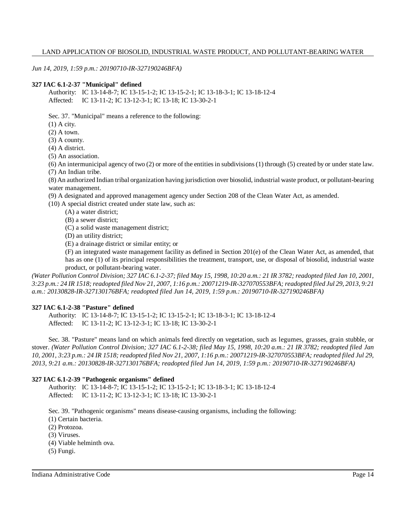*Jun 14, 2019, 1:59 p.m.: 20190710-IR-327190246BFA)*

#### **327 IAC 6.1-2-37 "Municipal" defined**

Authority: IC 13-14-8-7; IC 13-15-1-2; IC 13-15-2-1; IC 13-18-3-1; IC 13-18-12-4 Affected: IC 13-11-2; IC 13-12-3-1; IC 13-18; IC 13-30-2-1

Sec. 37. "Municipal" means a reference to the following:

(1) A city.

(2) A town.

(3) A county.

(4) A district.

(5) An association.

(6) An intermunicipal agency of two (2) or more of the entitiesin subdivisions(1) through (5) created by or under state law. (7) An Indian tribe.

(8) An authorized Indian tribal organization having jurisdiction over biosolid, industrial waste product, or pollutant-bearing water management.

(9) A designated and approved management agency under Section 208 of the Clean Water Act, as amended.

(10) A special district created under state law, such as:

- (A) a water district;
- (B) a sewer district;

(C) a solid waste management district;

(D) an utility district;

(E) a drainage district or similar entity; or

(F) an integrated waste management facility as defined in Section 201(e) of the Clean Water Act, as amended, that has as one (1) of its principal responsibilities the treatment, transport, use, or disposal of biosolid, industrial waste product, or pollutant-bearing water.

(Water Pollution Control Division; 327 IAC 6.1-2-37; filed May 15, 1998, 10:20 a.m.: 21 IR 3782; readopted filed Jan 10, 2001, 3:23 p.m.: 24 IR 1518; readopted filed Nov 21, 2007, 1:16 p.m.: 20071219-IR-327070553BFA; readopted filed Jul 29, 2013, 9:21 *a.m.: 20130828-IR-327130176BFA; readopted filed Jun 14, 2019, 1:59 p.m.: 20190710-IR-327190246BFA)*

## **327 IAC 6.1-2-38 "Pasture" defined**

Authority: IC 13-14-8-7; IC 13-15-1-2; IC 13-15-2-1; IC 13-18-3-1; IC 13-18-12-4 Affected: IC 13-11-2; IC 13-12-3-1; IC 13-18; IC 13-30-2-1

Sec. 38. "Pasture" means land on which animals feed directly on vegetation, such as legumes, grasses, grain stubble, or stover. *(Water Pollution Control Division; 327 IAC 6.1-2-38; filed May 15, 1998, 10:20 a.m.: 21 IR 3782; readopted filed Jan* 10, 2001, 3:23 p.m.: 24 IR 1518; readopted filed Nov 21, 2007, 1:16 p.m.: 20071219-IR-327070553BFA; readopted filed Jul 29, *2013, 9:21 a.m.: 20130828-IR-327130176BFA; readopted filed Jun 14, 2019, 1:59 p.m.: 20190710-IR-327190246BFA)*

#### **327 IAC 6.1-2-39 "Pathogenic organisms" defined**

Authority: IC 13-14-8-7; IC 13-15-1-2; IC 13-15-2-1; IC 13-18-3-1; IC 13-18-12-4 Affected: IC 13-11-2; IC 13-12-3-1; IC 13-18; IC 13-30-2-1

Sec. 39. "Pathogenic organisms" means disease-causing organisms, including the following:

(1) Certain bacteria.

(2) Protozoa.

(3) Viruses.

(4) Viable helminth ova.

(5) Fungi.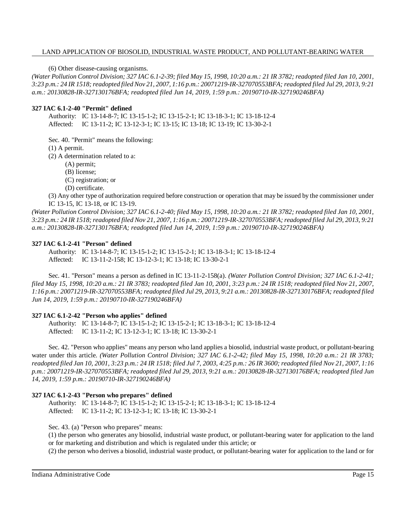(6) Other disease-causing organisms.

(Water Pollution Control Division; 327 IAC 6.1-2-39; filed May 15, 1998, 10:20 a.m.: 21 IR 3782; readopted filed Jan 10, 2001, 3:23 p.m.: 24 IR 1518; readopted filed Nov 21, 2007, 1:16 p.m.: 20071219-IR-327070553BFA; readopted filed Jul 29, 2013, 9:21 *a.m.: 20130828-IR-327130176BFA; readopted filed Jun 14, 2019, 1:59 p.m.: 20190710-IR-327190246BFA)*

#### **327 IAC 6.1-2-40 "Permit" defined**

Authority: IC 13-14-8-7; IC 13-15-1-2; IC 13-15-2-1; IC 13-18-3-1; IC 13-18-12-4 Affected: IC 13-11-2; IC 13-12-3-1; IC 13-15; IC 13-18; IC 13-19; IC 13-30-2-1

Sec. 40. "Permit" means the following:

(1) A permit.

(2) A determination related to a:

(A) permit;

(B) license;

(C) registration; or

(D) certificate.

(3) Any other type of authorization required before construction or operation that may be issued by the commissioner under IC 13-15, IC 13-18, or IC 13-19.

(Water Pollution Control Division; 327 IAC 6.1-2-40; filed May 15, 1998, 10:20 a.m.: 21 IR 3782; readopted filed Jan 10, 2001, 3:23 p.m.: 24 IR 1518; readopted filed Nov 21, 2007, 1:16 p.m.: 20071219-IR-327070553BFA; readopted filed Jul 29, 2013, 9:21 *a.m.: 20130828-IR-327130176BFA; readopted filed Jun 14, 2019, 1:59 p.m.: 20190710-IR-327190246BFA)*

### **327 IAC 6.1-2-41 "Person" defined**

Authority: IC 13-14-8-7; IC 13-15-1-2; IC 13-15-2-1; IC 13-18-3-1; IC 13-18-12-4 Affected: IC 13-11-2-158; IC 13-12-3-1; IC 13-18; IC 13-30-2-1

Sec. 41. "Person" means a person as defined in IC 13-11-2-158(a). *(Water Pollution Control Division; 327 IAC 6.1-2-41;* filed May 15, 1998, 10:20 a.m.: 21 IR 3783; readopted filed Jan 10, 2001, 3:23 p.m.: 24 IR 1518; readopted filed Nov 21, 2007, *1:16 p.m.: 20071219-IR-327070553BFA; readopted filed Jul 29, 2013, 9:21 a.m.: 20130828-IR-327130176BFA; readopted filed Jun 14, 2019, 1:59 p.m.: 20190710-IR-327190246BFA)*

## **327 IAC 6.1-2-42 "Person who applies" defined**

Authority: IC 13-14-8-7; IC 13-15-1-2; IC 13-15-2-1; IC 13-18-3-1; IC 13-18-12-4 Affected: IC 13-11-2; IC 13-12-3-1; IC 13-18; IC 13-30-2-1

Sec. 42. "Person who applies" means any person who land applies a biosolid, industrial waste product, or pollutant-bearing water under this article. (Water Pollution Control Division; 327 IAC 6.1-2-42; filed May 15, 1998, 10:20 a.m.: 21 IR 3783; readopted filed Jan 10, 2001, 3:23 p.m.: 24 IR 1518; filed Jul 7, 2003, 4:25 p.m.: 26 IR 3600; readopted filed Nov 21, 2007, 1:16 *p.m.: 20071219-IR-327070553BFA; readopted filed Jul 29, 2013, 9:21 a.m.: 20130828-IR-327130176BFA; readopted filed Jun 14, 2019, 1:59 p.m.: 20190710-IR-327190246BFA)*

## **327 IAC 6.1-2-43 "Person who prepares" defined**

Authority: IC 13-14-8-7; IC 13-15-1-2; IC 13-15-2-1; IC 13-18-3-1; IC 13-18-12-4 Affected: IC 13-11-2; IC 13-12-3-1; IC 13-18; IC 13-30-2-1

Sec. 43. (a) "Person who prepares" means:

(1) the person who generates any biosolid, industrial waste product, or pollutant-bearing water for application to the land or for marketing and distribution and which is regulated under this article; or

(2) the person who derives a biosolid, industrial waste product, or pollutant-bearing water for application to the land or for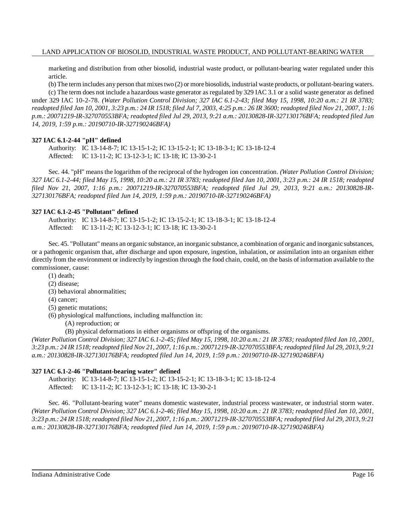marketing and distribution from other biosolid, industrial waste product, or pollutant-bearing water regulated under this article.

(b) The term includes any person that mixestwo (2) or more biosolids, industrial waste products, or pollutant-bearing waters. (c) The term does not include a hazardous waste generator as regulated by 329 IAC 3.1 or a solid waste generator as defined under 329 IAC 10-2-78. (Water Pollution Control Division; 327 IAC 6.1-2-43; filed May 15, 1998, 10:20 a.m.: 21 IR 3783; readopted filed Jan 10, 2001, 3:23 p.m.: 24 IR 1518; filed Jul 7, 2003, 4:25 p.m.: 26 IR 3600; readopted filed Nov 21, 2007, 1:16 *p.m.: 20071219-IR-327070553BFA; readopted filed Jul 29, 2013, 9:21 a.m.: 20130828-IR-327130176BFA; readopted filed Jun 14, 2019, 1:59 p.m.: 20190710-IR-327190246BFA)*

#### **327 IAC 6.1-2-44 "pH" defined**

Authority: IC 13-14-8-7; IC 13-15-1-2; IC 13-15-2-1; IC 13-18-3-1; IC 13-18-12-4 Affected: IC 13-11-2; IC 13-12-3-1; IC 13-18; IC 13-30-2-1

Sec. 44. "pH" means the logarithm of the reciprocal of the hydrogen ion concentration. *(Water Pollution Control Division;* 327 IAC 6.1-2-44; filed May 15, 1998, 10:20 a.m.: 21 IR 3783; readopted filed Jan 10, 2001, 3:23 p.m.: 24 IR 1518; readopted *filed Nov 21, 2007, 1:16 p.m.: 20071219-IR-327070553BFA; readopted filed Jul 29, 2013, 9:21 a.m.: 20130828-IR-327130176BFA; readopted filed Jun 14, 2019, 1:59 p.m.: 20190710-IR-327190246BFA)*

## **327 IAC 6.1-2-45 "Pollutant" defined**

Authority: IC 13-14-8-7; IC 13-15-1-2; IC 13-15-2-1; IC 13-18-3-1; IC 13-18-12-4 Affected: IC 13-11-2; IC 13-12-3-1; IC 13-18; IC 13-30-2-1

Sec. 45. "Pollutant" means an organic substance, an inorganic substance, a combination of organic and inorganic substances, or a pathogenic organism that, after discharge and upon exposure, ingestion, inhalation, or assimilation into an organism either directly from the environment or indirectly by ingestion through the food chain, could, on the basis of information available to the commissioner, cause:

- (1) death;
- (2) disease;
- (3) behavioral abnormalities;
- (4) cancer;
- (5) genetic mutations;
- (6) physiological malfunctions, including malfunction in:
	- (A) reproduction; or

(B) physical deformations in either organisms or offspring of the organisms.

(Water Pollution Control Division; 327 IAC 6.1-2-45; filed May 15, 1998, 10:20 a.m.: 21 IR 3783; readopted filed Jan 10, 2001, 3:23 p.m.: 24 IR 1518; readopted filed Nov 21, 2007, 1:16 p.m.: 20071219-IR-327070553BFA; readopted filed Jul 29, 2013, 9:21 *a.m.: 20130828-IR-327130176BFA; readopted filed Jun 14, 2019, 1:59 p.m.: 20190710-IR-327190246BFA)*

#### **327 IAC 6.1-2-46 "Pollutant-bearing water" defined**

Authority: IC 13-14-8-7; IC 13-15-1-2; IC 13-15-2-1; IC 13-18-3-1; IC 13-18-12-4 Affected: IC 13-11-2; IC 13-12-3-1; IC 13-18; IC 13-30-2-1

Sec. 46. "Pollutant-bearing water" means domestic wastewater, industrial process wastewater, or industrial storm water. (Water Pollution Control Division; 327 IAC 6.1-2-46; filed May 15, 1998, 10:20 a.m.: 21 IR 3783; readopted filed Jan 10, 2001, 3:23 p.m.: 24 IR 1518; readopted filed Nov 21, 2007, 1:16 p.m.: 20071219-IR-327070553BFA; readopted filed Jul 29, 2013, 9:21 *a.m.: 20130828-IR-327130176BFA; readopted filed Jun 14, 2019, 1:59 p.m.: 20190710-IR-327190246BFA)*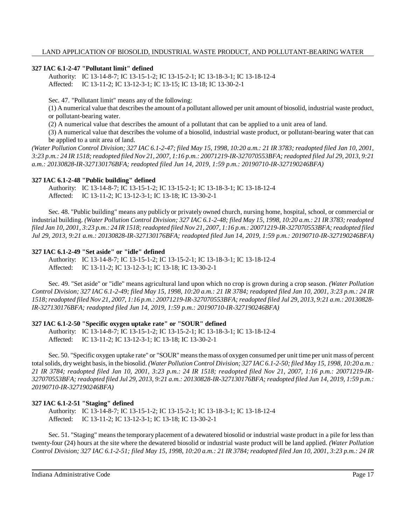## **327 IAC 6.1-2-47 "Pollutant limit" defined**

Authority: IC 13-14-8-7; IC 13-15-1-2; IC 13-15-2-1; IC 13-18-3-1; IC 13-18-12-4 Affected: IC 13-11-2; IC 13-12-3-1; IC 13-15; IC 13-18; IC 13-30-2-1

Sec. 47. "Pollutant limit" means any of the following:

(1) A numerical value that describesthe amount of a pollutant allowed per unit amount of biosolid, industrial waste product, or pollutant-bearing water.

(2) A numerical value that describes the amount of a pollutant that can be applied to a unit area of land.

(3) A numerical value that describes the volume of a biosolid, industrial waste product, or pollutant-bearing water that can be applied to a unit area of land.

(Water Pollution Control Division; 327 IAC 6.1-2-47; filed May 15, 1998, 10:20 a.m.: 21 IR 3783; readopted filed Jan 10, 2001, 3:23 p.m.: 24 IR 1518; readopted filed Nov 21, 2007, 1:16 p.m.: 20071219-IR-327070553BFA; readopted filed Jul 29, 2013, 9:21 *a.m.: 20130828-IR-327130176BFA; readopted filed Jun 14, 2019, 1:59 p.m.: 20190710-IR-327190246BFA)*

## **327 IAC 6.1-2-48 "Public building" defined**

Authority: IC 13-14-8-7; IC 13-15-1-2; IC 13-15-2-1; IC 13-18-3-1; IC 13-18-12-4 Affected: IC 13-11-2; IC 13-12-3-1; IC 13-18; IC 13-30-2-1

Sec. 48. "Public building" means any publicly or privately owned church, nursing home, hospital, school, or commercial or industrial building. (Water Pollution Control Division; 327 IAC 6.1-2-48; filed May 15, 1998, 10:20 a.m.: 21 IR 3783; readopted filed Jan 10, 2001, 3:23 p.m.: 24 IR 1518; readopted filed Nov 21, 2007, 1:16 p.m.: 20071219-IR-327070553BFA; readopted filed *Jul 29, 2013, 9:21 a.m.: 20130828-IR-327130176BFA; readopted filed Jun 14, 2019, 1:59 p.m.: 20190710-IR-327190246BFA)*

## **327 IAC 6.1-2-49 "Set aside" or "idle" defined**

Authority: IC 13-14-8-7; IC 13-15-1-2; IC 13-15-2-1; IC 13-18-3-1; IC 13-18-12-4 Affected: IC 13-11-2; IC 13-12-3-1; IC 13-18; IC 13-30-2-1

Sec. 49. "Set aside" or "idle" means agricultural land upon which no crop is grown during a crop season. *(Water Pollution* Control Division; 327 IAC 6.1-2-49; filed May 15, 1998, 10:20 a.m.: 21 IR 3784; readopted filed Jan 10, 2001, 3:23 p.m.: 24 IR 1518; readopted filed Nov 21, 2007, 1:16 p.m.: 20071219-IR-327070553BFA; readopted filed Jul 29, 2013, 9:21 a.m.: 20130828-*IR-327130176BFA; readopted filed Jun 14, 2019, 1:59 p.m.: 20190710-IR-327190246BFA)*

## **327 IAC 6.1-2-50 "Specific oxygen uptake rate" or "SOUR" defined**

Authority: IC 13-14-8-7; IC 13-15-1-2; IC 13-15-2-1; IC 13-18-3-1; IC 13-18-12-4 Affected: IC 13-11-2; IC 13-12-3-1; IC 13-18; IC 13-30-2-1

Sec. 50. "Specific oxygen uptake rate" or "SOUR" means the mass of oxygen consumed per unit time per unit mass of percent totalsolids, dryweight basis, in the biosolid. *(Water Pollution Control Division; 327 IAC 6.1-2-50; filed May 15, 1998, 10:20 a.m.: 21 IR 3784; readopted filed Jan 10, 2001, 3:23 p.m.: 24 IR 1518; readopted filed Nov 21, 2007, 1:16 p.m.: 20071219-IR-*327070553BFA; readopted filed Jul 29, 2013, 9:21 a.m.: 20130828-IR-327130176BFA; readopted filed Jun 14, 2019, 1:59 p.m.: *20190710-IR-327190246BFA)*

## **327 IAC 6.1-2-51 "Staging" defined**

Authority: IC 13-14-8-7; IC 13-15-1-2; IC 13-15-2-1; IC 13-18-3-1; IC 13-18-12-4 Affected: IC 13-11-2; IC 13-12-3-1; IC 13-18; IC 13-30-2-1

Sec. 51. "Staging" meansthe temporary placement of a dewatered biosolid or industrial waste product in a pile for less than twenty-four (24) hours at the site where the dewatered biosolid or industrial waste product will be land applied. *(Water Pollution* Control Division; 327 IAC 6.1-2-51; filed May 15, 1998, 10:20 a.m.: 21 IR 3784; readopted filed Jan 10, 2001, 3:23 p.m.: 24 IR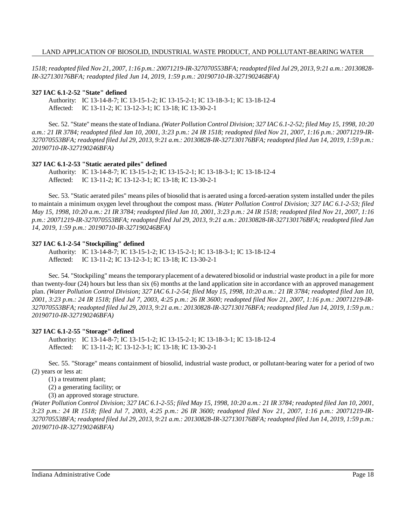1518; readopted filed Nov 21, 2007, 1:16 p.m.: 20071219-IR-327070553BFA; readopted filed Jul 29, 2013, 9:21 a.m.: 20130828-*IR-327130176BFA; readopted filed Jun 14, 2019, 1:59 p.m.: 20190710-IR-327190246BFA)*

#### **327 IAC 6.1-2-52 "State" defined**

Authority: IC 13-14-8-7; IC 13-15-1-2; IC 13-15-2-1; IC 13-18-3-1; IC 13-18-12-4 Affected: IC 13-11-2; IC 13-12-3-1; IC 13-18; IC 13-30-2-1

Sec. 52. "State" meansthe state ofIndiana. *(Water Pollution Control Division; 327 IAC 6.1-2-52; filed May 15, 1998, 10:20 a.m.: 21 IR 3784; readopted filed Jan 10, 2001, 3:23 p.m.: 24 IR 1518; readopted filed Nov 21, 2007, 1:16 p.m.: 20071219-IR-*327070553BFA; readopted filed Jul 29, 2013, 9:21 a.m.: 20130828-IR-327130176BFA; readopted filed Jun 14, 2019, 1:59 p.m.: *20190710-IR-327190246BFA)*

#### **327 IAC 6.1-2-53 "Static aerated piles" defined**

Authority: IC 13-14-8-7; IC 13-15-1-2; IC 13-15-2-1; IC 13-18-3-1; IC 13-18-12-4 Affected: IC 13-11-2; IC 13-12-3-1; IC 13-18; IC 13-30-2-1

Sec. 53. "Static aerated piles" means piles of biosolid that is aerated using a forced-aeration system installed under the piles to maintain a minimum oxygen level throughout the compost mass. *(Water Pollution Control Division; 327 IAC 6.1-2-53; filed* May 15, 1998, 10:20 a.m.: 21 IR 3784; readopted filed Jan 10, 2001, 3:23 p.m.: 24 IR 1518; readopted filed Nov 21, 2007, 1:16 *p.m.: 20071219-IR-327070553BFA; readopted filed Jul 29, 2013, 9:21 a.m.: 20130828-IR-327130176BFA; readopted filed Jun 14, 2019, 1:59 p.m.: 20190710-IR-327190246BFA)*

#### **327 IAC 6.1-2-54 "Stockpiling" defined**

Authority: IC 13-14-8-7; IC 13-15-1-2; IC 13-15-2-1; IC 13-18-3-1; IC 13-18-12-4 Affected: IC 13-11-2; IC 13-12-3-1; IC 13-18; IC 13-30-2-1

Sec. 54. "Stockpiling" means the temporary placement of a dewatered biosolid or industrial waste product in a pile for more than twenty-four (24) hours but less than six (6) months at the land application site in accordance with an approved management plan. (Water Pollution Control Division; 327 IAC 6.1-2-54; filed May 15, 1998, 10:20 a.m.: 21 IR 3784; readopted filed Jan 10, *2001, 3:23 p.m.: 24 IR 1518; filed Jul 7, 2003, 4:25 p.m.: 26 IR 3600; readopted filed Nov 21, 2007, 1:16 p.m.: 20071219-IR-*327070553BFA; readopted filed Jul 29, 2013, 9:21 a.m.: 20130828-IR-327130176BFA; readopted filed Jun 14, 2019, 1:59 p.m.: *20190710-IR-327190246BFA)*

## **327 IAC 6.1-2-55 "Storage" defined**

Authority: IC 13-14-8-7; IC 13-15-1-2; IC 13-15-2-1; IC 13-18-3-1; IC 13-18-12-4 Affected: IC 13-11-2; IC 13-12-3-1; IC 13-18; IC 13-30-2-1

Sec. 55. "Storage" means containment of biosolid, industrial waste product, or pollutant-bearing water for a period of two (2) years or less at:

(1) a treatment plant;

(2) a generating facility; or

(3) an approved storage structure.

(Water Pollution Control Division; 327 IAC 6.1-2-55; filed May 15, 1998, 10:20 a.m.: 21 IR 3784; readopted filed Jan 10, 2001, 3:23 p.m.: 24 IR 1518; filed Jul 7, 2003, 4:25 p.m.: 26 IR 3600; readopted filed Nov 21, 2007, 1:16 p.m.: 20071219-IR-327070553BFA; readopted filed Jul 29, 2013, 9:21 a.m.: 20130828-IR-327130176BFA; readopted filed Jun 14, 2019, 1:59 p.m.: *20190710-IR-327190246BFA)*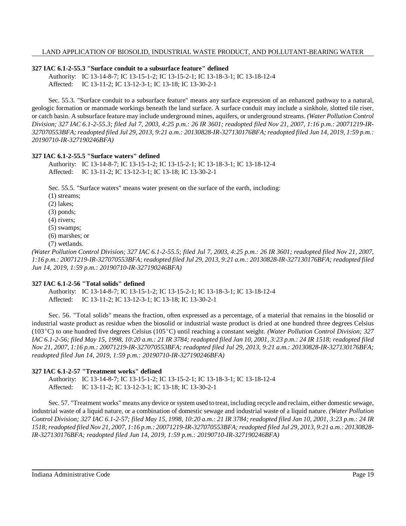## **327 IAC 6.1-2-55.3 "Surface conduit to a subsurface feature" defined**

Authority: IC 13-14-8-7; IC 13-15-1-2; IC 13-15-2-1; IC 13-18-3-1; IC 13-18-12-4 Affected: IC 13-11-2; IC 13-12-3-1; IC 13-18; IC 13-30-2-1

Sec. 55.3. "Surface conduit to a subsurface feature" means any surface expression of an enhanced pathway to a natural, geologic formation or manmade workings beneath the land surface. A surface conduit may include a sinkhole, slotted tile riser, or catch basin. A subsurface feature may include underground mines, aquifers, or underground streams. *(Water Pollution Control Division; 327 IAC 6.1-2-55.3; filed Jul 7, 2003, 4:25 p.m.: 26 IR 3601; readopted filed Nov 21, 2007, 1:16 p.m.: 20071219-IR-*327070553BFA; readopted filed Jul 29, 2013, 9:21 a.m.: 20130828-IR-327130176BFA; readopted filed Jun 14, 2019, 1:59 p.m.: *20190710-IR-327190246BFA)*

## **327 IAC 6.1-2-55.5 "Surface waters" defined**

Authority: IC 13-14-8-7; IC 13-15-1-2; IC 13-15-2-1; IC 13-18-3-1; IC 13-18-12-4 Affected: IC 13-11-2; IC 13-12-3-1; IC 13-18; IC 13-30-2-1

Sec. 55.5. "Surface waters" means water present on the surface of the earth, including:

- (1) streams;
- (2) lakes;
- (3) ponds;
- (4) rivers;
- (5) swamps;
- (6) marshes; or
- (7) wetlands.

*(Water Pollution Control Division; 327 IAC 6.1-2-55.5; filed Jul 7, 2003, 4:25 p.m.: 26 IR 3601; readopted filed Nov 21, 2007, 1:16 p.m.: 20071219-IR-327070553BFA; readopted filed Jul 29, 2013, 9:21 a.m.: 20130828-IR-327130176BFA; readopted filed Jun 14, 2019, 1:59 p.m.: 20190710-IR-327190246BFA)*

## **327 IAC 6.1-2-56 "Total solids" defined**

Authority: IC 13-14-8-7; IC 13-15-1-2; IC 13-15-2-1; IC 13-18-3-1; IC 13-18-12-4 Affected: IC 13-11-2; IC 13-12-3-1; IC 13-18; IC 13-30-2-1

Sec. 56. "Total solids" means the fraction, often expressed as a percentage, of a material that remains in the biosolid or industrial waste product as residue when the biosolid or industrial waste product is dried at one hundred three degrees Celsius (103C) to one hundred five degrees Celsius (105C) until reaching a constant weight. *(Water Pollution Control Division; 327* IAC 6.1-2-56; filed May 15, 1998, 10:20 a.m.: 21 IR 3784; readopted filed Jan 10, 2001, 3:23 p.m.: 24 IR 1518; readopted filed *Nov 21, 2007, 1:16 p.m.: 20071219-IR-327070553BFA; readopted filed Jul 29, 2013, 9:21 a.m.: 20130828-IR-327130176BFA; readopted filed Jun 14, 2019, 1:59 p.m.: 20190710-IR-327190246BFA)*

## **327 IAC 6.1-2-57 "Treatment works" defined**

Authority: IC 13-14-8-7; IC 13-15-1-2; IC 13-15-2-1; IC 13-18-3-1; IC 13-18-12-4 Affected: IC 13-11-2; IC 13-12-3-1; IC 13-18; IC 13-30-2-1

Sec. 57. "Treatment works" means any device orsystem used to treat, including recycle and reclaim, either domestic sewage, industrial waste of a liquid nature, or a combination of domestic sewage and industrial waste of a liquid nature. *(Water Pollution* Control Division; 327 IAC 6.1-2-57; filed May 15, 1998, 10:20 a.m.: 21 IR 3784; readopted filed Jan 10, 2001, 3:23 p.m.: 24 IR 1518; readopted filed Nov 21, 2007, 1:16 p.m.: 20071219-IR-327070553BFA; readopted filed Jul 29, 2013, 9:21 a.m.: 20130828-*IR-327130176BFA; readopted filed Jun 14, 2019, 1:59 p.m.: 20190710-IR-327190246BFA)*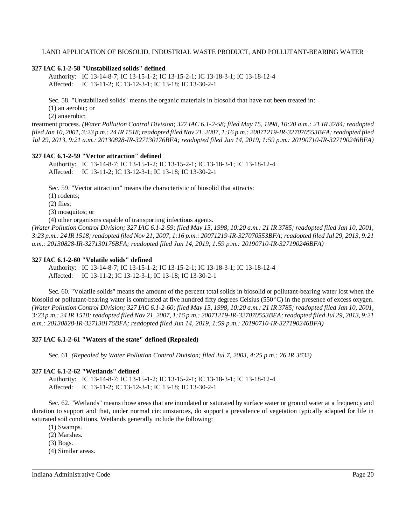## **327 IAC 6.1-2-58 "Unstabilized solids" defined**

Authority: IC 13-14-8-7; IC 13-15-1-2; IC 13-15-2-1; IC 13-18-3-1; IC 13-18-12-4 Affected: IC 13-11-2; IC 13-12-3-1; IC 13-18; IC 13-30-2-1

Sec. 58. "Unstabilized solids" means the organic materials in biosolid that have not been treated in:

(1) an aerobic; or

(2) anaerobic;

treatment process. (Water Pollution Control Division; 327 IAC 6.1-2-58; filed May 15, 1998, 10:20 a.m.: 21 IR 3784; readopted filed Jan 10, 2001, 3:23 p.m.: 24 IR 1518; readopted filed Nov 21, 2007, 1:16 p.m.: 20071219-IR-327070553BFA; readopted filed *Jul 29, 2013, 9:21 a.m.: 20130828-IR-327130176BFA; readopted filed Jun 14, 2019, 1:59 p.m.: 20190710-IR-327190246BFA)*

## **327 IAC 6.1-2-59 "Vector attraction" defined**

Authority: IC 13-14-8-7; IC 13-15-1-2; IC 13-15-2-1; IC 13-18-3-1; IC 13-18-12-4 Affected: IC 13-11-2; IC 13-12-3-1; IC 13-18; IC 13-30-2-1

Sec. 59. "Vector attraction" means the characteristic of biosolid that attracts:

(1) rodents;

(2) flies;

(3) mosquitos; or

(4) other organisms capable of transporting infectious agents.

(Water Pollution Control Division; 327 IAC 6.1-2-59; filed May 15, 1998, 10:20 a.m.: 21 IR 3785; readopted filed Jan 10, 2001, 3:23 p.m.: 24 IR 1518; readopted filed Nov 21, 2007, 1:16 p.m.: 20071219-IR-327070553BFA; readopted filed Jul 29, 2013, 9:21 *a.m.: 20130828-IR-327130176BFA; readopted filed Jun 14, 2019, 1:59 p.m.: 20190710-IR-327190246BFA)*

## **327 IAC 6.1-2-60 "Volatile solids" defined**

Authority: IC 13-14-8-7; IC 13-15-1-2; IC 13-15-2-1; IC 13-18-3-1; IC 13-18-12-4 Affected: IC 13-11-2; IC 13-12-3-1; IC 13-18; IC 13-30-2-1

Sec. 60. "Volatile solids" means the amount of the percent total solids in biosolid or pollutant-bearing water lost when the biosolid or pollutant-bearing water is combusted at five hundred fifty degrees Celsius ( $550^{\circ}$ C) in the presence of excess oxygen. (Water Pollution Control Division; 327 IAC 6.1-2-60; filed May 15, 1998, 10:20 a.m.: 21 IR 3785; readopted filed Jan 10, 2001, 3:23 p.m.: 24 IR 1518; readopted filed Nov 21, 2007, 1:16 p.m.: 20071219-IR-327070553BFA; readopted filed Jul 29, 2013, 9:21 *a.m.: 20130828-IR-327130176BFA; readopted filed Jun 14, 2019, 1:59 p.m.: 20190710-IR-327190246BFA)*

## **327 IAC 6.1-2-61 "Waters of the state" defined (Repealed)**

Sec. 61. *(Repealed by Water Pollution Control Division; filed Jul 7, 2003, 4:25 p.m.: 26 IR 3632)*

## **327 IAC 6.1-2-62 "Wetlands" defined**

Authority: IC 13-14-8-7; IC 13-15-1-2; IC 13-15-2-1; IC 13-18-3-1; IC 13-18-12-4 Affected: IC 13-11-2; IC 13-12-3-1; IC 13-18; IC 13-30-2-1

Sec. 62. "Wetlands" means those areas that are inundated or saturated by surface water or ground water at a frequency and duration to support and that, under normal circumstances, do support a prevalence of vegetation typically adapted for life in saturated soil conditions. Wetlands generally include the following:

(1) Swamps.

(2) Marshes.

(3) Bogs.

(4) Similar areas.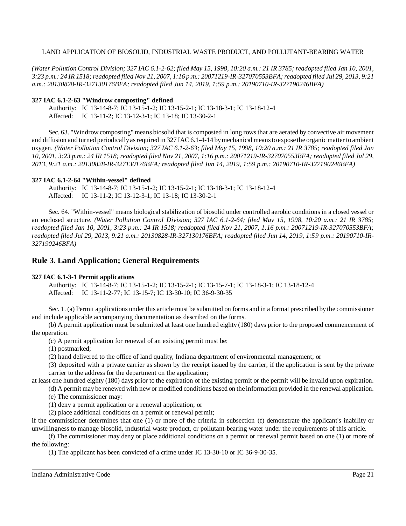(Water Pollution Control Division; 327 IAC 6.1-2-62; filed May 15, 1998, 10:20 a.m.: 21 IR 3785; readopted filed Jan 10, 2001, 3:23 p.m.: 24 IR 1518; readopted filed Nov 21, 2007, 1:16 p.m.: 20071219-IR-327070553BFA; readopted filed Jul 29, 2013, 9:21 *a.m.: 20130828-IR-327130176BFA; readopted filed Jun 14, 2019, 1:59 p.m.: 20190710-IR-327190246BFA)*

#### **327 IAC 6.1-2-63 "Windrow composting" defined**

Authority: IC 13-14-8-7; IC 13-15-1-2; IC 13-15-2-1; IC 13-18-3-1; IC 13-18-12-4 Affected: IC 13-11-2; IC 13-12-3-1; IC 13-18; IC 13-30-2-1

Sec. 63. "Windrow composting" means biosolid that is composted in long rows that are aerated by convective air movement and diffusion and turned periodically as required in 327 IAC 6.1-4-14 by mechanical means to expose the organic matter to ambient oxygen. *(Water Pollution Control Division; 327 IAC 6.1-2-63; filed May 15, 1998, 10:20 a.m.: 21 IR 3785; readopted filed Jan* 10, 2001, 3:23 p.m.: 24 IR 1518; readopted filed Nov 21, 2007, 1:16 p.m.: 20071219-IR-327070553BFA; readopted filed Jul 29, *2013, 9:21 a.m.: 20130828-IR-327130176BFA; readopted filed Jun 14, 2019, 1:59 p.m.: 20190710-IR-327190246BFA)*

#### **327 IAC 6.1-2-64 "Within-vessel" defined**

Authority: IC 13-14-8-7; IC 13-15-1-2; IC 13-15-2-1; IC 13-18-3-1; IC 13-18-12-4 Affected: IC 13-11-2; IC 13-12-3-1; IC 13-18; IC 13-30-2-1

Sec. 64. "Within-vessel" means biological stabilization of biosolid under controlled aerobic conditions in a closed vessel or an enclosed structure. *(Water Pollution Control Division; 327 IAC 6.1-2-64; filed May 15, 1998, 10:20 a.m.: 21 IR 3785;* readopted filed Jan 10, 2001, 3:23 p.m.: 24 IR 1518; readopted filed Nov 21, 2007, 1:16 p.m.: 20071219-IR-327070553BFA; *readopted filed Jul 29, 2013, 9:21 a.m.: 20130828-IR-327130176BFA; readopted filed Jun 14, 2019, 1:59 p.m.: 20190710-IR-327190246BFA)*

## **Rule 3. Land Application; General Requirements**

## **327 IAC 6.1-3-1 Permit applications**

Authority: IC 13-14-8-7; IC 13-15-1-2; IC 13-15-2-1; IC 13-15-7-1; IC 13-18-3-1; IC 13-18-12-4 Affected: IC 13-11-2-77; IC 13-15-7; IC 13-30-10; IC 36-9-30-35

Sec. 1. (a) Permit applications under this article must be submitted on forms and in a format prescribed by the commissioner and include applicable accompanying documentation as described on the forms.

(b) A permit application must be submitted at least one hundred eighty (180) days prior to the proposed commencement of the operation.

(c) A permit application for renewal of an existing permit must be:

(1) postmarked;

(2) hand delivered to the office of land quality, Indiana department of environmental management; or

(3) deposited with a private carrier as shown by the receipt issued by the carrier, if the application is sent by the private carrier to the address for the department on the application;

at least one hundred eighty (180) days prior to the expiration of the existing permit or the permit will be invalid upon expiration.

(d) A permit may be renewed with new or modified conditions based on the information provided in the renewal application.

(e) The commissioner may:

(1) deny a permit application or a renewal application; or

(2) place additional conditions on a permit or renewal permit;

if the commissioner determines that one (1) or more of the criteria in subsection (f) demonstrate the applicant's inability or unwillingness to manage biosolid, industrial waste product, or pollutant-bearing water under the requirements of this article.

(f) The commissioner may deny or place additional conditions on a permit or renewal permit based on one (1) or more of the following:

(1) The applicant has been convicted of a crime under IC 13-30-10 or IC 36-9-30-35.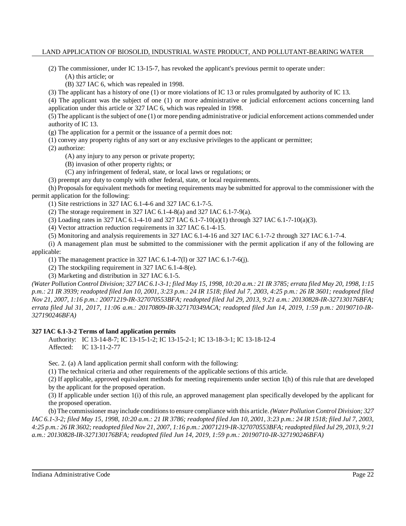(2) The commissioner, under IC 13-15-7, has revoked the applicant's previous permit to operate under:

(A) this article; or

(B) 327 IAC 6, which was repealed in 1998.

(3) The applicant has a history of one (1) or more violations of IC 13 or rules promulgated by authority of IC 13.

(4) The applicant was the subject of one (1) or more administrative or judicial enforcement actions concerning land application under this article or 327 IAC 6, which was repealed in 1998.

(5) The applicant isthe subject of one (1) or more pending administrative or judicial enforcement actions commended under authority of IC 13.

(g) The application for a permit or the issuance of a permit does not:

(1) convey any property rights of any sort or any exclusive privileges to the applicant or permittee;

(2) authorize:

(A) any injury to any person or private property;

(B) invasion of other property rights; or

(C) any infringement of federal, state, or local laws or regulations; or

(3) preempt any duty to comply with other federal, state, or local requirements.

(h) Proposals for equivalent methods for meeting requirements may be submitted for approval to the commissioner with the permit application for the following:

(1) Site restrictions in 327 IAC 6.1-4-6 and 327 IAC 6.1-7-5.

(2) The storage requirement in 327 IAC 6.1-4-8(a) and 327 IAC 6.1-7-9(a).

(3) Loading rates in 327 IAC 6.1-4-10 and 327 IAC 6.1-7-10(a)(1) through 327 IAC 6.1-7-10(a)(3).

(4) Vector attraction reduction requirements in 327 IAC 6.1-4-15.

(5) Monitoring and analysis requirements in 327 IAC 6.1-4-16 and 327 IAC 6.1-7-2 through 327 IAC 6.1-7-4.

(i) A management plan must be submitted to the commissioner with the permit application if any of the following are applicable:

(1) The management practice in 327 IAC 6.1-4-7(l) or 327 IAC 6.1-7-6(j).

(2) The stockpiling requirement in 327 IAC 6.1-4-8(e).

(3) Marketing and distribution in 327 IAC 6.1-5.

(Water Pollution Control Division; 327 IAC 6.1-3-1; filed May 15, 1998, 10:20 a.m.; 21 IR 3785; errata filed May 20, 1998, 1:15 p.m.: 21 IR 3939; readopted filed Jan 10, 2001, 3:23 p.m.: 24 IR 1518; filed Jul 7, 2003, 4:25 p.m.: 26 IR 3601; readopted filed *Nov 21, 2007, 1:16 p.m.: 20071219-IR-327070553BFA; readopted filed Jul 29, 2013, 9:21 a.m.: 20130828-IR-327130176BFA; errata filed Jul 31, 2017, 11:06 a.m.: 20170809-IR-327170349ACA; readopted filed Jun 14, 2019, 1:59 p.m.: 20190710-IR-327190246BFA)*

**327 IAC 6.1-3-2 Terms of land application permits**

Authority: IC 13-14-8-7; IC 13-15-1-2; IC 13-15-2-1; IC 13-18-3-1; IC 13-18-12-4 Affected: IC 13-11-2-77

Sec. 2. (a) A land application permit shall conform with the following:

(1) The technical criteria and other requirements of the applicable sections of this article.

(2) If applicable, approved equivalent methods for meeting requirements under section 1(h) of this rule that are developed by the applicant for the proposed operation.

(3) If applicable under section 1(i) of this rule, an approved management plan specifically developed by the applicant for the proposed operation.

(b) The commissioner mayinclude conditionsto ensure compliance with this article. *(Water Pollution Control Division; 327* IAC 6.1-3-2; filed May 15, 1998, 10:20 a.m.: 21 IR 3786; readopted filed Jan 10, 2001, 3:23 p.m.: 24 IR 1518; filed Jul 7, 2003, 4:25 p.m.: 26 IR 3602; readopted filed Nov 21, 2007, 1:16 p.m.: 20071219-IR-327070553BFA; readopted filed Jul 29, 2013, 9:21 *a.m.: 20130828-IR-327130176BFA; readopted filed Jun 14, 2019, 1:59 p.m.: 20190710-IR-327190246BFA)*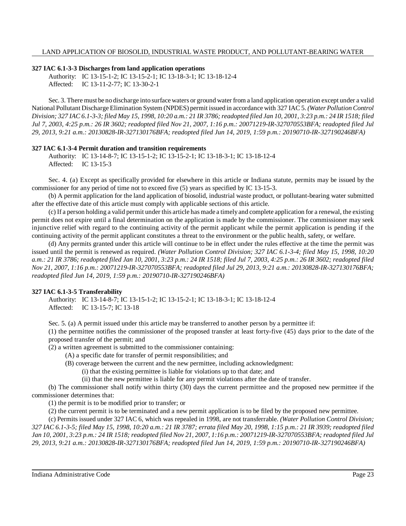## **327 IAC 6.1-3-3 Discharges from land application operations**

Authority: IC 13-15-1-2; IC 13-15-2-1; IC 13-18-3-1; IC 13-18-12-4 Affected: IC 13-11-2-77; IC 13-30-2-1

Sec. 3. There must be no discharge into surface waters or ground water from a land application operation except under a valid National Pollutant Discharge Elimination System (NPDES) permit issued in accordance with 327 IAC 5. *(Water Pollution Control* Division; 327 IAC 6.1-3-3; filed May 15, 1998, 10:20 a.m.: 21 IR 3786; readopted filed Jan 10, 2001, 3:23 p.m.: 24 IR 1518; filed *Jul 7, 2003, 4:25 p.m.: 26 IR 3602; readopted filed Nov 21, 2007, 1:16 p.m.: 20071219-IR-327070553BFA; readopted filed Jul 29, 2013, 9:21 a.m.: 20130828-IR-327130176BFA; readopted filed Jun 14, 2019, 1:59 p.m.: 20190710-IR-327190246BFA)*

## **327 IAC 6.1-3-4 Permit duration and transition requirements**

Authority: IC 13-14-8-7; IC 13-15-1-2; IC 13-15-2-1; IC 13-18-3-1; IC 13-18-12-4 Affected: IC 13-15-3

Sec. 4. (a) Except as specifically provided for elsewhere in this article or Indiana statute, permits may be issued by the commissioner for any period of time not to exceed five (5) years as specified by IC 13-15-3.

(b) A permit application for the land application of biosolid, industrial waste product, or pollutant-bearing water submitted after the effective date of this article must comply with applicable sections of this article.

(c) If a person holding a valid permit under this article has made a timelyand complete application for a renewal, the existing permit does not expire until a final determination on the application is made by the commissioner. The commissioner may seek injunctive relief with regard to the continuing activity of the permit applicant while the permit application is pending if the continuing activity of the permit applicant constitutes a threat to the environment or the public health, safety, or welfare.

(d) Any permits granted under this article will continue to be in effect under the rules effective at the time the permit was issued until the permit is renewed as required. *(Water Pollution Control Division; 327 IAC 6.1-3-4; filed May 15, 1998, 10:20* a.m.: 21 IR 3786; readopted filed Jan 10, 2001, 3:23 p.m.: 24 IR 1518; filed Jul 7, 2003, 4:25 p.m.: 26 IR 3602; readopted filed *Nov 21, 2007, 1:16 p.m.: 20071219-IR-327070553BFA; readopted filed Jul 29, 2013, 9:21 a.m.: 20130828-IR-327130176BFA; readopted filed Jun 14, 2019, 1:59 p.m.: 20190710-IR-327190246BFA)*

## **327 IAC 6.1-3-5 Transferability**

Authority: IC 13-14-8-7; IC 13-15-1-2; IC 13-15-2-1; IC 13-18-3-1; IC 13-18-12-4 Affected: IC 13-15-7; IC 13-18

Sec. 5. (a) A permit issued under this article may be transferred to another person by a permittee if:

(1) the permittee notifies the commissioner of the proposed transfer at least forty-five (45) days prior to the date of the proposed transfer of the permit; and

(2) a written agreement is submitted to the commissioner containing:

(A) a specific date for transfer of permit responsibilities; and

(B) coverage between the current and the new permittee, including acknowledgment:

(i) that the existing permittee is liable for violations up to that date; and

(ii) that the new permittee is liable for any permit violations after the date of transfer.

(b) The commissioner shall notify within thirty (30) days the current permittee and the proposed new permittee if the commissioner determines that:

(1) the permit is to be modified prior to transfer; or

(2) the current permit is to be terminated and a new permit application is to be filed by the proposed new permittee.

(c) Permits issued under 327 IAC 6, which was repealed in 1998, are not transferrable. *(Water Pollution Control Division;* 327 IAC 6.1-3-5; filed May 15, 1998, 10:20 a.m.: 21 IR 3787; errata filed May 20, 1998, 1:15 p.m.: 21 IR 3939; readopted filed Jan 10, 2001, 3:23 p.m.: 24 IR 1518; readopted filed Nov 21, 2007, 1:16 p.m.: 20071219-IR-327070553BFA; readopted filed Jul *29, 2013, 9:21 a.m.: 20130828-IR-327130176BFA; readopted filed Jun 14, 2019, 1:59 p.m.: 20190710-IR-327190246BFA)*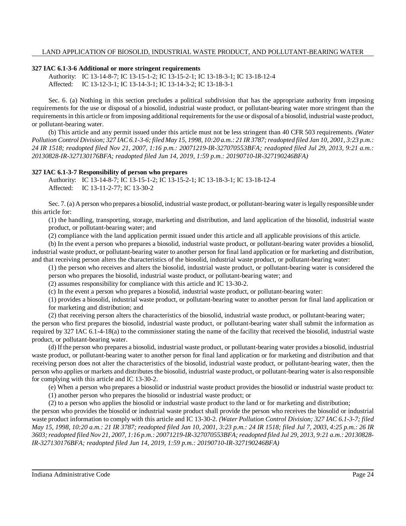## **327 IAC 6.1-3-6 Additional or more stringent requirements**

Authority: IC 13-14-8-7; IC 13-15-1-2; IC 13-15-2-1; IC 13-18-3-1; IC 13-18-12-4 Affected: IC 13-12-3-1; IC 13-14-3-1; IC 13-14-3-2; IC 13-18-3-1

Sec. 6. (a) Nothing in this section precludes a political subdivision that has the appropriate authority from imposing requirements for the use or disposal of a biosolid, industrial waste product, or pollutant-bearing water more stringent than the requirements in this article or from imposing additional requirements for the use or disposal of a biosolid, industrial waste product, or pollutant-bearing water.

(b) This article and any permit issued under this article must not be less stringent than 40 CFR 503 requirements. *(Water* Pollution Control Division; 327 IAC 6.1-3-6; filed May 15, 1998, 10:20 a.m.: 21 IR 3787; readopted filed Jan 10, 2001, 3:23 p.m.: *24 IR 1518; readopted filed Nov 21, 2007, 1:16 p.m.: 20071219-IR-327070553BFA; readopted filed Jul 29, 2013, 9:21 a.m.: 20130828-IR-327130176BFA; readopted filed Jun 14, 2019, 1:59 p.m.: 20190710-IR-327190246BFA)*

## **327 IAC 6.1-3-7 Responsibility of person who prepares**

Authority: IC 13-14-8-7; IC 13-15-1-2; IC 13-15-2-1; IC 13-18-3-1; IC 13-18-12-4 Affected: IC 13-11-2-77; IC 13-30-2

Sec. 7. (a) A person who prepares a biosolid, industrial waste product, or pollutant-bearing water islegally responsible under this article for:

(1) the handling, transporting, storage, marketing and distribution, and land application of the biosolid, industrial waste product, or pollutant-bearing water; and

(2) compliance with the land application permit issued under this article and all applicable provisions of this article.

(b) In the event a person who prepares a biosolid, industrial waste product, or pollutant-bearing water provides a biosolid, industrial waste product, or pollutant-bearing water to another person for final land application or for marketing and distribution, and that receiving person alters the characteristics of the biosolid, industrial waste product, or pollutant-bearing water:

(1) the person who receives and alters the biosolid, industrial waste product, or pollutant-bearing water is considered the person who prepares the biosolid, industrial waste product, or pollutant-bearing water; and

(2) assumes responsibility for compliance with this article and IC 13-30-2.

(c) In the event a person who prepares a biosolid, industrial waste product, or pollutant-bearing water:

(1) provides a biosolid, industrial waste product, or pollutant-bearing water to another person for final land application or for marketing and distribution; and

(2) that receiving person alters the characteristics of the biosolid, industrial waste product, or pollutant-bearing water;

the person who first prepares the biosolid, industrial waste product, or pollutant-bearing water shall submit the information as required by 327 IAC 6.1-4-18(a) to the commissioner stating the name of the facility that received the biosolid, industrial waste product, or pollutant-bearing water.

(d) If the person who prepares a biosolid, industrial waste product, or pollutant-bearing water provides a biosolid, industrial waste product, or pollutant-bearing water to another person for final land application or for marketing and distribution and that receiving person does not alter the characteristics of the biosolid, industrial waste product, or pollutant-bearing water, then the person who applies or markets and distributes the biosolid, industrial waste product, or pollutant-bearing water is also responsible for complying with this article and IC 13-30-2.

(e) When a person who prepares a biosolid or industrial waste product provides the biosolid or industrial waste product to:

(1) another person who prepares the biosolid or industrial waste product; or

(2) to a person who applies the biosolid or industrial waste product to the land or for marketing and distribution;

the person who provides the biosolid or industrial waste product shall provide the person who receives the biosolid or industrial waste product information to comply with this article and IC 13-30-2. *(Water Pollution Control Division; 327 IAC 6.1-3-7; filed* May 15, 1998, 10:20 a.m.: 21 IR 3787; readopted filed Jan 10, 2001, 3:23 p.m.: 24 IR 1518; filed Jul 7, 2003, 4:25 p.m.: 26 IR 3603; readopted filed Nov 21, 2007, 1:16 p.m.: 20071219-IR-327070553BFA; readopted filed Jul 29, 2013, 9:21 a.m.: 20130828-*IR-327130176BFA; readopted filed Jun 14, 2019, 1:59 p.m.: 20190710-IR-327190246BFA)*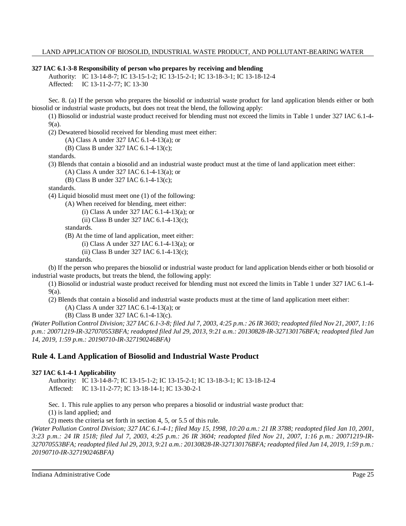#### **327 IAC 6.1-3-8 Responsibility of person who prepares by receiving and blending**

Authority: IC 13-14-8-7; IC 13-15-1-2; IC 13-15-2-1; IC 13-18-3-1; IC 13-18-12-4 Affected: IC 13-11-2-77; IC 13-30

Sec. 8. (a) If the person who prepares the biosolid or industrial waste product for land application blends either or both biosolid or industrial waste products, but does not treat the blend, the following apply:

(1) Biosolid or industrial waste product received for blending must not exceed the limits in Table 1 under 327 IAC 6.1-4- 9(a).

(2) Dewatered biosolid received for blending must meet either:

(A) Class A under 327 IAC 6.1-4-13(a); or

(B) Class B under 327 IAC 6.1-4-13(c);

standards.

(3) Blends that contain a biosolid and an industrial waste product must at the time of land application meet either:

(A) Class A under 327 IAC 6.1-4-13(a); or

(B) Class B under 327 IAC 6.1-4-13(c);

standards.

(4) Liquid biosolid must meet one (1) of the following:

(A) When received for blending, meet either:

(i) Class A under 327 IAC 6.1-4-13(a); or

(ii) Class B under 327 IAC 6.1-4-13(c);

standards.

(B) At the time of land application, meet either:

(i) Class A under 327 IAC 6.1-4-13(a); or

(ii) Class B under 327 IAC 6.1-4-13(c);

standards.

(b) If the person who prepares the biosolid or industrial waste product for land application blends either or both biosolid or industrial waste products, but treats the blend, the following apply:

(1) Biosolid or industrial waste product received for blending must not exceed the limits in Table 1 under 327 IAC 6.1-4- 9(a).

(2) Blends that contain a biosolid and industrial waste products must at the time of land application meet either:

(A) Class A under 327 IAC 6.1-4-13(a); or

(B) Class B under 327 IAC 6.1-4-13(c).

(Water Pollution Control Division; 327 IAC 6.1-3-8; filed Jul 7, 2003, 4:25 p.m.: 26 IR 3603; readopted filed Nov 21, 2007, 1:16 *p.m.: 20071219-IR-327070553BFA; readopted filed Jul 29, 2013, 9:21 a.m.: 20130828-IR-327130176BFA; readopted filed Jun 14, 2019, 1:59 p.m.: 20190710-IR-327190246BFA)*

## **Rule 4. Land Application of Biosolid and Industrial Waste Product**

#### **327 IAC 6.1-4-1 Applicability**

Authority: IC 13-14-8-7; IC 13-15-1-2; IC 13-15-2-1; IC 13-18-3-1; IC 13-18-12-4 Affected: IC 13-11-2-77; IC 13-18-14-1; IC 13-30-2-1

Sec. 1. This rule applies to any person who prepares a biosolid or industrial waste product that: (1) is land applied; and

(2) meets the criteria set forth in section 4, 5, or 5.5 of this rule.

(Water Pollution Control Division; 327 IAC 6.1-4-1; filed May 15, 1998, 10:20 a.m.: 21 IR 3788; readopted filed Jan 10, 2001, *3:23 p.m.: 24 IR 1518; filed Jul 7, 2003, 4:25 p.m.: 26 IR 3604; readopted filed Nov 21, 2007, 1:16 p.m.: 20071219-IR-*327070553BFA; readopted filed Jul 29, 2013, 9:21 a.m.: 20130828-IR-327130176BFA; readopted filed Jun 14, 2019, 1:59 p.m.: *20190710-IR-327190246BFA)*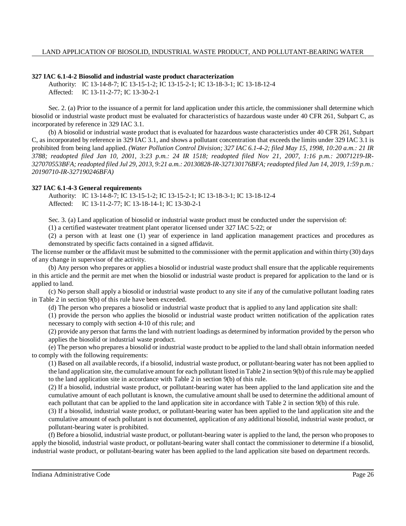## **327 IAC 6.1-4-2 Biosolid and industrial waste product characterization**

Authority: IC 13-14-8-7; IC 13-15-1-2; IC 13-15-2-1; IC 13-18-3-1; IC 13-18-12-4 Affected: IC 13-11-2-77; IC 13-30-2-1

Sec. 2. (a) Prior to the issuance of a permit for land application under this article, the commissioner shall determine which biosolid or industrial waste product must be evaluated for characteristics of hazardous waste under 40 CFR 261, Subpart C, as incorporated by reference in 329 IAC 3.1.

(b) A biosolid or industrial waste product that is evaluated for hazardous waste characteristics under 40 CFR 261, Subpart C, as incorporated by reference in 329 IAC 3.1, and shows a pollutant concentration that exceeds the limits under 329 IAC 3.1 is prohibited from being land applied. *(Water Pollution Control Division; 327 IAC 6.1-4-2; filed May 15, 1998, 10:20 a.m.: 21 IR 3788; readopted filed Jan 10, 2001, 3:23 p.m.: 24 IR 1518; readopted filed Nov 21, 2007, 1:16 p.m.: 20071219-IR-*327070553BFA; readopted filed Jul 29, 2013, 9:21 a.m.: 20130828-IR-327130176BFA; readopted filed Jun 14, 2019, 1:59 p.m.: *20190710-IR-327190246BFA)*

## **327 IAC 6.1-4-3 General requirements**

Authority: IC 13-14-8-7; IC 13-15-1-2; IC 13-15-2-1; IC 13-18-3-1; IC 13-18-12-4 Affected: IC 13-11-2-77; IC 13-18-14-1; IC 13-30-2-1

Sec. 3. (a) Land application of biosolid or industrial waste product must be conducted under the supervision of:

(1) a certified wastewater treatment plant operator licensed under 327 IAC 5-22; or

(2) a person with at least one (1) year of experience in land application management practices and procedures as demonstrated by specific facts contained in a signed affidavit.

The license number or the affidavit must be submitted to the commissioner with the permit application and within thirty (30) days of any change in supervisor of the activity.

(b) Any person who prepares or applies a biosolid or industrial waste product shall ensure that the applicable requirements in this article and the permit are met when the biosolid or industrial waste product is prepared for application to the land or is applied to land.

(c) No person shall apply a biosolid or industrial waste product to any site if any of the cumulative pollutant loading rates in Table 2 in section 9(b) of this rule have been exceeded.

(d) The person who prepares a biosolid or industrial waste product that is applied to any land application site shall:

(1) provide the person who applies the biosolid or industrial waste product written notification of the application rates necessary to comply with section 4-10 of this rule; and

(2) provide any person that farms the land with nutrient loadings as determined by information provided by the person who applies the biosolid or industrial waste product.

(e) The person who prepares a biosolid or industrial waste product to be applied to the land shall obtain information needed to comply with the following requirements:

(1) Based on all available records, if a biosolid, industrial waste product, or pollutant-bearing water has not been applied to the land application site, the cumulative amount for each pollutant listed in Table 2 in section 9(b) ofthisrule may be applied to the land application site in accordance with Table 2 in section 9(b) of this rule.

(2) If a biosolid, industrial waste product, or pollutant-bearing water has been applied to the land application site and the cumulative amount of each pollutant is known, the cumulative amount shall be used to determine the additional amount of each pollutant that can be applied to the land application site in accordance with Table 2 in section 9(b) of this rule.

(3) If a biosolid, industrial waste product, or pollutant-bearing water has been applied to the land application site and the cumulative amount of each pollutant is not documented, application of any additional biosolid, industrial waste product, or pollutant-bearing water is prohibited.

(f) Before a biosolid, industrial waste product, or pollutant-bearing water is applied to the land, the person who proposes to apply the biosolid, industrial waste product, or pollutant-bearing water shall contact the commissioner to determine if a biosolid, industrial waste product, or pollutant-bearing water has been applied to the land application site based on department records.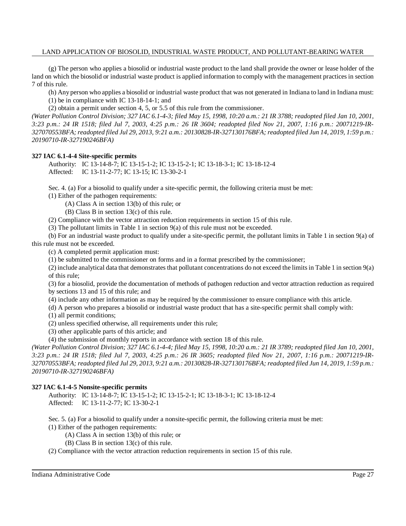(g) The person who applies a biosolid or industrial waste product to the land shall provide the owner or lease holder of the land on which the biosolid or industrial waste product is applied information to comply with the management practices in section 7 of this rule.

(h) Any person who applies a biosolid or industrial waste product that was not generated in Indiana to land in Indiana must:

(1) be in compliance with IC 13-18-14-1; and

(2) obtain a permit under section 4, 5, or 5.5 of this rule from the commissioner.

(Water Pollution Control Division; 327 IAC 6.1-4-3; filed May 15, 1998, 10:20 a.m.: 21 IR 3788; readopted filed Jan 10, 2001, *3:23 p.m.: 24 IR 1518; filed Jul 7, 2003, 4:25 p.m.: 26 IR 3604; readopted filed Nov 21, 2007, 1:16 p.m.: 20071219-IR-*327070553BFA; readopted filed Jul 29, 2013, 9:21 a.m.: 20130828-IR-327130176BFA; readopted filed Jun 14, 2019, 1:59 p.m.: *20190710-IR-327190246BFA)*

## **327 IAC 6.1-4-4 Site-specific permits**

Authority: IC 13-14-8-7; IC 13-15-1-2; IC 13-15-2-1; IC 13-18-3-1; IC 13-18-12-4 Affected: IC 13-11-2-77; IC 13-15; IC 13-30-2-1

Sec. 4. (a) For a biosolid to qualify under a site-specific permit, the following criteria must be met: (1) Either of the pathogen requirements:

(A) Class A in section 13(b) of this rule; or

(B) Class B in section 13(c) of this rule.

(2) Compliance with the vector attraction reduction requirements in section 15 of this rule.

(3) The pollutant limits in Table 1 in section 9(a) of this rule must not be exceeded.

(b) For an industrial waste product to qualify under a site-specific permit, the pollutant limits in Table 1 in section 9(a) of this rule must not be exceeded.

(c) A completed permit application must:

(1) be submitted to the commissioner on forms and in a format prescribed by the commissioner;

(2) include analytical data that demonstrates that pollutant concentrations do not exceed the limitsin Table 1 in section 9(a) of this rule;

(3) for a biosolid, provide the documentation of methods of pathogen reduction and vector attraction reduction as required by sections 13 and 15 of this rule; and

(4) include any other information as may be required by the commissioner to ensure compliance with this article.

(d) A person who prepares a biosolid or industrial waste product that has a site-specific permit shall comply with:

(1) all permit conditions;

(2) unless specified otherwise, all requirements under this rule;

(3) other applicable parts of this article; and

(4) the submission of monthly reports in accordance with section 18 of this rule.

(Water Pollution Control Division; 327 IAC 6.1-4-4; filed May 15, 1998, 10:20 a.m.: 21 IR 3789; readopted filed Jan 10, 2001, 3:23 p.m.: 24 IR 1518; filed Jul 7, 2003, 4:25 p.m.: 26 IR 3605; readopted filed Nov 21, 2007, 1:16 p.m.: 20071219-IR-327070553BFA; readopted filed Jul 29, 2013, 9:21 a.m.: 20130828-IR-327130176BFA; readopted filed Jun 14, 2019, 1:59 p.m.: *20190710-IR-327190246BFA)*

## **327 IAC 6.1-4-5 Nonsite-specific permits**

Authority: IC 13-14-8-7; IC 13-15-1-2; IC 13-15-2-1; IC 13-18-3-1; IC 13-18-12-4 Affected: IC 13-11-2-77; IC 13-30-2-1

Sec. 5. (a) For a biosolid to qualify under a nonsite-specific permit, the following criteria must be met: (1) Either of the pathogen requirements:

(A) Class A in section 13(b) of this rule; or

(B) Class B in section 13(c) of this rule.

(2) Compliance with the vector attraction reduction requirements in section 15 of this rule.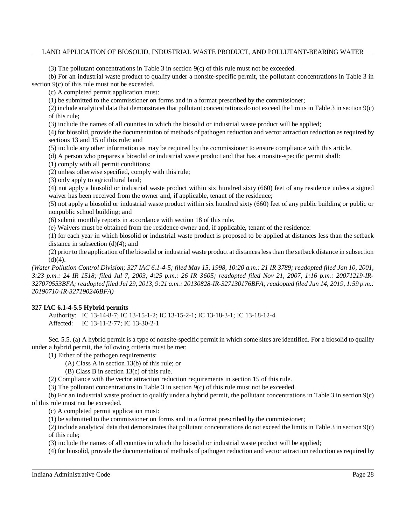(3) The pollutant concentrations in Table 3 in section  $9(c)$  of this rule must not be exceeded.

(b) For an industrial waste product to qualify under a nonsite-specific permit, the pollutant concentrations in Table 3 in section 9(c) of this rule must not be exceeded.

(c) A completed permit application must:

(1) be submitted to the commissioner on forms and in a format prescribed by the commissioner;

(2) include analytical data that demonstratesthat pollutant concentrations do not exceed the limits in Table 3 in section 9(c) of this rule;

(3) include the names of all counties in which the biosolid or industrial waste product will be applied;

(4) for biosolid, provide the documentation of methods of pathogen reduction and vector attraction reduction as required by sections 13 and 15 of this rule; and

(5) include any other information as may be required by the commissioner to ensure compliance with this article.

(d) A person who prepares a biosolid or industrial waste product and that has a nonsite-specific permit shall:

(1) comply with all permit conditions;

(2) unless otherwise specified, comply with this rule;

(3) only apply to agricultural land;

(4) not apply a biosolid or industrial waste product within six hundred sixty (660) feet of any residence unless a signed waiver has been received from the owner and, if applicable, tenant of the residence;

(5) not apply a biosolid or industrial waste product within six hundred sixty (660) feet of any public building or public or nonpublic school building; and

(6) submit monthly reports in accordance with section 18 of this rule.

(e) Waivers must be obtained from the residence owner and, if applicable, tenant of the residence:

(1) for each year in which biosolid or industrial waste product is proposed to be applied at distances less than the setback distance in subsection (d)(4); and

(2) prior to the application of the biosolid or industrial waste product at distanceslessthan the setback distance in subsection  $(d)(4)$ .

(Water Pollution Control Division; 327 IAC 6.1-4-5; filed May 15, 1998, 10:20 a.m.: 21 IR 3789; readopted filed Jan 10, 2001, *3:23 p.m.: 24 IR 1518; filed Jul 7, 2003, 4:25 p.m.: 26 IR 3605; readopted filed Nov 21, 2007, 1:16 p.m.: 20071219-IR-*327070553BFA; readopted filed Jul 29, 2013, 9:21 a.m.: 20130828-IR-327130176BFA; readopted filed Jun 14, 2019, 1:59 p.m.: *20190710-IR-327190246BFA)*

## **327 IAC 6.1-4-5.5 Hybrid permits**

Authority: IC 13-14-8-7; IC 13-15-1-2; IC 13-15-2-1; IC 13-18-3-1; IC 13-18-12-4 Affected: IC 13-11-2-77; IC 13-30-2-1

Sec. 5.5. (a) A hybrid permit is a type of nonsite-specific permit in which some sites are identified. For a biosolid to qualify under a hybrid permit, the following criteria must be met:

(1) Either of the pathogen requirements:

(A) Class A in section 13(b) of this rule; or

(B) Class B in section 13(c) of this rule.

(2) Compliance with the vector attraction reduction requirements in section 15 of this rule.

(3) The pollutant concentrations in Table 3 in section 9(c) of this rule must not be exceeded.

(b) For an industrial waste product to qualify under a hybrid permit, the pollutant concentrations in Table 3 in section 9(c) of this rule must not be exceeded.

(c) A completed permit application must:

(1) be submitted to the commissioner on forms and in a format prescribed by the commissioner;

(2) include analytical data that demonstrates that pollutant concentrations do not exceed the limits in Table  $3$  in section  $9(c)$ of this rule;

(3) include the names of all counties in which the biosolid or industrial waste product will be applied;

(4) for biosolid, provide the documentation of methods of pathogen reduction and vector attraction reduction as required by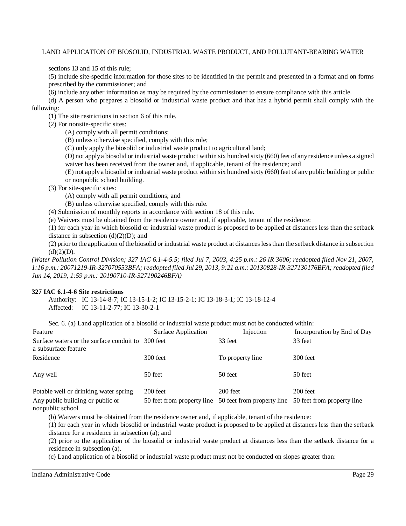sections 13 and 15 of this rule;

(5) include site-specific information for those sites to be identified in the permit and presented in a format and on forms prescribed by the commissioner; and

(6) include any other information as may be required by the commissioner to ensure compliance with this article.

(d) A person who prepares a biosolid or industrial waste product and that has a hybrid permit shall comply with the following:

(1) The site restrictions in section 6 of this rule.

(2) For nonsite-specific sites:

(A) comply with all permit conditions;

(B) unless otherwise specified, comply with this rule;

(C) only apply the biosolid or industrial waste product to agricultural land;

(D) not applya biosolid or industrial waste product within six hundred sixty (660) feet of anyresidence unless a signed waiver has been received from the owner and, if applicable, tenant of the residence; and

(E) not apply a biosolid or industrial waste product within six hundred sixty (660) feet of any public building or public or nonpublic school building.

(3) For site-specific sites:

(A) comply with all permit conditions; and

(B) unless otherwise specified, comply with this rule.

(4) Submission of monthly reports in accordance with section 18 of this rule.

(e) Waivers must be obtained from the residence owner and, if applicable, tenant of the residence:

(1) for each year in which biosolid or industrial waste product is proposed to be applied at distances less than the setback distance in subsection  $(d)(2)(D)$ ; and

(2) prior to the application of the biosolid or industrial waste product at distanceslessthan the setback distance in subsection  $(d)(2)(D).$ 

*(Water Pollution Control Division; 327 IAC 6.1-4-5.5; filed Jul 7, 2003, 4:25 p.m.: 26 IR 3606; readopted filed Nov 21, 2007, 1:16 p.m.: 20071219-IR-327070553BFA; readopted filed Jul 29, 2013, 9:21 a.m.: 20130828-IR-327130176BFA; readopted filed Jun 14, 2019, 1:59 p.m.: 20190710-IR-327190246BFA)*

#### **327 IAC 6.1-4-6 Site restrictions**

Authority: IC 13-14-8-7; IC 13-15-1-2; IC 13-15-2-1; IC 13-18-3-1; IC 13-18-12-4 Affected: IC 13-11-2-77; IC 13-30-2-1

Sec. 6. (a) Land application of a biosolid or industrial waste product must not be conducted within:

| Feature                                                          | Surface Application        | Injection        | Incorporation by End of Day                           |  |
|------------------------------------------------------------------|----------------------------|------------------|-------------------------------------------------------|--|
| Surface waters or the surface conduit to<br>a subsurface feature | 300 feet                   | 33 feet          | 33 feet                                               |  |
| Residence                                                        | 300 feet                   | To property line | 300 feet                                              |  |
| Any well                                                         | 50 feet                    | 50 feet          | 50 feet                                               |  |
| Potable well or drinking water spring                            | 200 feet                   | $200$ feet       | $200$ feet                                            |  |
| Any public building or public or<br>nonpublic school             | 50 feet from property line |                  | 50 feet from property line 50 feet from property line |  |

(b) Waivers must be obtained from the residence owner and, if applicable, tenant of the residence:

(1) for each year in which biosolid or industrial waste product is proposed to be applied at distances less than the setback distance for a residence in subsection (a); and

(2) prior to the application of the biosolid or industrial waste product at distances less than the setback distance for a residence in subsection (a).

(c) Land application of a biosolid or industrial waste product must not be conducted on slopes greater than: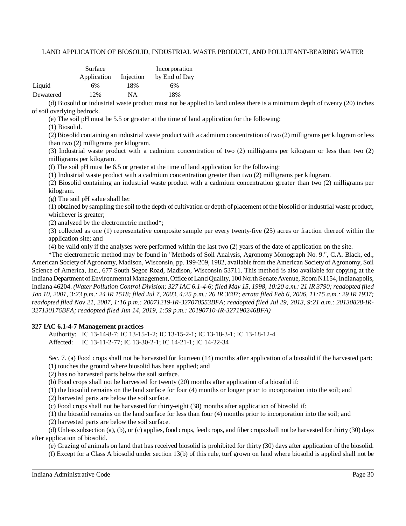|           | Surface     |           | Incorporation |  |
|-----------|-------------|-----------|---------------|--|
|           | Application | Injection | by End of Day |  |
| Liquid    | 6%          | 18%       | 6%            |  |
| Dewatered | 12%         | NΑ        | 18%           |  |

(d) Biosolid or industrial waste product must not be applied to land unless there is a minimum depth of twenty (20) inches of soil overlying bedrock.

(e) The soil pH must be 5.5 or greater at the time of land application for the following:

(1) Biosolid.

(2) Biosolid containing an industrial waste product with a cadmium concentration of two (2) milligrams per kilogram or less than two (2) milligrams per kilogram.

(3) Industrial waste product with a cadmium concentration of two (2) milligrams per kilogram or less than two (2) milligrams per kilogram.

(f) The soil pH must be 6.5 or greater at the time of land application for the following:

(1) Industrial waste product with a cadmium concentration greater than two (2) milligrams per kilogram.

(2) Biosolid containing an industrial waste product with a cadmium concentration greater than two (2) milligrams per kilogram.

(g) The soil pH value shall be:

(1) obtained by sampling the soil to the depth of cultivation or depth of placement of the biosolid or industrial waste product, whichever is greater;

(2) analyzed by the electrometric method\*;

(3) collected as one (1) representative composite sample per every twenty-five (25) acres or fraction thereof within the application site; and

(4) be valid only if the analyses were performed within the last two (2) years of the date of application on the site.

\*The electrometric method may be found in "Methods of Soil Analysis, Agronomy Monograph No. 9.", C.A. Black, ed., American Society of Agronomy, Madison, Wisconsin, pp. 199-209, 1982, available from the American Society of Agronomy, Soil Science of America, Inc., 677 South Segoe Road, Madison, Wisconsin 53711. This method is also available for copying at the Indiana Department of Environmental Management, Office of Land Quality, 100 North Senate Avenue, Room N1154, Indianapolis, Indiana 46204. (Water Pollution Control Division; 327 IAC 6.1-4-6; filed May 15, 1998, 10:20 a.m.: 21 IR 3790; readopted filed Jan 10, 2001, 3:23 p.m.: 24 IR 1518; filed Jul 7, 2003, 4:25 p.m.: 26 IR 3607; errata filed Feb 6, 2006, 11:15 a.m.: 29 IR 1937; *readopted filed Nov 21, 2007, 1:16 p.m.: 20071219-IR-327070553BFA; readopted filed Jul 29, 2013, 9:21 a.m.: 20130828-IR-327130176BFA; readopted filed Jun 14, 2019, 1:59 p.m.: 20190710-IR-327190246BFA)*

## **327 IAC 6.1-4-7 Management practices**

Authority: IC 13-14-8-7; IC 13-15-1-2; IC 13-15-2-1; IC 13-18-3-1; IC 13-18-12-4 Affected: IC 13-11-2-77; IC 13-30-2-1; IC 14-21-1; IC 14-22-34

Sec. 7. (a) Food crops shall not be harvested for fourteen (14) months after application of a biosolid if the harvested part: (1) touches the ground where biosolid has been applied; and

(2) has no harvested parts below the soil surface.

(b) Food crops shall not be harvested for twenty (20) months after application of a biosolid if:

(1) the biosolid remains on the land surface for four (4) months or longer prior to incorporation into the soil; and

(2) harvested parts are below the soil surface.

(c) Food crops shall not be harvested for thirty-eight (38) months after application of biosolid if:

(1) the biosolid remains on the land surface for less than four (4) months prior to incorporation into the soil; and

(2) harvested parts are below the soil surface.

(d) Unless subsection (a), (b), or (c) applies, food crops, feed crops, and fiber cropsshall not be harvested for thirty (30) days after application of biosolid.

(e) Grazing of animals on land that has received biosolid is prohibited for thirty (30) days after application of the biosolid.

(f) Except for a Class A biosolid under section 13(b) of this rule, turf grown on land where biosolid is applied shall not be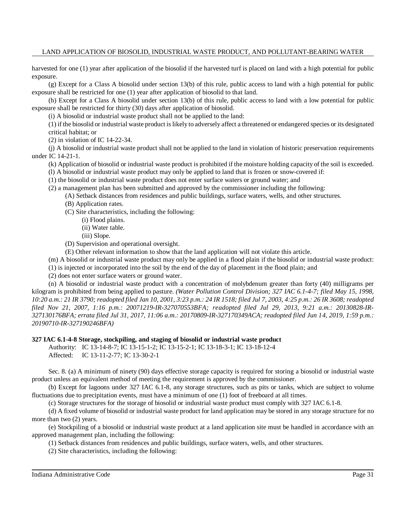harvested for one (1) year after application of the biosolid if the harvested turf is placed on land with a high potential for public exposure.

(g) Except for a Class A biosolid under section 13(b) of this rule, public access to land with a high potential for public exposure shall be restricted for one (1) year after application of biosolid to that land.

(h) Except for a Class A biosolid under section 13(b) of this rule, public access to land with a low potential for public exposure shall be restricted for thirty (30) days after application of biosolid.

(i) A biosolid or industrial waste product shall not be applied to the land:

(1) if the biosolid or industrial waste product islikely to adversely affect a threatened or endangered species or its designated critical habitat; or

(2) in violation of IC 14-22-34.

(j) A biosolid or industrial waste product shall not be applied to the land in violation of historic preservation requirements under IC 14-21-1.

(k) Application of biosolid or industrial waste product is prohibited if the moisture holding capacity of the soil is exceeded.

(l) A biosolid or industrial waste product may only be applied to land that is frozen or snow-covered if:

(1) the biosolid or industrial waste product does not enter surface waters or ground water; and

(2) a management plan has been submitted and approved by the commissioner including the following:

(A) Setback distances from residences and public buildings, surface waters, wells, and other structures.

(B) Application rates.

(C) Site characteristics, including the following:

- (i) Flood plains.
- (ii) Water table.
- (iii) Slope.
- (D) Supervision and operational oversight.
- (E) Other relevant information to show that the land application will not violate this article.

(m) A biosolid or industrial waste product may only be applied in a flood plain if the biosolid or industrial waste product:

(1) is injected or incorporated into the soil by the end of the day of placement in the flood plain; and

(2) does not enter surface waters or ground water.

(n) A biosolid or industrial waste product with a concentration of molybdenum greater than forty (40) milligrams per kilogram is prohibited from being applied to pasture. *(Water Pollution Control Division; 327 IAC 6.1-4-7; filed May 15, 1998,* 10:20 a.m.: 21 IR 3790; readopted filed Jan 10, 2001, 3:23 p.m.: 24 IR 1518; filed Jul 7, 2003, 4:25 p.m.: 26 IR 3608; readopted *filed Nov 21, 2007, 1:16 p.m.: 20071219-IR-327070553BFA; readopted filed Jul 29, 2013, 9:21 a.m.: 20130828-IR-327130176BFA; errata filed Jul 31, 2017, 11:06 a.m.: 20170809-IR-327170349ACA; readopted filed Jun 14, 2019, 1:59 p.m.: 20190710-IR-327190246BFA)*

#### **327 IAC 6.1-4-8 Storage, stockpiling, and staging of biosolid or industrial waste product**

Authority: IC 13-14-8-7; IC 13-15-1-2; IC 13-15-2-1; IC 13-18-3-1; IC 13-18-12-4

Affected: IC 13-11-2-77; IC 13-30-2-1

Sec. 8. (a) A minimum of ninety (90) days effective storage capacity is required for storing a biosolid or industrial waste product unless an equivalent method of meeting the requirement is approved by the commissioner.

(b) Except for lagoons under 327 IAC 6.1-8, any storage structures, such as pits or tanks, which are subject to volume fluctuations due to precipitation events, must have a minimum of one (1) foot of freeboard at all times.

(c) Storage structures for the storage of biosolid or industrial waste product must comply with 327 IAC 6.1-8.

(d) A fixed volume of biosolid or industrial waste product for land application may be stored in any storage structure for no more than two (2) years.

(e) Stockpiling of a biosolid or industrial waste product at a land application site must be handled in accordance with an approved management plan, including the following:

(1) Setback distances from residences and public buildings, surface waters, wells, and other structures.

(2) Site characteristics, including the following: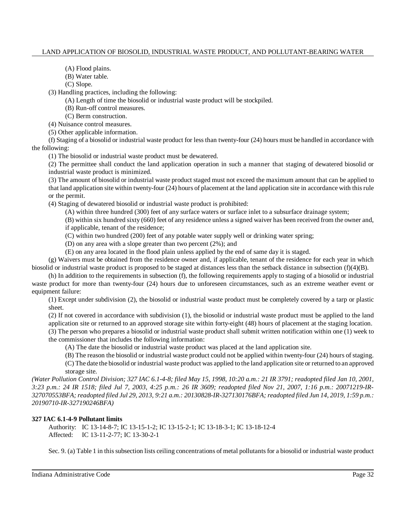(A) Flood plains.

(B) Water table.

(C) Slope.

(3) Handling practices, including the following:

(A) Length of time the biosolid or industrial waste product will be stockpiled.

(B) Run-off control measures.

(C) Berm construction.

(4) Nuisance control measures.

(5) Other applicable information.

(f) Staging of a biosolid or industrial waste product for less than twenty-four (24) hours must be handled in accordance with the following:

(1) The biosolid or industrial waste product must be dewatered.

(2) The permittee shall conduct the land application operation in such a manner that staging of dewatered biosolid or industrial waste product is minimized.

(3) The amount of biosolid or industrial waste product staged must not exceed the maximum amount that can be applied to that land application site within twenty-four (24) hours of placement at the land application site in accordance with thisrule or the permit.

(4) Staging of dewatered biosolid or industrial waste product is prohibited:

(A) within three hundred (300) feet of any surface waters or surface inlet to a subsurface drainage system;

(B) within six hundred sixty (660) feet of any residence unless a signed waiver has been received from the owner and, if applicable, tenant of the residence;

(C) within two hundred (200) feet of any potable water supply well or drinking water spring;

(D) on any area with a slope greater than two percent (2%); and

(E) on any area located in the flood plain unless applied by the end of same day it is staged.

(g) Waivers must be obtained from the residence owner and, if applicable, tenant of the residence for each year in which biosolid or industrial waste product is proposed to be staged at distances less than the setback distance in subsection (f)(4)(B).

(h) In addition to the requirements in subsection (f), the following requirements apply to staging of a biosolid or industrial waste product for more than twenty-four (24) hours due to unforeseen circumstances, such as an extreme weather event or equipment failure:

(1) Except under subdivision (2), the biosolid or industrial waste product must be completely covered by a tarp or plastic sheet.

(2) If not covered in accordance with subdivision (1), the biosolid or industrial waste product must be applied to the land application site or returned to an approved storage site within forty-eight (48) hours of placement at the staging location.

(3) The person who prepares a biosolid or industrial waste product shall submit written notification within one (1) week to the commissioner that includes the following information:

(A) The date the biosolid or industrial waste product was placed at the land application site.

(B) The reason the biosolid or industrial waste product could not be applied within twenty-four (24) hours ofstaging. (C) The date the biosolid or industrial waste product was applied to the land application site or returned to an approved storage site.

(Water Pollution Control Division; 327 IAC 6.1-4-8; filed May 15, 1998, 10:20 a.m.: 21 IR 3791; readopted filed Jan 10, 2001, *3:23 p.m.: 24 IR 1518; filed Jul 7, 2003, 4:25 p.m.: 26 IR 3609; readopted filed Nov 21, 2007, 1:16 p.m.: 20071219-IR-*327070553BFA; readopted filed Jul 29, 2013, 9:21 a.m.: 20130828-IR-327130176BFA; readopted filed Jun 14, 2019, 1:59 p.m.: *20190710-IR-327190246BFA)*

## **327 IAC 6.1-4-9 Pollutant limits**

Authority: IC 13-14-8-7; IC 13-15-1-2; IC 13-15-2-1; IC 13-18-3-1; IC 13-18-12-4 Affected: IC 13-11-2-77; IC 13-30-2-1

Sec. 9. (a) Table 1 in this subsection lists ceiling concentrations of metal pollutants for a biosolid or industrial waste product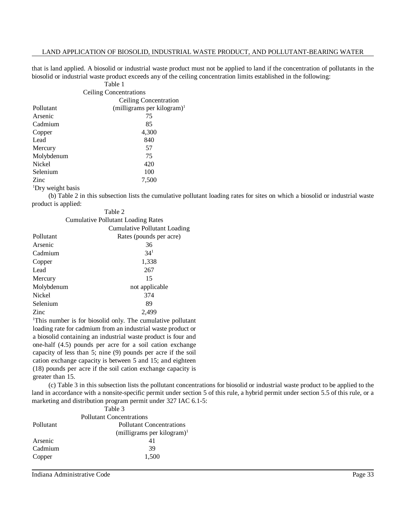that is land applied. A biosolid or industrial waste product must not be applied to land if the concentration of pollutants in the biosolid or industrial waste product exceeds any of the ceiling concentration limits established in the following:

| Table 1                |                                        |  |  |
|------------------------|----------------------------------------|--|--|
| Ceiling Concentrations |                                        |  |  |
|                        | Ceiling Concentration                  |  |  |
| Pollutant              | (milligrams per kilogram) <sup>1</sup> |  |  |
| Arsenic                | 75                                     |  |  |
| Cadmium                | 85                                     |  |  |
| Copper                 | 4,300                                  |  |  |
| Lead                   | 840                                    |  |  |
| Mercury                | 57                                     |  |  |
| Molybdenum             | 75                                     |  |  |
| Nickel                 | 420                                    |  |  |
| Selenium               | 100                                    |  |  |
| Zinc                   | 7,500                                  |  |  |
| 'Dry weight basis      |                                        |  |  |

(b) Table 2 in this subsection lists the cumulative pollutant loading rates for sites on which a biosolid or industrial waste product is applied:  $T<sub>1</sub>$ 

|                                    | Table 2                             |  |  |
|------------------------------------|-------------------------------------|--|--|
| Cumulative Pollutant Loading Rates |                                     |  |  |
|                                    | <b>Cumulative Pollutant Loading</b> |  |  |
| Pollutant                          | Rates (pounds per acre)             |  |  |
| Arsenic                            | 36                                  |  |  |
| Cadmium                            | 34 <sup>1</sup>                     |  |  |
| Copper                             | 1,338                               |  |  |
| Lead                               | 267                                 |  |  |
| Mercury                            | 15                                  |  |  |
| Molybdenum                         | not applicable                      |  |  |
| Nickel                             | 374                                 |  |  |
| Selenium                           | 89                                  |  |  |
| Zinc                               | 2,499                               |  |  |
|                                    |                                     |  |  |

<sup>1</sup>This number is for biosolid only. The cumulative pollutant loading rate for cadmium from an industrial waste product or a biosolid containing an industrial waste product is four and one-half (4.5) pounds per acre for a soil cation exchange capacity of less than 5; nine (9) pounds per acre if the soil cation exchange capacity is between 5 and 15; and eighteen (18) pounds per acre if the soil cation exchange capacity is greater than 15.

(c) Table 3 in this subsection lists the pollutant concentrations for biosolid or industrial waste product to be applied to the land in accordance with a nonsite-specific permit under section 5 of this rule, a hybrid permit under section 5.5 of this rule, or a marketing and distribution program permit under 327 IAC 6.1-5:

|           | Table 3                                |
|-----------|----------------------------------------|
|           | <b>Pollutant Concentrations</b>        |
| Pollutant | Pollutant Concentrations               |
|           | (milligrams per kilogram) <sup>1</sup> |
| Arsenic   | 41                                     |
| Cadmium   | 39                                     |
| Copper    | 1,500                                  |

Indiana Administrative Code Page 33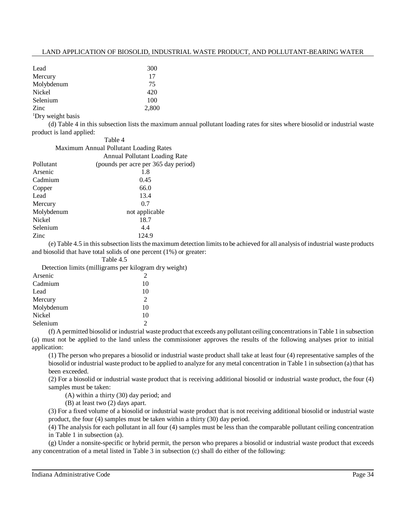| Lead                          | 300   |
|-------------------------------|-------|
| Mercury                       | 17    |
| Molybdenum                    | 75    |
| Nickel                        | 420   |
| Selenium                      | 100   |
| Zinc                          | 2,800 |
| <sup>1</sup> Dry weight basis |       |

(d) Table 4 in this subsection lists the maximum annual pollutant loading rates for sites where biosolid or industrial waste product is land applied:

|                                        | Table 4                              |  |  |  |
|----------------------------------------|--------------------------------------|--|--|--|
| Maximum Annual Pollutant Loading Rates |                                      |  |  |  |
|                                        | Annual Pollutant Loading Rate        |  |  |  |
| Pollutant                              | (pounds per acre per 365 day period) |  |  |  |
| Arsenic                                | 1.8                                  |  |  |  |
| Cadmium                                | 0.45                                 |  |  |  |
| Copper                                 | 66.0                                 |  |  |  |
| Lead                                   | 13.4                                 |  |  |  |
| Mercury                                | 0.7                                  |  |  |  |
| Molybdenum                             | not applicable                       |  |  |  |
| Nickel                                 | 18.7                                 |  |  |  |
| Selenium                               | 4.4                                  |  |  |  |
| Zinc                                   | 124.9                                |  |  |  |

(e) Table 4.5 in thissubsection liststhe maximum detection limitsto be achieved for all analysis of industrial waste products and biosolid that have total solids of one percent (1%) or greater:

Table 4.5

Detection limits (milligrams per kilogram dry weight)

| Arsenic    | 2              |
|------------|----------------|
| Cadmium    | 10             |
| Lead       | 10             |
| Mercury    | $\mathfrak{D}$ |
| Molybdenum | 10             |
| Nickel     | 10             |
| Selenium   | $\mathcal{D}$  |

(f) A permitted biosolid or industrial waste product that exceeds anypollutant ceiling concentrationsin Table 1 in subsection (a) must not be applied to the land unless the commissioner approves the results of the following analyses prior to initial application:

(1) The person who prepares a biosolid or industrial waste product shall take at least four (4) representative samples of the biosolid or industrial waste product to be applied to analyze for any metal concentration in Table 1 in subsection (a) that has been exceeded.

(2) For a biosolid or industrial waste product that is receiving additional biosolid or industrial waste product, the four (4) samples must be taken:

(A) within a thirty (30) day period; and

(B) at least two (2) days apart.

(3) For a fixed volume of a biosolid or industrial waste product that is not receiving additional biosolid or industrial waste product, the four (4) samples must be taken within a thirty (30) day period.

(4) The analysis for each pollutant in all four (4) samples must be less than the comparable pollutant ceiling concentration in Table 1 in subsection (a).

(g) Under a nonsite-specific or hybrid permit, the person who prepares a biosolid or industrial waste product that exceeds any concentration of a metal listed in Table 3 in subsection (c) shall do either of the following: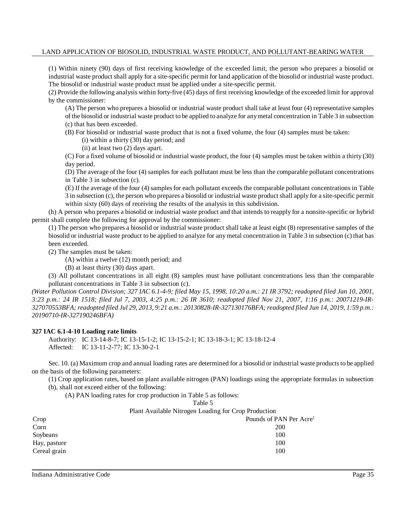(1) Within ninety (90) days of first receiving knowledge of the exceeded limit, the person who prepares a biosolid or industrial waste product shall apply for a site-specific permit for land application of the biosolid or industrial waste product. The biosolid or industrial waste product must be applied under a site-specific permit.

(2) Provide the following analysis within forty-five (45) days of first receiving knowledge of the exceeded limit for approval by the commissioner:

(A) The person who prepares a biosolid or industrial waste product shall take at least four (4) representative samples of the biosolid or industrial waste product to be applied to analyze for anymetal concentration in Table 3 in subsection (c) that has been exceeded.

(B) For biosolid or industrial waste product that is not a fixed volume, the four (4) samples must be taken:

(i) within a thirty (30) day period; and

(ii) at least two (2) days apart.

(C) For a fixed volume of biosolid or industrial waste product, the four (4) samples must be taken within a thirty (30) day period.

(D) The average of the four (4) samples for each pollutant must be less than the comparable pollutant concentrations in Table 3 in subsection (c).

(E) If the average of the four (4)samplesfor each pollutant exceeds the comparable pollutant concentrations in Table 3 in subsection (c), the person who prepares a biosolid or industrial waste product shall apply for a site-specific permit within sixty (60) days of receiving the results of the analysis in this subdivision.

(h) A person who prepares a biosolid or industrial waste product and that intends to reapply for a nonsite-specific or hybrid permit shall complete the following for approval by the commissioner:

(1) The person who prepares a biosolid or industrial waste product shall take at least eight (8) representative samples of the biosolid or industrial waste product to be applied to analyze for any metal concentration in Table 3 in subsection (c) that has been exceeded.

(2) The samples must be taken:

(A) within a twelve (12) month period; and

(B) at least thirty (30) days apart.

(3) All pollutant concentrations in all eight (8) samples must have pollutant concentrations less than the comparable pollutant concentrations in Table 3 in subsection (c).

(Water Pollution Control Division; 327 IAC 6.1-4-9; filed May 15, 1998, 10:20 a.m.: 21 IR 3792; readopted filed Jan 10, 2001, 3:23 p.m.: 24 IR 1518; filed Jul 7, 2003, 4:25 p.m.: 26 IR 3610; readopted filed Nov 21, 2007, 1:16 p.m.: 20071219-IR-327070553BFA; readopted filed Jul 29, 2013, 9:21 a.m.: 20130828-IR-327130176BFA; readopted filed Jun 14, 2019, 1:59 p.m.: *20190710-IR-327190246BFA)*

## **327 IAC 6.1-4-10 Loading rate limits**

Authority: IC 13-14-8-7; IC 13-15-1-2; IC 13-15-2-1; IC 13-18-3-1; IC 13-18-12-4 Affected: IC 13-11-2-77; IC 13-30-2-1

Sec. 10. (a) Maximum crop and annual loading rates are determined for a biosolid or industrial waste products to be applied on the basis of the following parameters:

(1) Crop application rates, based on plant available nitrogen (PAN) loadings using the appropriate formulas in subsection

(b), shall not exceed either of the following:

(A) PAN loading rates for crop production in Table 5 as follows:

| Fable |
|-------|
|-------|

Plant Available Nitrogen Loading for Crop Production

| Crop         | Pounds of PAN Per Acre <sup>1</sup> |
|--------------|-------------------------------------|
| Corn         | <b>200</b>                          |
| Soybeans     | 100                                 |
| Hay, pasture | 100                                 |
| Cereal grain | 100                                 |
|              |                                     |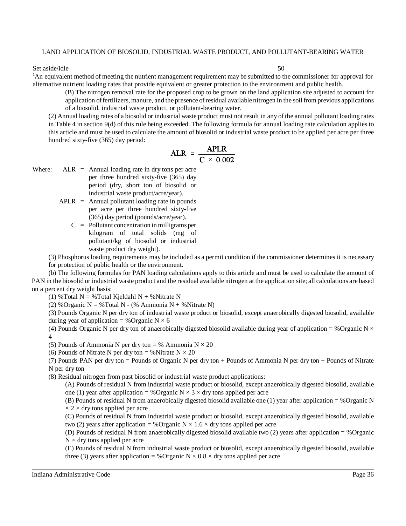#### Set aside/idle 50

<sup>1</sup>An equivalent method of meeting the nutrient management requirement may be submitted to the commissioner for approval for alternative nutrient loading rates that provide equivalent or greater protection to the environment and public health.

(B) The nitrogen removal rate for the proposed crop to be grown on the land application site adjusted to account for application offertilizers, manure, and the presence ofresidual available nitrogen in the soil from previous applications of a biosolid, industrial waste product, or pollutant-bearing water.

(2) Annual loading rates of a biosolid or industrial waste product must not result in any of the annual pollutant loading rates in Table 4 in section 9(d) of this rule being exceeded. The following formula for annual loading rate calculation applies to this article and must be used to calculate the amount of biosolid or industrial waste product to be applied per acre per three hundred sixty-five (365) day period:

$$
ALR = \frac{APLR}{C \times 0.002}
$$

- Where:  $ALR = Annual loading rate in dry tons per acre$ per three hundred sixty-five (365) day period (dry, short ton of biosolid or industrial waste product/acre/year).
	- $APLR =$  Annual pollutant loading rate in pounds per acre per three hundred sixty-five (365) day period (pounds/acre/year).
		- $C =$  Pollutant concentration in milligrams per kilogram of total solids (mg of pollutant/kg of biosolid or industrial waste product dry weight).

(3) Phosphorus loading requirements may be included as a permit condition if the commissioner determines it is necessary

for protection of public health or the environment.

(b) The following formulas for PAN loading calculations apply to this article and must be used to calculate the amount of PAN in the biosolid or industrial waste product and the residual available nitrogen at the application site; all calculations are based on a percent dry weight basis:

(1) % Total N = % Total Kjeldahl N + % Nitrate N

(2) %Organic  $N = %Total N - (%)$  Ammonia  $N + %N$  Nitrate N)

(3) Pounds Organic N per dry ton of industrial waste product or biosolid, except anaerobically digested biosolid, available during year of application = %Organic  $N \times 6$ 

(4) Pounds Organic N per dry ton of anaerobically digested biosolid available during year of application = %Organic N  $\times$ 4

(5) Pounds of Ammonia N per dry ton = % Ammonia  $N \times 20$ 

(6) Pounds of Nitrate N per dry ton = %Nitrate  $N \times 20$ 

(7) Pounds PAN per dry ton = Pounds of Organic N per dry ton + Pounds of Ammonia N per dry ton + Pounds of Nitrate N per dry ton

(8) Residual nitrogen from past biosolid or industrial waste product applications:

(A) Pounds of residual N from industrial waste product or biosolid, except anaerobically digested biosolid, available one (1) year after application = %Organic  $N \times 3 \times$  dry tons applied per acre

(B) Pounds of residual N from anaerobically digested biosolid available one (1) year after application = %Organic N  $\times$  2  $\times$  dry tons applied per acre

(C) Pounds of residual N from industrial waste product or biosolid, except anaerobically digested biosolid, available two (2) years after application = %Organic  $N \times 1.6 \times$  dry tons applied per acre

(D) Pounds of residual N from anaerobically digested biosolid available two (2) years after application = %Organic  $N \times$  dry tons applied per acre

(E) Pounds of residual N from industrial waste product or biosolid, except anaerobically digested biosolid, available three (3) years after application = %Organic  $N \times 0.8 \times$  dry tons applied per acre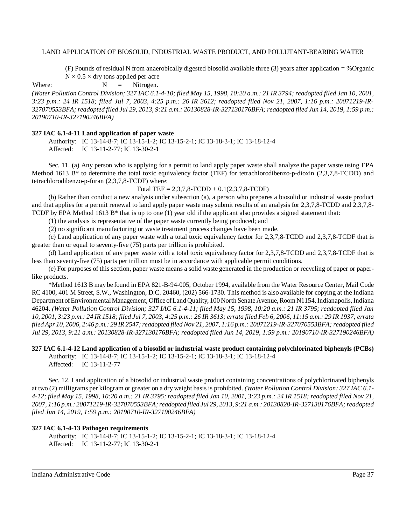(F) Pounds of residual N from anaerobically digested biosolid available three (3) years after application = %Organic  $N \times 0.5 \times$  dry tons applied per acre

Where:  $N =$  Nitrogen.

(Water Pollution Control Division; 327 IAC 6.1-4-10; filed May 15, 1998, 10:20 a.m.: 21 IR 3794; readopted filed Jan 10, 2001, *3:23 p.m.: 24 IR 1518; filed Jul 7, 2003, 4:25 p.m.: 26 IR 3612; readopted filed Nov 21, 2007, 1:16 p.m.: 20071219-IR-*327070553BFA; readopted filed Jul 29, 2013, 9:21 a.m.: 20130828-IR-327130176BFA; readopted filed Jun 14, 2019, 1:59 p.m.: *20190710-IR-327190246BFA)*

#### **327 IAC 6.1-4-11 Land application of paper waste**

Authority: IC 13-14-8-7; IC 13-15-1-2; IC 13-15-2-1; IC 13-18-3-1; IC 13-18-12-4 Affected: IC 13-11-2-77; IC 13-30-2-1

Sec. 11. (a) Any person who is applying for a permit to land apply paper waste shall analyze the paper waste using EPA Method 1613 B<sup>\*</sup> to determine the total toxic equivalency factor (TEF) for tetrachlorodibenzo-p-dioxin (2,3,7,8-TCDD) and tetrachlorodibenzo-p-furan (2,3,7,8-TCDF) where:

Total TEF =  $2,3,7,8$ -TCDD +  $0.1(2,3,7,8$ -TCDF)

(b) Rather than conduct a new analysis under subsection (a), a person who prepares a biosolid or industrial waste product and that applies for a permit renewal to land apply paper waste may submit results of an analysis for 2,3,7,8-TCDD and 2,3,7,8- TCDF by EPA Method 1613 B\* that is up to one (1) year old if the applicant also provides a signed statement that:

(1) the analysis is representative of the paper waste currently being produced; and

(2) no significant manufacturing or waste treatment process changes have been made.

(c) Land application of any paper waste with a total toxic equivalency factor for 2,3,7,8-TCDD and 2,3,7,8-TCDF that is greater than or equal to seventy-five (75) parts per trillion is prohibited.

(d) Land application of any paper waste with a total toxic equivalency factor for 2,3,7,8-TCDD and 2,3,7,8-TCDF that is less than seventy-five (75) parts per trillion must be in accordance with applicable permit conditions.

(e) For purposes of this section, paper waste means a solid waste generated in the production or recycling of paper or paperlike products.

\*Method 1613 B may be found in EPA 821-B-94-005, October 1994, available from the Water Resource Center, Mail Code RC 4100, 401 M Street, S.W., Washington, D.C. 20460, (202) 566-1730. This method is also available for copying at the Indiana Department ofEnvironmental Management, Office of Land Quality, 100 North Senate Avenue, Room N1154, Indianapolis, Indiana 46204. *(Water Pollution Control Division; 327 IAC 6.1-4-11; filed May 15, 1998, 10:20 a.m.: 21 IR 3795; readopted filed Jan* 10, 2001, 3:23 p.m.: 24 IR 1518; filed Jul 7, 2003, 4:25 p.m.: 26 IR 3613; errata filed Feb 6, 2006, 11:15 a.m.: 29 IR 1937; errata filed Apr 10, 2006, 2:46 p.m.: 29 IR 2547; readopted filed Nov 21, 2007, 1:16 p.m.: 20071219-IR-327070553BFA; readopted filed *Jul 29, 2013, 9:21 a.m.: 20130828-IR-327130176BFA; readopted filed Jun 14, 2019, 1:59 p.m.: 20190710-IR-327190246BFA)*

**327 IAC 6.1-4-12 Land application of a biosolid or industrial waste product containing polychlorinated biphenyls (PCBs)** Authority: IC 13-14-8-7; IC 13-15-1-2; IC 13-15-2-1; IC 13-18-3-1; IC 13-18-12-4 Affected: IC 13-11-2-77

Sec. 12. Land application of a biosolid or industrial waste product containing concentrations of polychlorinated biphenyls at two (2) milligrams per kilogram or greater on a dry weight basis is prohibited. *(Water Pollution Control Division; 327 IAC 6.1-* 4-12; filed May 15, 1998, 10:20 a.m.: 21 IR 3795; readopted filed Jan 10, 2001, 3:23 p.m.: 24 IR 1518; readopted filed Nov 21, *2007, 1:16 p.m.: 20071219-IR-327070553BFA;readopted filed Jul 29, 2013, 9:21 a.m.: 20130828-IR-327130176BFA;readopted filed Jun 14, 2019, 1:59 p.m.: 20190710-IR-327190246BFA)*

#### **327 IAC 6.1-4-13 Pathogen requirements**

Authority: IC 13-14-8-7; IC 13-15-1-2; IC 13-15-2-1; IC 13-18-3-1; IC 13-18-12-4 Affected: IC 13-11-2-77; IC 13-30-2-1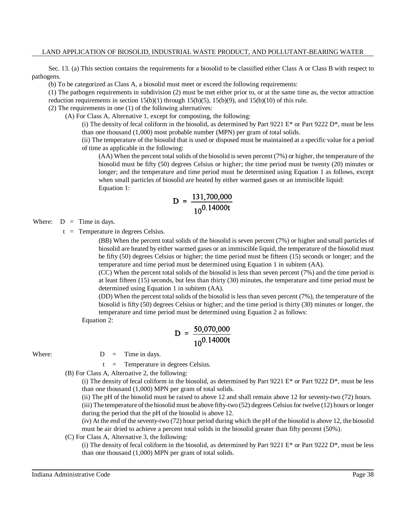Sec. 13. (a) This section contains the requirements for a biosolid to be classified either Class A or Class B with respect to pathogens.

(b) To be categorized as Class A, a biosolid must meet or exceed the following requirements:

(1) The pathogen requirements in subdivision (2) must be met either prior to, or at the same time as, the vector attraction reduction requirements in section  $15(b)(1)$  through  $15(b)(5)$ ,  $15(b)(9)$ , and  $15(b)(10)$  of this rule.

(2) The requirements in one (1) of the following alternatives:

(A) For Class A, Alternative 1, except for composting, the following:

(i) The density of fecal coliform in the biosolid, as determined by Part 9221 E<sup>\*</sup> or Part 9222 D<sup>\*</sup>, must be less than one thousand (1,000) most probable number (MPN) per gram of total solids.

(ii) The temperature of the biosolid that is used or disposed must be maintained at a specific value for a period of time as applicable in the following:

(AA) When the percent total solids of the biosolid isseven percent (7%) or higher, the temperature of the biosolid must be fifty (50) degrees Celsius or higher; the time period must be twenty (20) minutes or longer; and the temperature and time period must be determined using Equation 1 as follows, except when small particles of biosolid are heated by either warmed gases or an immiscible liquid: Equation 1:

$$
D = \frac{131,700,000}{10^{0.14000t}}
$$

Where:  $D =$  Time in days.

 $t =$  Temperature in degrees Celsius.

(BB) When the percent total solids of the biosolid is seven percent (7%) or higher and small particles of biosolid are heated by either warmed gases or an immiscible liquid, the temperature of the biosolid must be fifty (50) degrees Celsius or higher; the time period must be fifteen (15) seconds or longer; and the temperature and time period must be determined using Equation 1 in subitem (AA).

(CC) When the percent total solids of the biosolid is less than seven percent (7%) and the time period is at least fifteen (15) seconds, but less than thirty (30) minutes, the temperature and time period must be determined using Equation 1 in subitem (AA).

(DD) When the percent total solids of the biosolid is less than seven percent (7%), the temperature of the biosolid is fifty (50) degrees Celsius or higher; and the time period is thirty (30) minutes or longer, the temperature and time period must be determined using Equation 2 as follows:

Equation 2:

$$
D = \frac{50,070,000}{10^{0.14000t}}
$$

Where:  $D = Time in days$ .

t = Temperature in degrees Celsius.

(B) For Class A, Alternative 2, the following:

(i) The density of fecal coliform in the biosolid, as determined by Part 9221 E\* or Part 9222 D\*, must be less than one thousand (1,000) MPN per gram of total solids.

(ii) The pH of the biosolid must be raised to above 12 and shall remain above 12 for seventy-two (72) hours.

(iii) The temperature of the biosolid must be above fifty-two (52) degrees Celsius for twelve (12) hours or longer during the period that the pH of the biosolid is above 12.

(iv) At the end of the seventy-two (72) hour period during which the pH of the biosolid is above 12, the biosolid must be air dried to achieve a percent total solids in the biosolid greater than fifty percent (50%).

#### (C) For Class A, Alternative 3, the following:

(i) The density of fecal coliform in the biosolid, as determined by Part 9221 E\* or Part 9222 D\*, must be less than one thousand (1,000) MPN per gram of total solids.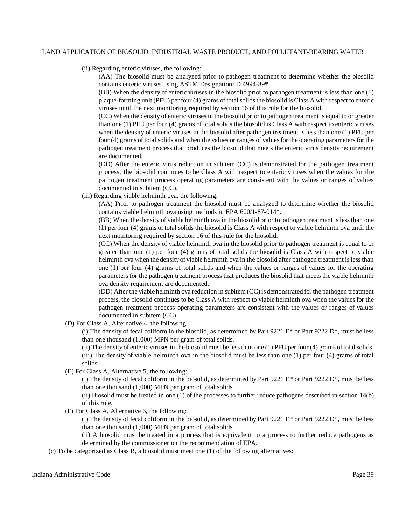(ii) Regarding enteric viruses, the following:

(AA) The biosolid must be analyzed prior to pathogen treatment to determine whether the biosolid contains enteric viruses using ASTM Designation: D 4994-89\*.

(BB) When the density of enteric viruses in the biosolid prior to pathogen treatment is less than one (1) plaque-forming unit (PFU) per four (4) grams of total solidsthe biosolid is Class A with respect to enteric viruses until the next monitoring required by section 16 of this rule for the biosolid.

(CC) When the density of enteric viruses in the biosolid prior to pathogen treatment is equal to or greater than one (1) PFU per four (4) grams of total solids the biosolid is Class A with respect to enteric viruses when the density of enteric viruses in the biosolid after pathogen treatment is less than one (1) PFU per four (4) grams of total solids and when the values or ranges of values for the operating parameters for the pathogen treatment process that produces the biosolid that meets the enteric virus density requirement are documented.

(DD) After the enteric virus reduction in subitem (CC) is demonstrated for the pathogen treatment process, the biosolid continues to be Class A with respect to enteric viruses when the values for the pathogen treatment process operating parameters are consistent with the values or ranges of values documented in subitem (CC).

(iii) Regarding viable helminth ova, the following:

(AA) Prior to pathogen treatment the biosolid must be analyzed to determine whether the biosolid contains viable helminth ova using methods in EPA 600/1-87-014\*.

(BB) When the density of viable helminth ova in the biosolid prior to pathogen treatment islessthan one (1) per four (4) grams of total solids the biosolid is Class A with respect to viable helminth ova until the next monitoring required by section 16 of this rule for the biosolid.

(CC) When the density of viable helminth ova in the biosolid prior to pathogen treatment is equal to or greater than one (1) per four (4) grams of total solids the biosolid is Class A with respect to viable helminth ova when the density of viable helminth ova in the biosolid after pathogen treatment is less than one (1) per four (4) grams of total solids and when the values or ranges of values for the operating parameters for the pathogen treatment process that produces the biosolid that meets the viable helminth ova density requirement are documented.

(DD) After the viable helminth ova reduction in subitem (CC) is demonstrated for the pathogen treatment process, the biosolid continues to be Class A with respect to viable helminth ova when the values for the pathogen treatment process operating parameters are consistent with the values or ranges of values documented in subitem (CC).

(D) For Class A, Alternative 4, the following:

(i) The density of fecal coliform in the biosolid, as determined by Part 9221 E\* or Part 9222 D\*, must be less than one thousand (1,000) MPN per gram of total solids.

(ii) The density of enteric virusesin the biosolid must be lessthan one (1) PFU per four (4) grams of total solids. (iii) The density of viable helminth ova in the biosolid must be less than one (1) per four (4) grams of total solids.

(E) For Class A, Alternative 5, the following:

(i) The density of fecal coliform in the biosolid, as determined by Part 9221 E\* or Part 9222 D\*, must be less than one thousand (1,000) MPN per gram of total solids.

(ii) Biosolid must be treated in one (1) of the processes to further reduce pathogens described in section 14(b) of this rule.

(F) For Class A, Alternative 6, the following:

(i) The density of fecal coliform in the biosolid, as determined by Part 9221 E\* or Part 9222 D\*, must be less than one thousand (1,000) MPN per gram of total solids.

(ii) A biosolid must be treated in a process that is equivalent to a process to further reduce pathogens as determined by the commissioner on the recommendation of EPA.

(c) To be categorized as Class B, a biosolid must meet one (1) of the following alternatives: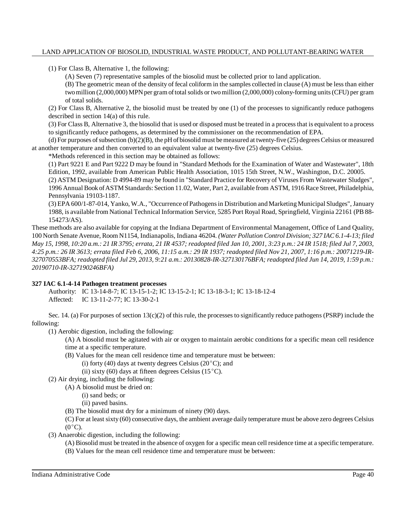(1) For Class B, Alternative 1, the following:

(A) Seven (7) representative samples of the biosolid must be collected prior to land application.

(B) The geometric mean of the density of fecal coliform in the samples collected in clause (A) must be less than either two million (2,000,000) MPN per gram of total solids or two million (2,000,000) colony-forming units (CFU) per gram of total solids.

(2) For Class B, Alternative 2, the biosolid must be treated by one (1) of the processes to significantly reduce pathogens described in section 14(a) of this rule.

(3) For Class B, Alternative 3, the biosolid that is used or disposed must be treated in a processthat is equivalent to a process to significantly reduce pathogens, as determined by the commissioner on the recommendation of EPA.

(d) For purposes of subsection  $(b)(2)(B)$ , the pH of biosolid must be measured at twenty-five (25) degrees Celsius or measured at another temperature and then converted to an equivalent value at twenty-five (25) degrees Celsius.

\*Methods referenced in this section may be obtained as follows:

(1) Part 9221 E and Part 9222 D may be found in "Standard Methods for the Examination of Water and Wastewater", 18th Edition, 1992, available from American Public Health Association, 1015 15th Street, N.W., Washington, D.C. 20005.

(2) ASTM Designation: D 4994-89 may be found in "Standard Practice for Recovery of Viruses From Wastewater Sludges", 1996 Annual Book ofASTMStandards: Section 11.02, Water, Part 2, available from ASTM, 1916 Race Street, Philadelphia, Pennsylvania 19103-1187.

(3) EPA 600/1-87-014, Yanko, W.A., "Occurrence of Pathogensin Distribution andMarketingMunicipal Sludges",January 1988, is available from National Technical Information Service, 5285 Port Royal Road, Springfield, Virginia 22161 (PB 88- 154273/AS).

These methods are also available for copying at the Indiana Department of Environmental Management, Office of Land Quality, 100 North Senate Avenue, Room N1154, Indianapolis, Indiana 46204. *(Water Pollution Control Division; 327 IAC 6.1-4-13; filed* May 15, 1998, 10:20 a.m.: 21 IR 3795; errata, 21 IR 4537; readopted filed Jan 10, 2001, 3:23 p.m.: 24 IR 1518; filed Jul 7, 2003, 4:25 p.m.: 26 IR 3613; errata filed Feb 6, 2006, 11:15 a.m.: 29 IR 1937; readopted filed Nov 21, 2007, 1:16 p.m.: 20071219-IR-327070553BFA; readopted filed Jul 29, 2013, 9:21 a.m.: 20130828-IR-327130176BFA; readopted filed Jun 14, 2019, 1:59 p.m.: *20190710-IR-327190246BFA)*

## **327 IAC 6.1-4-14 Pathogen treatment processes**

Authority: IC 13-14-8-7; IC 13-15-1-2; IC 13-15-2-1; IC 13-18-3-1; IC 13-18-12-4 Affected: IC 13-11-2-77; IC 13-30-2-1

Sec. 14. (a) For purposes of section  $13(c)(2)$  of this rule, the processes to significantly reduce pathogens (PSRP) include the following:

(1) Aerobic digestion, including the following:

(A) A biosolid must be agitated with air or oxygen to maintain aerobic conditions for a specific mean cell residence time at a specific temperature.

- (B) Values for the mean cell residence time and temperature must be between:
	- (i) forty (40) days at twenty degrees Celsius (20 $^{\circ}$ C); and
	- (ii) sixty (60) days at fifteen degrees Celsius (15 $^{\circ}$ C).
- (2) Air drying, including the following:

(A) A biosolid must be dried on:

- (i) sand beds; or
- (ii) paved basins.
- (B) The biosolid must dry for a minimum of ninety (90) days.

(C) For at least sixty (60) consecutive days, the ambient average daily temperature must be above zero degrees Celsius  $(0^{\circ}C).$ 

(3) Anaerobic digestion, including the following:

(A) Biosolid must be treated in the absence of oxygen for a specific mean cell residence time at a specific temperature.

(B) Values for the mean cell residence time and temperature must be between: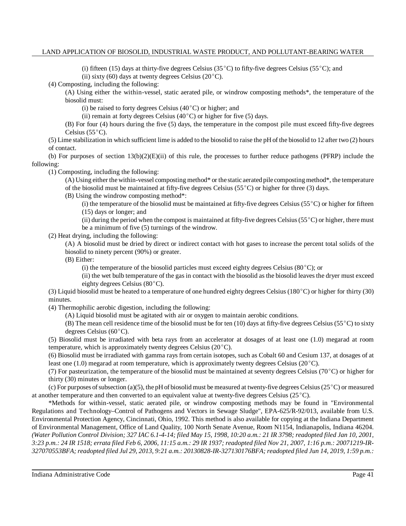(i) fifteen (15) days at thirty-five degrees Celsius (35 $^{\circ}$ C) to fifty-five degrees Celsius (55 $^{\circ}$ C); and

(ii) sixty (60) days at twenty degrees Celsius (20 $^{\circ}$ C).

(4) Composting, including the following:

(A) Using either the within-vessel, static aerated pile, or windrow composting methods\*, the temperature of the biosolid must:

(i) be raised to forty degrees Celsius  $(40^{\circ}$ C) or higher; and

(ii) remain at forty degrees Celsius  $(40^{\circ}C)$  or higher for five (5) days.

(B) For four (4) hours during the five (5) days, the temperature in the compost pile must exceed fifty-five degrees Celsius  $(55^{\circ}C)$ .

(5) Lime stabilization in which sufficient lime is added to the biosolid to raise the pH of the biosolid to 12 after two (2) hours of contact.

(b) For purposes of section  $13(b)(2)(E)(ii)$  of this rule, the processes to further reduce pathogens (PFRP) include the following:

(1) Composting, including the following:

(A) Using either the within-vessel composting method\* or the static aerated pile compostingmethod\*, the temperature of the biosolid must be maintained at fifty-five degrees Celsius ( $55^{\circ}$ C) or higher for three (3) days.

(B) Using the windrow composting method\*:

(i) the temperature of the biosolid must be maintained at fifty-five degrees Celsius ( $5^{\circ}$ C) or higher for fifteen (15) days or longer; and

(ii) during the period when the compost is maintained at fifty-five degrees Celsius ( $55^{\circ}$ C) or higher, there must be a minimum of five (5) turnings of the windrow.

(2) Heat drying, including the following:

(A) A biosolid must be dried by direct or indirect contact with hot gases to increase the percent total solids of the biosolid to ninety percent (90%) or greater.

(B) Either:

(i) the temperature of the biosolid particles must exceed eighty degrees Celsius (80 $^{\circ}$ C); or

(ii) the wet bulb temperature of the gas in contact with the biosolid as the biosolid leaves the dryer must exceed eighty degrees Celsius  $(80^{\circ}C)$ .

(3) Liquid biosolid must be heated to a temperature of one hundred eighty degrees Celsius (180 $^{\circ}$ C) or higher for thirty (30) minutes.

(4) Thermophilic aerobic digestion, including the following:

(A) Liquid biosolid must be agitated with air or oxygen to maintain aerobic conditions.

(B) The mean cell residence time of the biosolid must be for ten (10) days at fifty-five degrees Celsius (55 °C) to sixty degrees Celsius  $(60^{\circ}C)$ .

(5) Biosolid must be irradiated with beta rays from an accelerator at dosages of at least one (1.0) megarad at room temperature, which is approximately twenty degrees Celsius  $(20^{\circ}C)$ .

(6) Biosolid must be irradiated with gamma rays from certain isotopes, such as Cobalt 60 and Cesium 137, at dosages of at least one (1.0) megarad at room temperature, which is approximately twenty degrees Celsius ( $20^{\circ}$ C).

(7) For pasteurization, the temperature of the biosolid must be maintained at seventy degrees Celsius ( $70^{\circ}$ C) or higher for thirty (30) minutes or longer.

(c) For purposes of subsection (a)(5), the pH of biosolid must be measured at twenty-five degrees Celsius (25 °C) or measured at another temperature and then converted to an equivalent value at twenty-five degrees Celsius  $(25^{\circ}C)$ .

\*Methods for within-vessel, static aerated pile, or windrow composting methods may be found in "Environmental Regulations and Technology–Control of Pathogens and Vectors in Sewage Sludge", EPA-625/R-92/013, available from U.S. Environmental Protection Agency, Cincinnati, Ohio, 1992. This method is also available for copying at the Indiana Department of Environmental Management, Office of Land Quality, 100 North Senate Avenue, Room N1154, Indianapolis, Indiana 46204. (Water Pollution Control Division; 327 IAC 6.1-4-14; filed May 15, 1998, 10:20 a.m.: 21 IR 3798; readopted filed Jan 10, 2001, 3:23 p.m.: 24 IR 1518; errata filed Feb 6, 2006, 11:15 a.m.: 29 IR 1937; readopted filed Nov 21, 2007, 1:16 p.m.: 20071219-IR-327070553BFA; readopted filed Jul 29, 2013, 9:21 a.m.: 20130828-IR-327130176BFA; readopted filed Jun 14, 2019, 1:59 p.m.: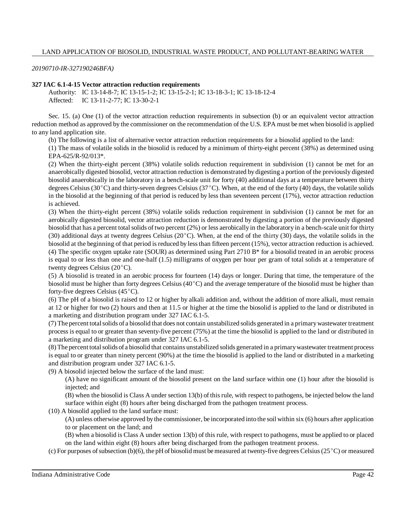*20190710-IR-327190246BFA)*

#### **327 IAC 6.1-4-15 Vector attraction reduction requirements**

Authority: IC 13-14-8-7; IC 13-15-1-2; IC 13-15-2-1; IC 13-18-3-1; IC 13-18-12-4 Affected: IC 13-11-2-77; IC 13-30-2-1

Sec. 15. (a) One (1) of the vector attraction reduction requirements in subsection (b) or an equivalent vector attraction reduction method as approved by the commissioner on the recommendation of the U.S. EPA must be met when biosolid is applied to any land application site.

(b) The following is a list of alternative vector attraction reduction requirements for a biosolid applied to the land:

(1) The mass of volatile solids in the biosolid is reduced by a minimum of thirty-eight percent (38%) as determined using EPA-625/R-92/013\*.

(2) When the thirty-eight percent (38%) volatile solids reduction requirement in subdivision (1) cannot be met for an anaerobically digested biosolid, vector attraction reduction is demonstrated by digesting a portion of the previously digested biosolid anaerobically in the laboratory in a bench-scale unit for forty (40) additional days at a temperature between thirty degrees Celsius (30 $^{\circ}$ C) and thirty-seven degrees Celsius (37 $^{\circ}$ C). When, at the end of the forty (40) days, the volatile solids in the biosolid at the beginning of that period is reduced by less than seventeen percent (17%), vector attraction reduction is achieved.

(3) When the thirty-eight percent (38%) volatile solids reduction requirement in subdivision (1) cannot be met for an aerobically digested biosolid, vector attraction reduction is demonstrated by digesting a portion of the previously digested biosolid that has a percent total solids of two percent (2%) or less aerobically in the laboratory in a bench-scale unit for thirty (30) additional days at twenty degrees Celsius ( $20^{\circ}$ C). When, at the end of the thirty (30) days, the volatile solids in the biosolid at the beginning of that period is reduced by less than fifteen percent (15%), vector attraction reduction is achieved. (4) The specific oxygen uptake rate (SOUR) as determined using Part 2710 B\* for a biosolid treated in an aerobic process is equal to or less than one and one-half (1.5) milligrams of oxygen per hour per gram of total solids at a temperature of twenty degrees Celsius  $(20^{\circ}C)$ .

(5) A biosolid is treated in an aerobic process for fourteen (14) days or longer. During that time, the temperature of the biosolid must be higher than forty degrees Celsius  $(40^{\circ}C)$  and the average temperature of the biosolid must be higher than forty-five degrees Celsius  $(45^{\circ}C)$ .

(6) The pH of a biosolid is raised to 12 or higher by alkali addition and, without the addition of more alkali, must remain at 12 or higher for two (2) hours and then at 11.5 or higher at the time the biosolid is applied to the land or distributed in a marketing and distribution program under 327 IAC 6.1-5.

(7) The percent totalsolids of a biosolid that does not contain unstabilized solids generated in a primarywastewater treatment process is equal to or greater than seventy-five percent (75%) at the time the biosolid is applied to the land or distributed in a marketing and distribution program under 327 IAC 6.1-5.

(8)The percent totalsolids of a biosolid that contains unstabilized solids generated in a primarywastewater treatment process is equal to or greater than ninety percent (90%) at the time the biosolid is applied to the land or distributed in a marketing and distribution program under 327 IAC 6.1-5.

(9) A biosolid injected below the surface of the land must:

(A) have no significant amount of the biosolid present on the land surface within one (1) hour after the biosolid is injected; and

(B) when the biosolid is Class A under section 13(b) of thisrule, with respect to pathogens, be injected below the land surface within eight (8) hours after being discharged from the pathogen treatment process.

(10) A biosolid applied to the land surface must:

(A) unless otherwise approved bythe commissioner, be incorporated into the soil within six (6) hours after application to or placement on the land; and

(B) when a biosolid is Class A under section 13(b) of this rule, with respect to pathogens, must be applied to or placed on the land within eight (8) hours after being discharged from the pathogen treatment process.

(c) For purposes of subsection (b)(6), the pH of biosolid must be measured at twenty-five degrees Celsius (25 $^{\circ}$ C) or measured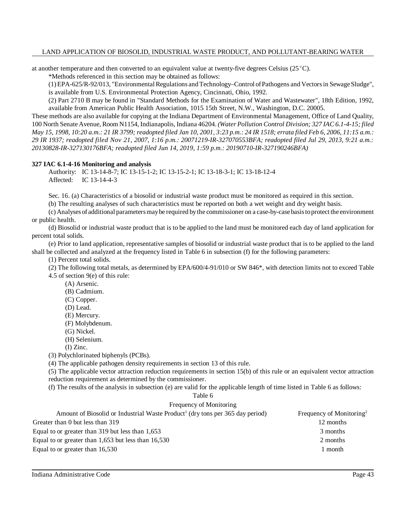at another temperature and then converted to an equivalent value at twenty-five degrees Celsius ( $25^{\circ}$ C).

\*Methods referenced in this section may be obtained as follows:

(1)EPA-625/R-92/013, "EnvironmentalRegulations andTechnology–Control ofPathogens and Vectorsin SewageSludge", is available from U.S. Environmental Protection Agency, Cincinnati, Ohio, 1992.

(2) Part 2710 B may be found in "Standard Methods for the Examination of Water and Wastewater", 18th Edition, 1992, available from American Public Health Association, 1015 15th Street, N.W., Washington, D.C. 20005.

These methods are also available for copying at the Indiana Department of Environmental Management, Office of Land Quality, 100 North Senate Avenue, Room N1154, Indianapolis, Indiana 46204. *(Water Pollution Control Division; 327 IAC 6.1-4-15; filed* May 15, 1998, 10:20 a.m.: 21 IR 3799; readopted filed Jan 10, 2001, 3:23 p.m.: 24 IR 1518; errata filed Feb 6, 2006, 11:15 a.m.: *29 IR 1937; readopted filed Nov 21, 2007, 1:16 p.m.: 20071219-IR-327070553BFA; readopted filed Jul 29, 2013, 9:21 a.m.: 20130828-IR-327130176BFA; readopted filed Jun 14, 2019, 1:59 p.m.: 20190710-IR-327190246BFA)*

#### **327 IAC 6.1-4-16 Monitoring and analysis**

Authority: IC 13-14-8-7; IC 13-15-1-2; IC 13-15-2-1; IC 13-18-3-1; IC 13-18-12-4 Affected: IC 13-14-4-3

Sec. 16. (a) Characteristics of a biosolid or industrial waste product must be monitored as required in this section.

(b) The resulting analyses of such characteristics must be reported on both a wet weight and dry weight basis.

(c) Analyses of additional parametersmaybe required bythe commissioner on a case-by-case basistoprotect the environment or public health.

(d) Biosolid or industrial waste product that is to be applied to the land must be monitored each day of land application for percent total solids.

(e) Prior to land application, representative samples of biosolid or industrial waste product that is to be applied to the land shall be collected and analyzed at the frequency listed in Table 6 in subsection (f) for the following parameters:

(1) Percent total solids.

(2) The following total metals, as determined by EPA/600/4-91/010 or SW 846\*, with detection limits not to exceed Table 4.5 of section 9(e) of this rule:

- (A) Arsenic.
- (B) Cadmium.
- (C) Copper.
- (D) Lead.
- (E) Mercury.
- (F) Molybdenum.
- (G) Nickel.
- (H) Selenium.

(I) Zinc.

(3) Polychlorinated biphenyls (PCBs).

(4) The applicable pathogen density requirements in section 13 of this rule.

(5) The applicable vector attraction reduction requirements in section 15(b) of this rule or an equivalent vector attraction reduction requirement as determined by the commissioner.

(f) The results of the analysis in subsection (e) are valid for the applicable length of time listed in Table 6 as follows:

#### Table 6

## Frequency of Monitoring

| Amount of Biosolid or Industrial Waste Product <sup>1</sup> (dry tons per 365 day period) | Frequency of Monitoring <sup>2</sup> |
|-------------------------------------------------------------------------------------------|--------------------------------------|
| Greater than 0 but less than 319                                                          | 12 months                            |
| Equal to or greater than 319 but less than 1,653                                          | 3 months                             |
| Equal to or greater than $1,653$ but less than $16,530$                                   | 2 months                             |
| Equal to or greater than 16,530                                                           | 1 month                              |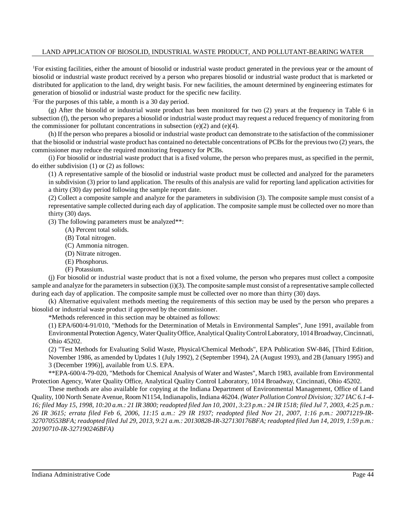<sup>1</sup>For existing facilities, either the amount of biosolid or industrial waste product generated in the previous year or the amount of biosolid or industrial waste product received by a person who prepares biosolid or industrial waste product that is marketed or distributed for application to the land, dry weight basis. For new facilities, the amount determined by engineering estimates for generation of biosolid or industrial waste product for the specific new facility.

<sup>2</sup>For the purposes of this table, a month is a 30 day period.

(g) After the biosolid or industrial waste product has been monitored for two (2) years at the frequency in Table 6 in subsection (f), the person who prepares a biosolid or industrial waste product may request a reduced frequency of monitoring from the commissioner for pollutant concentrations in subsection  $(e)(2)$  and  $(e)(4)$ .

(h) If the person who prepares a biosolid or industrial waste product can demonstrate to the satisfaction of the commissioner that the biosolid or industrial waste product has contained no detectable concentrations of PCBs for the previous two (2) years, the commissioner may reduce the required monitoring frequency for PCBs.

(i) For biosolid or industrial waste product that is a fixed volume, the person who prepares must, as specified in the permit, do either subdivision (1) or (2) as follows:

(1) A representative sample of the biosolid or industrial waste product must be collected and analyzed for the parameters in subdivision (3) prior to land application. The results of this analysis are valid for reporting land application activities for a thirty (30) day period following the sample report date.

(2) Collect a composite sample and analyze for the parameters in subdivision (3). The composite sample must consist of a representative sample collected during each day of application. The composite sample must be collected over no more than thirty (30) days.

(3) The following parameters must be analyzed\*\*:

- (A) Percent total solids.
- (B) Total nitrogen.
- (C) Ammonia nitrogen.
- (D) Nitrate nitrogen.
- (E) Phosphorus.
- (F) Potassium.

(j) For biosolid or industrial waste product that is not a fixed volume, the person who prepares must collect a composite sample and analyze for the parameters in subsection  $(i)(3)$ . The composite sample must consist of a representative sample collected during each day of application. The composite sample must be collected over no more than thirty (30) days.

(k) Alternative equivalent methods meeting the requirements of this section may be used by the person who prepares a biosolid or industrial waste product if approved by the commissioner.

\*Methods referenced in this section may be obtained as follows:

(1) EPA/600/4-91/010, "Methods for the Determination of Metals in Environmental Samples", June 1991, available from Environmental Protection Agency, Water Quality Office, Analytical Quality Control Laboratory, 1014 Broadway, Cincinnati, Ohio 45202.

(2) "Test Methods for Evaluating Solid Waste, Physical/Chemical Methods", EPA Publication SW-846, [Third Edition, November 1986, as amended by Updates 1 (July 1992), 2 (September 1994), 2A (August 1993), and 2B (January 1995) and 3 (December 1996)], available from U.S. EPA.

\*\*EPA-600/4-79-020, "Methods for Chemical Analysis of Water and Wastes", March 1983, available from Environmental Protection Agency, Water Quality Office, Analytical Quality Control Laboratory, 1014 Broadway, Cincinnati, Ohio 45202.

These methods are also available for copying at the Indiana Department of Environmental Management, Office of Land Quality, 100 North Senate Avenue, Room N1154, Indianapolis, Indiana 46204. *(Water Pollution Control Division; 327 IAC 6.1-4-* 16; filed May 15, 1998, 10:20 a.m.: 21 IR 3800; readopted filed Jan 10, 2001, 3:23 p.m.: 24 IR 1518; filed Jul 7, 2003, 4:25 p.m.: *26 IR 3615; errata filed Feb 6, 2006, 11:15 a.m.: 29 IR 1937; readopted filed Nov 21, 2007, 1:16 p.m.: 20071219-IR-*327070553BFA; readopted filed Jul 29, 2013, 9:21 a.m.: 20130828-IR-327130176BFA; readopted filed Jun 14, 2019, 1:59 p.m.: *20190710-IR-327190246BFA)*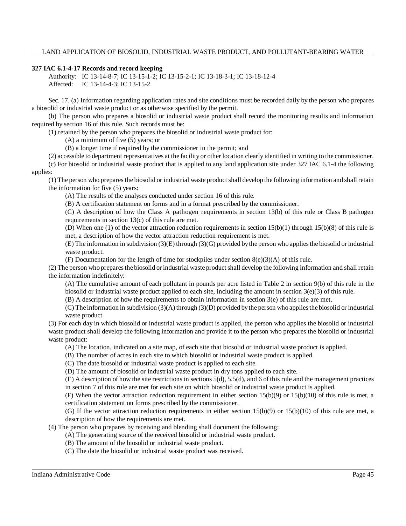#### **327 IAC 6.1-4-17 Records and record keeping**

Authority: IC 13-14-8-7; IC 13-15-1-2; IC 13-15-2-1; IC 13-18-3-1; IC 13-18-12-4 Affected: IC 13-14-4-3; IC 13-15-2

Sec. 17. (a) Information regarding application rates and site conditions must be recorded daily by the person who prepares a biosolid or industrial waste product or as otherwise specified by the permit.

(b) The person who prepares a biosolid or industrial waste product shall record the monitoring results and information required by section 16 of this rule. Such records must be:

(1) retained by the person who prepares the biosolid or industrial waste product for:

(A) a minimum of five (5) years; or

(B) a longer time if required by the commissioner in the permit; and

(2) accessible to department representatives at the facility or other location clearly identified in writing to the commissioner.

(c) For biosolid or industrial waste product that is applied to any land application site under 327 IAC 6.1-4 the following applies:

(1) The person who preparesthe biosolid or industrial waste product shall develop the following information and shall retain the information for five (5) years:

(A) The results of the analyses conducted under section 16 of this rule.

(B) A certification statement on forms and in a format prescribed by the commissioner.

(C) A description of how the Class A pathogen requirements in section 13(b) of this rule or Class B pathogen requirements in section 13(c) of this rule are met.

(D) When one (1) of the vector attraction reduction requirements in section  $15(b)(1)$  through  $15(b)(8)$  of this rule is met, a description of how the vector attraction reduction requirement is met.

(E) The information in subdivision (3)(E) through (3)(G) provided bythe person who appliesthe biosolid or industrial waste product.

(F) Documentation for the length of time for stockpiles under section  $8(e)(3)(A)$  of this rule.

(2) The person who preparesthe biosolid or industrial waste productshall develop the following information and shall retain the information indefinitely:

(A) The cumulative amount of each pollutant in pounds per acre listed in Table 2 in section 9(b) of this rule in the biosolid or industrial waste product applied to each site, including the amount in section 3(e)(3) of this rule.

(B) A description of how the requirements to obtain information in section 3(e) of this rule are met.

(C) The information in subdivision (3)(A) through (3)(D) provided bythe person who appliesthe biosolid or industrial waste product.

(3) For each day in which biosolid or industrial waste product is applied, the person who applies the biosolid or industrial waste product shall develop the following information and provide it to the person who prepares the biosolid or industrial waste product:

(A) The location, indicated on a site map, of each site that biosolid or industrial waste product is applied.

(B) The number of acres in each site to which biosolid or industrial waste product is applied.

(C) The date biosolid or industrial waste product is applied to each site.

(D) The amount of biosolid or industrial waste product in dry tons applied to each site.

(E) A description of how the site restrictions in sections 5(d), 5.5(d), and 6 of this rule and the management practices in section 7 of this rule are met for each site on which biosolid or industrial waste product is applied.

(F) When the vector attraction reduction requirement in either section  $15(b)(9)$  or  $15(b)(10)$  of this rule is met, a certification statement on forms prescribed by the commissioner.

(G) If the vector attraction reduction requirements in either section  $15(b)(9)$  or  $15(b)(10)$  of this rule are met, a description of how the requirements are met.

(4) The person who prepares by receiving and blending shall document the following:

(A) The generating source of the received biosolid or industrial waste product.

(B) The amount of the biosolid or industrial waste product.

(C) The date the biosolid or industrial waste product was received.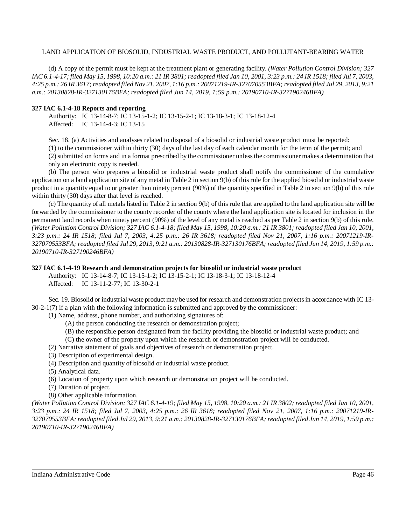(d) A copy of the permit must be kept at the treatment plant or generating facility. *(Water Pollution Control Division; 327* IAC 6.1-4-17; filed May 15, 1998, 10:20 a.m.: 21 IR 3801; readopted filed Jan 10, 2001, 3:23 p.m.: 24 IR 1518; filed Jul 7, 2003, 4:25 p.m.: 26 IR 3617; readopted filed Nov 21, 2007, 1:16 p.m.: 20071219-IR-327070553BFA; readopted filed Jul 29, 2013, 9:21 *a.m.: 20130828-IR-327130176BFA; readopted filed Jun 14, 2019, 1:59 p.m.: 20190710-IR-327190246BFA)*

#### **327 IAC 6.1-4-18 Reports and reporting**

Authority: IC 13-14-8-7; IC 13-15-1-2; IC 13-15-2-1; IC 13-18-3-1; IC 13-18-12-4 Affected: IC 13-14-4-3; IC 13-15

Sec. 18. (a) Activities and analyses related to disposal of a biosolid or industrial waste product must be reported:

(1) to the commissioner within thirty (30) days of the last day of each calendar month for the term of the permit; and (2)submitted on forms and in a format prescribed by the commissioner unlessthe commissioner makes a determination that

only an electronic copy is needed.

(b) The person who prepares a biosolid or industrial waste product shall notify the commissioner of the cumulative application on a land application site of any metal in Table 2 in section 9(b) of this rule for the applied biosolid or industrial waste product in a quantity equal to or greater than ninety percent (90%) of the quantity specified in Table 2 in section 9(b) of this rule within thirty (30) days after that level is reached.

(c) The quantity of all metals listed in Table 2 in section 9(b) of this rule that are applied to the land application site will be forwarded by the commissioner to the county recorder of the county where the land application site is located for inclusion in the permanent land records when ninety percent (90%) of the level of any metal is reached as per Table 2 in section 9(b) of this rule. (Water Pollution Control Division; 327 IAC 6.1-4-18; filed May 15, 1998, 10:20 a.m.: 21 IR 3801; readopted filed Jan 10, 2001, *3:23 p.m.: 24 IR 1518; filed Jul 7, 2003, 4:25 p.m.: 26 IR 3618; readopted filed Nov 21, 2007, 1:16 p.m.: 20071219-IR-*327070553BFA; readopted filed Jul 29, 2013, 9:21 a.m.: 20130828-IR-327130176BFA; readopted filed Jun 14, 2019, 1:59 p.m.: *20190710-IR-327190246BFA)*

## **327 IAC 6.1-4-19 Research and demonstration projects for biosolid or industrial waste product**

Authority: IC 13-14-8-7; IC 13-15-1-2; IC 13-15-2-1; IC 13-18-3-1; IC 13-18-12-4 Affected: IC 13-11-2-77; IC 13-30-2-1

Sec. 19. Biosolid or industrial waste product may be used for research and demonstration projectsin accordance with IC 13- 30-2-1(7) if a plan with the following information is submitted and approved by the commissioner:

(1) Name, address, phone number, and authorizing signatures of:

- (A) the person conducting the research or demonstration project;
- (B) the responsible person designated from the facility providing the biosolid or industrial waste product; and

(C) the owner of the property upon which the research or demonstration project will be conducted.

(2) Narrative statement of goals and objectives of research or demonstration project.

- (3) Description of experimental design.
- (4) Description and quantity of biosolid or industrial waste product.

(5) Analytical data.

(6) Location of property upon which research or demonstration project will be conducted.

(7) Duration of project.

(8) Other applicable information.

(Water Pollution Control Division; 327 IAC 6.1-4-19; filed May 15, 1998, 10:20 a.m.: 21 IR 3802; readopted filed Jan 10, 2001, 3:23 p.m.: 24 IR 1518; filed Jul 7, 2003, 4:25 p.m.: 26 IR 3618; readopted filed Nov 21, 2007, 1:16 p.m.: 20071219-IR-327070553BFA; readopted filed Jul 29, 2013, 9:21 a.m.: 20130828-IR-327130176BFA; readopted filed Jun 14, 2019, 1:59 p.m.: *20190710-IR-327190246BFA)*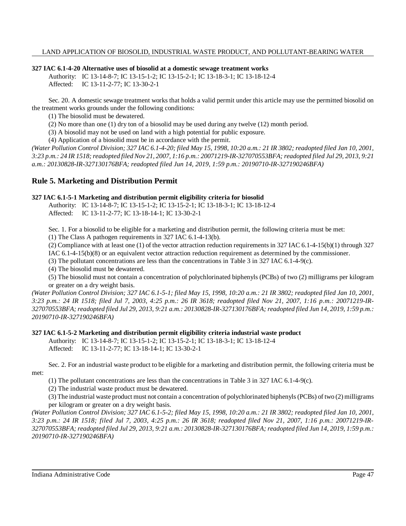## **327 IAC 6.1-4-20 Alternative uses of biosolid at a domestic sewage treatment works**

Authority: IC 13-14-8-7; IC 13-15-1-2; IC 13-15-2-1; IC 13-18-3-1; IC 13-18-12-4 Affected: IC 13-11-2-77; IC 13-30-2-1

Sec. 20. A domestic sewage treatment works that holds a valid permit under this article may use the permitted biosolid on the treatment works grounds under the following conditions:

(1) The biosolid must be dewatered.

(2) No more than one (1) dry ton of a biosolid may be used during any twelve (12) month period.

(3) A biosolid may not be used on land with a high potential for public exposure.

(4) Application of a biosolid must be in accordance with the permit.

(Water Pollution Control Division; 327 IAC 6.1-4-20; filed May 15, 1998, 10:20 a.m.: 21 IR 3802; readopted filed Jan 10, 2001, 3:23 p.m.: 24 IR 1518; readopted filed Nov 21, 2007, 1:16 p.m.: 20071219-IR-327070553BFA; readopted filed Jul 29, 2013, 9:21 *a.m.: 20130828-IR-327130176BFA; readopted filed Jun 14, 2019, 1:59 p.m.: 20190710-IR-327190246BFA)*

## **Rule 5. Marketing and Distribution Permit**

#### **327 IAC 6.1-5-1 Marketing and distribution permit eligibility criteria for biosolid**

Authority: IC 13-14-8-7; IC 13-15-1-2; IC 13-15-2-1; IC 13-18-3-1; IC 13-18-12-4 Affected: IC 13-11-2-77; IC 13-18-14-1; IC 13-30-2-1

Sec. 1. For a biosolid to be eligible for a marketing and distribution permit, the following criteria must be met:

(1) The Class A pathogen requirements in 327 IAC 6.1-4-13(b).

(2) Compliance with at least one (1) of the vector attraction reduction requirements in 327 IAC 6.1-4-15(b)(1) through 327

IAC 6.1-4-15(b)(8) or an equivalent vector attraction reduction requirement as determined by the commissioner.

(3) The pollutant concentrations are less than the concentrations in Table 3 in 327 IAC 6.1-4-9(c).

(4) The biosolid must be dewatered.

(5) The biosolid must not contain a concentration of polychlorinated biphenyls (PCBs) of two (2) milligrams per kilogram or greater on a dry weight basis.

(Water Pollution Control Division; 327 IAC 6.1-5-1; filed May 15, 1998, 10:20 a.m.: 21 IR 3802; readopted filed Jan 10, 2001, 3:23 p.m.: 24 IR 1518; filed Jul 7, 2003, 4:25 p.m.: 26 IR 3618; readopted filed Nov 21, 2007, 1:16 p.m.: 20071219-IR-327070553BFA; readopted filed Jul 29, 2013, 9:21 a.m.: 20130828-IR-327130176BFA; readopted filed Jun 14, 2019, 1:59 p.m.: *20190710-IR-327190246BFA)*

## **327 IAC 6.1-5-2 Marketing and distribution permit eligibility criteria industrial waste product**

Authority: IC 13-14-8-7; IC 13-15-1-2; IC 13-15-2-1; IC 13-18-3-1; IC 13-18-12-4

Affected: IC 13-11-2-77; IC 13-18-14-1; IC 13-30-2-1

Sec. 2. For an industrial waste product to be eligible for a marketing and distribution permit, the following criteria must be met:

(1) The pollutant concentrations are less than the concentrations in Table 3 in 327 IAC 6.1-4-9(c).

(2) The industrial waste product must be dewatered.

(3) The industrial waste product must not contain a concentration of polychlorinated biphenyls(PCBs) of two (2) milligrams per kilogram or greater on a dry weight basis.

(Water Pollution Control Division; 327 IAC 6.1-5-2; filed May 15, 1998, 10:20 a.m.: 21 IR 3802; readopted filed Jan 10, 2001, *3:23 p.m.: 24 IR 1518; filed Jul 7, 2003, 4:25 p.m.: 26 IR 3618; readopted filed Nov 21, 2007, 1:16 p.m.: 20071219-IR-*327070553BFA; readopted filed Jul 29, 2013, 9:21 a.m.: 20130828-IR-327130176BFA; readopted filed Jun 14, 2019, 1:59 p.m.: *20190710-IR-327190246BFA)*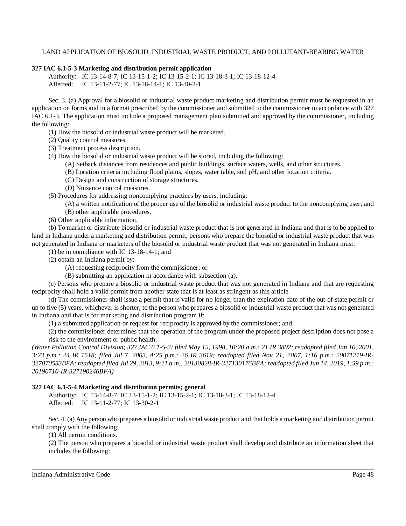## **327 IAC 6.1-5-3 Marketing and distribution permit application**

Authority: IC 13-14-8-7; IC 13-15-1-2; IC 13-15-2-1; IC 13-18-3-1; IC 13-18-12-4 Affected: IC 13-11-2-77; IC 13-18-14-1; IC 13-30-2-1

Sec. 3. (a) Approval for a biosolid or industrial waste product marketing and distribution permit must be requested in an application on forms and in a format prescribed by the commissioner and submitted to the commissioner in accordance with 327 IAC 6.1-3. The application must include a proposed management plan submitted and approved by the commissioner, including the following:

- (1) How the biosolid or industrial waste product will be marketed.
- (2) Quality control measures.
- (3) Treatment process description.
- (4) How the biosolid or industrial waste product will be stored, including the following:
	- (A) Setback distances from residences and public buildings, surface waters, wells, and other structures.
	- (B) Location criteria including flood plains, slopes, water table, soil pH, and other location criteria.
	- (C) Design and construction of storage structures.
	- (D) Nuisance control measures.

(5) Procedures for addressing noncomplying practices by users, including:

- (A) a written notification of the proper use of the biosolid or industrial waste product to the noncomplying user; and
- (B) other applicable procedures.
- (6) Other applicable information.

(b) To market or distribute biosolid or industrial waste product that is not generated in Indiana and that is to be applied to land in Indiana under a marketing and distribution permit, persons who prepare the biosolid or industrial waste product that was not generated in Indiana or marketers of the biosolid or industrial waste product that was not generated in Indiana must:

- (1) be in compliance with IC 13-18-14-1; and
- (2) obtain an Indiana permit by:
	- (A) requesting reciprocity from the commissioner; or
	- (B) submitting an application in accordance with subsection (a).

(c) Persons who prepare a biosolid or industrial waste product that was not generated in Indiana and that are requesting reciprocity shall hold a valid permit from another state that is at least as stringent as this article.

(d) The commissioner shall issue a permit that is valid for no longer than the expiration date of the out-of-state permit or up to five (5) years, whichever is shorter, to the person who prepares a biosolid or industrial waste product that was not generated in Indiana and that is for marketing and distribution program if:

(1) a submitted application or request for reciprocity is approved by the commissioner; and

(2) the commissioner determines that the operation of the program under the proposed project description does not pose a risk to the environment or public health.

(Water Pollution Control Division; 327 IAC 6.1-5-3; filed May 15, 1998, 10:20 a.m.: 21 IR 3802; readopted filed Jan 10, 2001, 3:23 p.m.: 24 IR 1518; filed Jul 7, 2003, 4:25 p.m.: 26 IR 3619; readopted filed Nov 21, 2007, 1:16 p.m.: 20071219-IR-327070553BFA; readopted filed Jul 29, 2013, 9:21 a.m.: 20130828-IR-327130176BFA; readopted filed Jun 14, 2019, 1:59 p.m.: *20190710-IR-327190246BFA)*

## **327 IAC 6.1-5-4 Marketing and distribution permits; general**

Authority: IC 13-14-8-7; IC 13-15-1-2; IC 13-15-2-1; IC 13-18-3-1; IC 13-18-12-4 Affected: IC 13-11-2-77; IC 13-30-2-1

Sec. 4. (a) Anyperson who prepares a biosolid or industrial waste product and that holds a marketing and distribution permit shall comply with the following:

(1) All permit conditions.

(2) The person who prepares a biosolid or industrial waste product shall develop and distribute an information sheet that includes the following: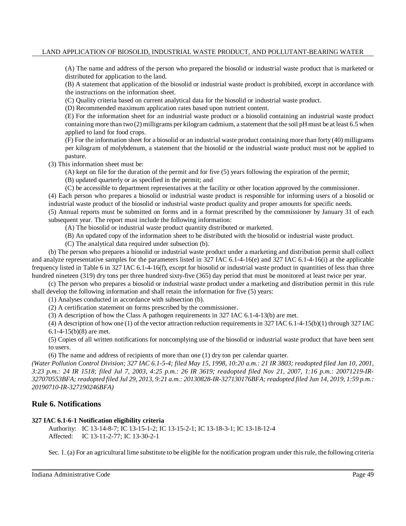(A) The name and address of the person who prepared the biosolid or industrial waste product that is marketed or distributed for application to the land.

(B) A statement that application of the biosolid or industrial waste product is prohibited, except in accordance with the instructions on the information sheet.

(C) Quality criteria based on current analytical data for the biosolid or industrial waste product.

(D) Recommended maximum application rates based upon nutrient content.

(E) For the information sheet for an industrial waste product or a biosolid containing an industrial waste product containing more than two (2) milligrams per kilogram cadmium, a statement that the soil pH must be at least 6.5 when applied to land for food crops.

(F) For the information sheet for a biosolid or an industrial waste product containing more than forty (40) milligrams per kilogram of molybdenum, a statement that the biosolid or the industrial waste product must not be applied to pasture.

(3) This information sheet must be:

(A) kept on file for the duration of the permit and for five (5) years following the expiration of the permit;

(B) updated quarterly or as specified in the permit; and

(C) be accessible to department representatives at the facility or other location approved by the commissioner.

(4) Each person who prepares a biosolid or industrial waste product is responsible for informing users of a biosolid or industrial waste product of the biosolid or industrial waste product quality and proper amounts for specific needs.

(5) Annual reports must be submitted on forms and in a format prescribed by the commissioner by January 31 of each subsequent year. The report must include the following information:

(A) The biosolid or industrial waste product quantity distributed or marketed.

(B) An updated copy of the information sheet to be distributed with the biosolid or industrial waste product.

(C) The analytical data required under subsection (b).

(b) The person who prepares a biosolid or industrial waste product under a marketing and distribution permit shall collect and analyze representative samples for the parameters listed in 327 IAC 6.1-4-16(e) and 327 IAC 6.1-4-16(i) at the applicable frequency listed in Table 6 in 327 IAC 6.1-4-16(f), except for biosolid or industrial waste product in quantities of less than three hundred nineteen (319) dry tons per three hundred sixty-five (365) day period that must be monitored at least twice per year.

(c) The person who prepares a biosolid or industrial waste product under a marketing and distribution permit in this rule shall develop the following information and shall retain the information for five (5) years:

(1) Analyses conducted in accordance with subsection (b).

(2) A certification statement on forms prescribed by the commissioner.

(3) A description of how the Class A pathogen requirements in 327 IAC 6.1-4-13(b) are met.

(4) A description of how one (1) of the vector attraction reduction requirementsin 327 IAC 6.1-4-15(b)(1) through 327 IAC 6.1-4-15(b)(8) are met.

(5) Copies of all written notifications for noncomplying use of the biosolid or industrial waste product that have been sent to users.

(6) The name and address of recipients of more than one (1) dry ton per calendar quarter.

(Water Pollution Control Division; 327 IAC 6.1-5-4; filed May 15, 1998, 10:20 a.m.: 21 IR 3803; readopted filed Jan 10, 2001, *3:23 p.m.: 24 IR 1518; filed Jul 7, 2003, 4:25 p.m.: 26 IR 3619; readopted filed Nov 21, 2007, 1:16 p.m.: 20071219-IR-*327070553BFA; readopted filed Jul 29, 2013, 9:21 a.m.: 20130828-IR-327130176BFA; readopted filed Jun 14, 2019, 1:59 p.m.: *20190710-IR-327190246BFA)*

## **Rule 6. Notifications**

## **327 IAC 6.1-6-1 Notification eligibility criteria**

Authority: IC 13-14-8-7; IC 13-15-1-2; IC 13-15-2-1; IC 13-18-3-1; IC 13-18-12-4 Affected: IC 13-11-2-77; IC 13-30-2-1

Sec. 1. (a) For an agricultural lime substitute to be eligible for the notification program under thisrule, the following criteria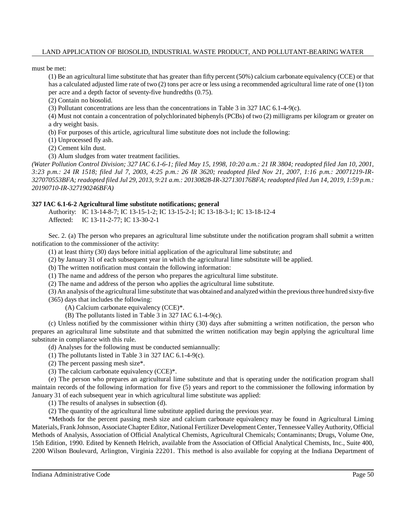must be met:

(1) Be an agricultural lime substitute that has greater than fifty percent (50%) calcium carbonate equivalency (CCE) or that has a calculated adjusted lime rate of two (2) tons per acre or less using a recommended agricultural lime rate of one (1) ton per acre and a depth factor of seventy-five hundredths (0.75).

(2) Contain no biosolid.

(3) Pollutant concentrations are less than the concentrations in Table 3 in 327 IAC 6.1-4-9(c).

(4) Must not contain a concentration of polychlorinated biphenyls (PCBs) of two (2) milligrams per kilogram or greater on a dry weight basis.

(b) For purposes of this article, agricultural lime substitute does not include the following:

(1) Unprocessed fly ash.

(2) Cement kiln dust.

(3) Alum sludges from water treatment facilities.

(Water Pollution Control Division; 327 IAC 6.1-6-1; filed May 15, 1998, 10:20 a.m.: 21 IR 3804; readopted filed Jan 10, 2001, *3:23 p.m.: 24 IR 1518; filed Jul 7, 2003, 4:25 p.m.: 26 IR 3620; readopted filed Nov 21, 2007, 1:16 p.m.: 20071219-IR-*327070553BFA; readopted filed Jul 29, 2013, 9:21 a.m.: 20130828-IR-327130176BFA; readopted filed Jun 14, 2019, 1:59 p.m.: *20190710-IR-327190246BFA)*

## **327 IAC 6.1-6-2 Agricultural lime substitute notifications; general**

Authority: IC 13-14-8-7; IC 13-15-1-2; IC 13-15-2-1; IC 13-18-3-1; IC 13-18-12-4 Affected: IC 13-11-2-77; IC 13-30-2-1

Sec. 2. (a) The person who prepares an agricultural lime substitute under the notification program shall submit a written notification to the commissioner of the activity:

(1) at least thirty (30) days before initial application of the agricultural lime substitute; and

(2) by January 31 of each subsequent year in which the agricultural lime substitute will be applied.

(b) The written notification must contain the following information:

(1) The name and address of the person who prepares the agricultural lime substitute.

(2) The name and address of the person who applies the agricultural lime substitute.

(3) An analysis ofthe agricultural lime substitute that was obtained and analyzed within the previousthree hundred sixty-five (365) days that includes the following:

(A) Calcium carbonate equivalency (CCE)\*.

(B) The pollutants listed in Table 3 in 327 IAC 6.1-4-9(c).

(c) Unless notified by the commissioner within thirty (30) days after submitting a written notification, the person who prepares an agricultural lime substitute and that submitted the written notification may begin applying the agricultural lime substitute in compliance with this rule.

(d) Analyses for the following must be conducted semiannually:

(1) The pollutants listed in Table 3 in 327 IAC 6.1-4-9(c).

(2) The percent passing mesh size\*.

(3) The calcium carbonate equivalency (CCE)\*.

(e) The person who prepares an agricultural lime substitute and that is operating under the notification program shall maintain records of the following information for five (5) years and report to the commissioner the following information by January 31 of each subsequent year in which agricultural lime substitute was applied:

(1) The results of analyses in subsection (d).

(2) The quantity of the agricultural lime substitute applied during the previous year.

\*Methods for the percent passing mesh size and calcium carbonate equivalency may be found in Agricultural Liming Materials, Frank Johnson, Associate Chapter Editor, National Fertilizer Development Center, Tennessee Valley Authority, Official Methods of Analysis, Association of Official Analytical Chemists, Agricultural Chemicals; Contaminants; Drugs, Volume One, 15th Edition, 1990. Edited by Kenneth Helrich, available from the Association of Official Analytical Chemists, Inc., Suite 400, 2200 Wilson Boulevard, Arlington, Virginia 22201. This method is also available for copying at the Indiana Department of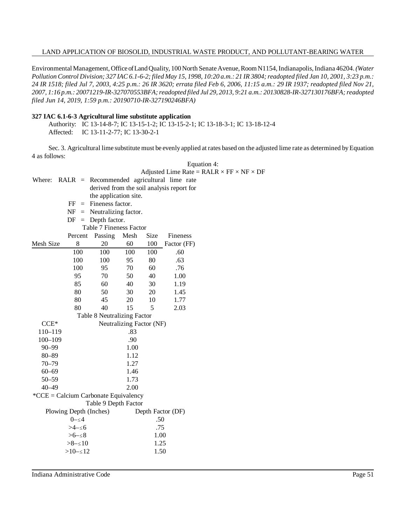Environmental Management, Office of Land Quality, 100 North Senate Avenue, Room N1154, Indianapolis, Indiana 46204. *(Water* Pollution Control Division; 327 IAC 6.1-6-2; filed May 15, 1998, 10:20 a.m.: 21 IR 3804; readopted filed Jan 10, 2001, 3:23 p.m.: *24 IR 1518; filed Jul 7, 2003, 4:25 p.m.: 26 IR 3620; errata filed Feb 6, 2006, 11:15 a.m.: 29 IR 1937; readopted filed Nov 21, 2007, 1:16 p.m.: 20071219-IR-327070553BFA;readopted filed Jul 29, 2013, 9:21 a.m.: 20130828-IR-327130176BFA;readopted filed Jun 14, 2019, 1:59 p.m.: 20190710-IR-327190246BFA)*

#### **327 IAC 6.1-6-3 Agricultural lime substitute application**

Authority: IC 13-14-8-7; IC 13-15-1-2; IC 13-15-2-1; IC 13-18-3-1; IC 13-18-12-4 Affected: IC 13-11-2-77; IC 13-30-2-1

Sec. 3. Agricultural lime substitute must be evenly applied at rates based on the adjusted lime rate as determined by Equation 4 as follows: Equation 4:

|                                           |                        |                             |                          |      |                                             | Adjusted Lime Rate = $RALR \times FF \times NF \times DF$ |  |
|-------------------------------------------|------------------------|-----------------------------|--------------------------|------|---------------------------------------------|-----------------------------------------------------------|--|
| Where:                                    |                        |                             |                          |      | $RALR$ = Recommended agricultural lime rate |                                                           |  |
|                                           |                        |                             |                          |      | derived from the soil analysis report for   |                                                           |  |
|                                           |                        | the application site.       |                          |      |                                             |                                                           |  |
|                                           | FF<br>$=$              | Fineness factor.            |                          |      |                                             |                                                           |  |
|                                           | NF                     | $=$ Neutralizing factor.    |                          |      |                                             |                                                           |  |
|                                           | DF<br>$=$              | Depth factor.               |                          |      |                                             |                                                           |  |
|                                           |                        | Table 7 Fineness Factor     |                          |      |                                             |                                                           |  |
|                                           | Percent                | Passing                     | Mesh                     | Size | Fineness                                    |                                                           |  |
| Mesh Size                                 | 8                      | 20                          | 60                       | 100  | Factor (FF)                                 |                                                           |  |
|                                           | 100                    | 100                         | 100                      | 100  | .60                                         |                                                           |  |
|                                           | 100                    | 100                         | 95                       | 80   | .63                                         |                                                           |  |
|                                           | 100                    | 95                          | 70                       | 60   | .76                                         |                                                           |  |
|                                           | 95                     | 70                          | 50                       | 40   | 1.00                                        |                                                           |  |
|                                           | 85                     | 60                          | 40                       | 30   | 1.19                                        |                                                           |  |
|                                           | 80                     | 50                          | 30                       | 20   | 1.45                                        |                                                           |  |
|                                           | 80                     | 45                          | 20                       | 10   | 1.77                                        |                                                           |  |
|                                           | 80                     | 40                          | 15                       | 5    | 2.03                                        |                                                           |  |
|                                           |                        | Table 8 Neutralizing Factor |                          |      |                                             |                                                           |  |
| $CCE*$                                    |                        |                             | Neutralizing Factor (NF) |      |                                             |                                                           |  |
| 110-119                                   |                        |                             | .83                      |      |                                             |                                                           |  |
| $100 - 109$                               |                        |                             | .90                      |      |                                             |                                                           |  |
| $90 - 99$                                 |                        |                             | 1.00                     |      |                                             |                                                           |  |
| $80 - 89$                                 |                        |                             | 1.12                     |      |                                             |                                                           |  |
| $70 - 79$                                 |                        |                             | 1.27                     |      |                                             |                                                           |  |
| $60 - 69$                                 |                        |                             | 1.46                     |      |                                             |                                                           |  |
| $50 - 59$                                 |                        |                             | 1.73                     |      |                                             |                                                           |  |
| $40 - 49$                                 |                        |                             | 2.00                     |      |                                             |                                                           |  |
| ${}^*CCE =$ Calcium Carbonate Equivalency |                        |                             |                          |      |                                             |                                                           |  |
|                                           |                        | Table 9 Depth Factor        |                          |      |                                             |                                                           |  |
|                                           | Plowing Depth (Inches) |                             |                          |      | Depth Factor (DF)                           |                                                           |  |
|                                           | $0 - \leq 4$           |                             |                          | .50  |                                             |                                                           |  |
|                                           | >4−≤6                  |                             |                          | .75  |                                             |                                                           |  |
|                                           | $> 6 - 58$             |                             |                          | 1.00 |                                             |                                                           |  |
|                                           | $>8 - 10$              |                             |                          | 1.25 |                                             |                                                           |  |
|                                           | $>10 - 12$             |                             |                          | 1.50 |                                             |                                                           |  |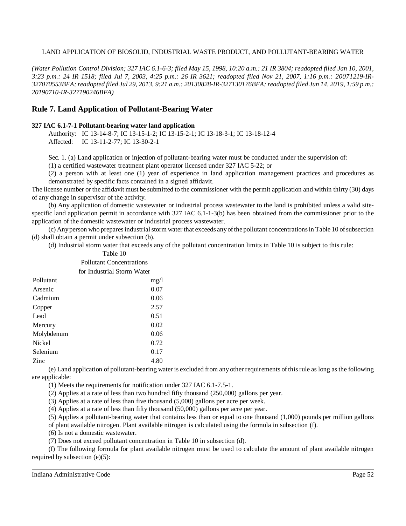(Water Pollution Control Division; 327 IAC 6.1-6-3; filed May 15, 1998, 10:20 a.m.: 21 IR 3804; readopted filed Jan 10, 2001, 3:23 p.m.: 24 IR 1518; filed Jul 7, 2003, 4:25 p.m.: 26 IR 3621; readopted filed Nov 21, 2007, 1:16 p.m.: 20071219-IR-327070553BFA; readopted filed Jul 29, 2013, 9:21 a.m.: 20130828-IR-327130176BFA; readopted filed Jun 14, 2019, 1:59 p.m.: *20190710-IR-327190246BFA)*

## **Rule 7. Land Application of Pollutant-Bearing Water**

#### **327 IAC 6.1-7-1 Pollutant-bearing water land application**

Authority: IC 13-14-8-7; IC 13-15-1-2; IC 13-15-2-1; IC 13-18-3-1; IC 13-18-12-4 Affected: IC 13-11-2-77; IC 13-30-2-1

Sec. 1. (a) Land application or injection of pollutant-bearing water must be conducted under the supervision of:

(1) a certified wastewater treatment plant operator licensed under 327 IAC 5-22; or

(2) a person with at least one (1) year of experience in land application management practices and procedures as demonstrated by specific facts contained in a signed affidavit.

The license number or the affidavit must be submitted to the commissioner with the permit application and within thirty (30) days of any change in supervisor of the activity.

(b) Any application of domestic wastewater or industrial process wastewater to the land is prohibited unless a valid sitespecific land application permit in accordance with 327 IAC 6.1-1-3(b) has been obtained from the commissioner prior to the application of the domestic wastewater or industrial process wastewater.

(c) Anyperson who preparesindustrialstorm water that exceeds anyofthe pollutant concentrationsin Table 10 ofsubsection (d) shall obtain a permit under subsection (b).

(d) Industrial storm water that exceeds any of the pollutant concentration limits in Table 10 is subject to this rule:

|               | Pollutant Concentrations   |
|---------------|----------------------------|
|               | for Industrial Storm Water |
| Pollutant     | mg/l                       |
| Arsenic       | 0.07                       |
| Cadmium       | 0.06                       |
| Copper        | 2.57                       |
| Lead          | 0.51                       |
| Mercury       | 0.02                       |
| Molybdenum    | 0.06                       |
| <b>Nickel</b> | 0.72                       |
| Selenium      | 0.17                       |
| <b>Zinc</b>   | 4.80                       |

Table 10

(e) Land application of pollutant-bearing water is excluded from any other requirements of thisrule as long as the following are applicable:

(1) Meets the requirements for notification under 327 IAC 6.1-7.5-1.

(2) Applies at a rate of less than two hundred fifty thousand (250,000) gallons per year.

(3) Applies at a rate of less than five thousand (5,000) gallons per acre per week.

(4) Applies at a rate of less than fifty thousand (50,000) gallons per acre per year.

(5) Applies a pollutant-bearing water that contains less than or equal to one thousand (1,000) pounds per million gallons

of plant available nitrogen. Plant available nitrogen is calculated using the formula in subsection (f).

(6) Is not a domestic wastewater.

(7) Does not exceed pollutant concentration in Table 10 in subsection (d).

(f) The following formula for plant available nitrogen must be used to calculate the amount of plant available nitrogen required by subsection (e)(5):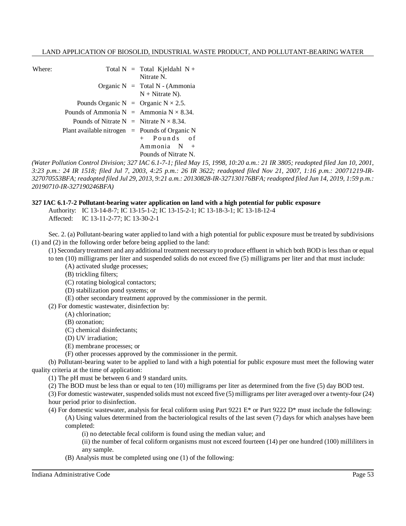| Where:                                           |                                                   |  | Total $N =$ Total Kjeldahl $N +$<br>Nitrate N.                 |  |
|--------------------------------------------------|---------------------------------------------------|--|----------------------------------------------------------------|--|
|                                                  |                                                   |  | Organic $N = \text{Total } N$ - (Ammonia<br>$N + N$ itrate N). |  |
|                                                  | Pounds Organic N = Organic $N \times 2.5$ .       |  |                                                                |  |
|                                                  | Pounds of Ammonia $N =$ Ammonia $N \times 8.34$ . |  |                                                                |  |
|                                                  | Pounds of Nitrate N = Nitrate $N \times 8.34$ .   |  |                                                                |  |
| Plant available nitrogen $=$ Pounds of Organic N |                                                   |  |                                                                |  |
|                                                  |                                                   |  | + Pounds of                                                    |  |
|                                                  |                                                   |  | $Ammonia$ N +                                                  |  |
|                                                  |                                                   |  | Pounds of Nitrate N.                                           |  |

(Water Pollution Control Division; 327 IAC 6.1-7-1; filed May 15, 1998, 10:20 a.m.: 21 IR 3805; readopted filed Jan 10, 2001, 3:23 p.m.: 24 IR 1518; filed Jul 7, 2003, 4:25 p.m.: 26 IR 3622; readopted filed Nov 21, 2007, 1:16 p.m.: 20071219-IR-327070553BFA; readopted filed Jul 29, 2013, 9:21 a.m.: 20130828-IR-327130176BFA; readopted filed Jun 14, 2019, 1:59 p.m.: *20190710-IR-327190246BFA)*

## **327 IAC 6.1-7-2 Pollutant-bearing water application on land with a high potential for public exposure**

Authority: IC 13-14-8-7; IC 13-15-1-2; IC 13-15-2-1; IC 13-18-3-1; IC 13-18-12-4 Affected: IC 13-11-2-77; IC 13-30-2-1

Sec. 2. (a) Pollutant-bearing water applied to land with a high potential for public exposure must be treated by subdivisions (1) and (2) in the following order before being applied to the land:

(1) Secondary treatment and any additional treatment necessary to produce effluent in which both BOD is less than or equal

to ten (10) milligrams per liter and suspended solids do not exceed five (5) milligrams per liter and that must include:

(A) activated sludge processes;

(B) trickling filters;

(C) rotating biological contactors;

(D) stabilization pond systems; or

(E) other secondary treatment approved by the commissioner in the permit.

(2) For domestic wastewater, disinfection by:

(A) chlorination;

(B) ozonation;

(C) chemical disinfectants;

(D) UV irradiation;

(E) membrane processes; or

(F) other processes approved by the commissioner in the permit.

(b) Pollutant-bearing water to be applied to land with a high potential for public exposure must meet the following water quality criteria at the time of application:

(1) The pH must be between 6 and 9 standard units.

(2) The BOD must be less than or equal to ten (10) milligrams per liter as determined from the five (5) day BOD test.

(3) For domestic wastewater, suspended solids must not exceed five (5) milligrams per liter averaged over a twenty-four (24) hour period prior to disinfection.

- (4) For domestic wastewater, analysis for fecal coliform using Part 9221 E\* or Part 9222 D\* must include the following: (A) Using values determined from the bacteriological results of the last seven (7) days for which analyses have been completed:
	- (i) no detectable fecal coliform is found using the median value; and

(ii) the number of fecal coliform organisms must not exceed fourteen (14) per one hundred (100) milliliters in any sample.

(B) Analysis must be completed using one (1) of the following:

Indiana Administrative Code Page 53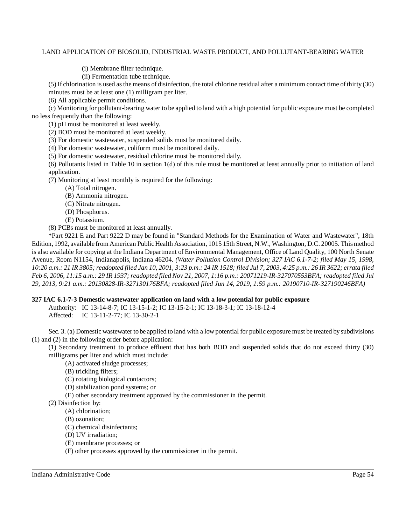(i) Membrane filter technique.

(ii) Fermentation tube technique.

(5) If chlorination is used asthe means of disinfection, the total chlorine residual after a minimum contact time of thirty (30) minutes must be at least one (1) milligram per liter.

(6) All applicable permit conditions.

(c) Monitoring for pollutant-bearing water to be applied to land with a high potential for public exposure must be completed no less frequently than the following:

(1) pH must be monitored at least weekly.

(2) BOD must be monitored at least weekly.

(3) For domestic wastewater, suspended solids must be monitored daily.

(4) For domestic wastewater, coliform must be monitored daily.

(5) For domestic wastewater, residual chlorine must be monitored daily.

(6) Pollutants listed in Table 10 in section 1(d) of this rule must be monitored at least annually prior to initiation of land application.

(7) Monitoring at least monthly is required for the following:

(A) Total nitrogen.

(B) Ammonia nitrogen.

(C) Nitrate nitrogen.

(D) Phosphorus.

(E) Potassium.

(8) PCBs must be monitored at least annually.

\*Part 9221 E and Part 9222 D may be found in "Standard Methods for the Examination of Water and Wastewater", 18th Edition, 1992, available from American Public Health Association, 1015 15th Street, N.W., Washington, D.C. 20005. Thismethod is also available for copying at the Indiana Department of Environmental Management, Office of Land Quality, 100 North Senate Avenue, Room N1154, Indianapolis, Indiana 46204. *(Water Pollution Control Division; 327 IAC 6.1-7-2; filed May 15, 1998,* 10:20 a.m.: 21 IR 3805; readopted filed Jan 10, 2001, 3:23 p.m.: 24 IR 1518; filed Jul 7, 2003, 4:25 p.m.: 26 IR 3622; errata filed Feb 6, 2006, 11:15 a.m.: 29 IR 1937; readopted filed Nov 21, 2007, 1:16 p.m.: 20071219-IR-327070553BFA; readopted filed Jul *29, 2013, 9:21 a.m.: 20130828-IR-327130176BFA; readopted filed Jun 14, 2019, 1:59 p.m.: 20190710-IR-327190246BFA)*

## **327 IAC 6.1-7-3 Domestic wastewater application on land with a low potential for public exposure**

Authority: IC 13-14-8-7; IC 13-15-1-2; IC 13-15-2-1; IC 13-18-3-1; IC 13-18-12-4 Affected: IC 13-11-2-77; IC 13-30-2-1

Sec. 3. (a) Domestic wastewater to be applied to land with a low potential for public exposure must be treated by subdivisions (1) and (2) in the following order before application:

(1) Secondary treatment to produce effluent that has both BOD and suspended solids that do not exceed thirty (30) milligrams per liter and which must include:

(A) activated sludge processes;

(B) trickling filters;

(C) rotating biological contactors;

(D) stabilization pond systems; or

(E) other secondary treatment approved by the commissioner in the permit.

(2) Disinfection by:

(A) chlorination;

(B) ozonation;

(C) chemical disinfectants;

(D) UV irradiation;

(E) membrane processes; or

(F) other processes approved by the commissioner in the permit.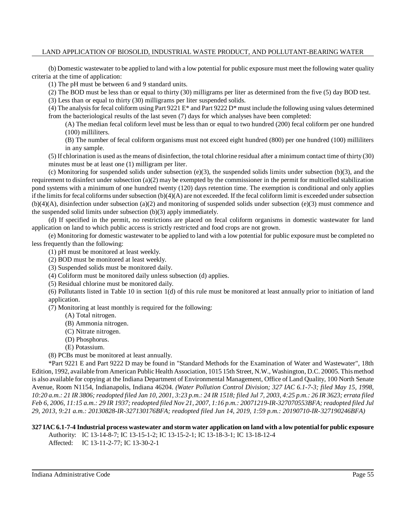(b) Domestic wastewater to be applied to land with a low potential for public exposure must meet the following water quality criteria at the time of application:

(1) The pH must be between 6 and 9 standard units.

(2) The BOD must be less than or equal to thirty (30) milligrams per liter as determined from the five (5) day BOD test.

(3) Less than or equal to thirty (30) milligrams per liter suspended solids.

(4) The analysis for fecal coliform using Part 9221 E<sup>\*</sup> and Part 9222 D<sup>\*</sup> must include the following using values determined from the bacteriological results of the last seven (7) days for which analyses have been completed:

(A) The median fecal coliform level must be less than or equal to two hundred (200) fecal coliform per one hundred (100) milliliters.

(B) The number of fecal coliform organisms must not exceed eight hundred (800) per one hundred (100) milliliters in any sample.

(5) If chlorination is used asthe means of disinfection, the total chlorine residual after a minimum contact time of thirty (30) minutes must be at least one (1) milligram per liter.

(c) Monitoring for suspended solids under subsection  $(e)(3)$ , the suspended solids limits under subsection  $(b)(3)$ , and the requirement to disinfect under subsection (a)(2) may be exempted by the commissioner in the permit for multicelled stabilization pond systems with a minimum of one hundred twenty (120) days retention time. The exemption is conditional and only applies if the limits for fecal coliforms under subsection  $(b)(4)(A)$  are not exceeded. If the fecal coliform limit is exceeded under subsection (b)(4)(A), disinfection under subsection (a)(2) and monitoring of suspended solids under subsection (e)(3) must commence and the suspended solid limits under subsection (b)(3) apply immediately.

(d) If specified in the permit, no restrictions are placed on fecal coliform organisms in domestic wastewater for land application on land to which public access is strictly restricted and food crops are not grown.

(e) Monitoring for domestic wastewater to be applied to land with a low potential for public exposure must be completed no less frequently than the following:

- (1) pH must be monitored at least weekly.
- (2) BOD must be monitored at least weekly.
- (3) Suspended solids must be monitored daily.
- (4) Coliform must be monitored daily unless subsection (d) applies.
- (5) Residual chlorine must be monitored daily.

(6) Pollutants listed in Table 10 in section 1(d) of this rule must be monitored at least annually prior to initiation of land application.

(7) Monitoring at least monthly is required for the following:

- (A) Total nitrogen.
- (B) Ammonia nitrogen.
- (C) Nitrate nitrogen.
- (D) Phosphorus.
- (E) Potassium.

(8) PCBs must be monitored at least annually.

\*Part 9221 E and Part 9222 D may be found in "Standard Methods for the Examination of Water and Wastewater", 18th Edition, 1992, available from American Public Health Association, 1015 15th Street, N.W., Washington, D.C. 20005. Thismethod is also available for copying at the Indiana Department of Environmental Management, Office of Land Quality, 100 North Senate Avenue, Room N1154, Indianapolis, Indiana 46204. *(Water Pollution Control Division; 327 IAC 6.1-7-3; filed May 15, 1998,* 10:20 a.m.: 21 IR 3806; readopted filed Jan 10, 2001, 3:23 p.m.: 24 IR 1518; filed Jul 7, 2003, 4:25 p.m.: 26 IR 3623; errata filed Feb 6, 2006, 11:15 a.m.: 29 IR 1937; readopted filed Nov 21, 2007, 1:16 p.m.: 20071219-IR-327070553BFA; readopted filed Jul *29, 2013, 9:21 a.m.: 20130828-IR-327130176BFA; readopted filed Jun 14, 2019, 1:59 p.m.: 20190710-IR-327190246BFA)*

# 327 IAC 6.1-7-4 Industrial process wastewater and storm water application on land with a low potential for public exposure

Authority: IC 13-14-8-7; IC 13-15-1-2; IC 13-15-2-1; IC 13-18-3-1; IC 13-18-12-4

Affected: IC 13-11-2-77; IC 13-30-2-1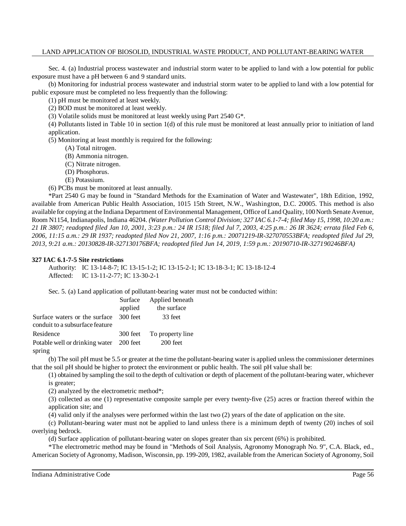Sec. 4. (a) Industrial process wastewater and industrial storm water to be applied to land with a low potential for public exposure must have a pH between 6 and 9 standard units.

(b) Monitoring for industrial process wastewater and industrial storm water to be applied to land with a low potential for public exposure must be completed no less frequently than the following:

(1) pH must be monitored at least weekly.

(2) BOD must be monitored at least weekly.

(3) Volatile solids must be monitored at least weekly using Part 2540 G\*.

(4) Pollutants listed in Table 10 in section 1(d) of this rule must be monitored at least annually prior to initiation of land application.

(5) Monitoring at least monthly is required for the following:

(A) Total nitrogen.

- (B) Ammonia nitrogen.
- (C) Nitrate nitrogen.
- (D) Phosphorus.
- (E) Potassium.

(6) PCBs must be monitored at least annually.

\*Part 2540 G may be found in "Standard Methods for the Examination of Water and Wastewater", 18th Edition, 1992, available from American Public Health Association, 1015 15th Street, N.W., Washington, D.C. 20005. This method is also available for copying at the Indiana Department of Environmental Management, Office of Land Quality, 100 North Senate Avenue, Room N1154, Indianapolis, Indiana 46204. *(Water Pollution Control Division; 327 IAC 6.1-7-4; filed May 15, 1998, 10:20 a.m.:* 21 IR 3807; readopted filed Jan 10, 2001, 3:23 p.m.: 24 IR 1518; filed Jul 7, 2003, 4:25 p.m.: 26 IR 3624; errata filed Feb 6, *2006, 11:15 a.m.: 29 IR 1937; readopted filed Nov 21, 2007, 1:16 p.m.: 20071219-IR-327070553BFA; readopted filed Jul 29, 2013, 9:21 a.m.: 20130828-IR-327130176BFA; readopted filed Jun 14, 2019, 1:59 p.m.: 20190710-IR-327190246BFA)*

#### **327 IAC 6.1-7-5 Site restrictions**

Authority: IC 13-14-8-7; IC 13-15-1-2; IC 13-15-2-1; IC 13-18-3-1; IC 13-18-12-4 Affected: IC 13-11-2-77; IC 13-30-2-1

Sec. 5. (a) Land application of pollutant-bearing water must not be conducted within:

|                                         | Surface | Applied beneath           |
|-----------------------------------------|---------|---------------------------|
|                                         | applied | the surface               |
| Surface waters or the surface 300 feet  |         | 33 feet                   |
| conduit to a subsurface feature         |         |                           |
| Residence                               |         | 300 feet To property line |
| Potable well or drinking water 200 feet |         | 200 feet                  |
| spring                                  |         |                           |

(b) The soil pH must be 5.5 or greater at the time the pollutant-bearing water is applied unless the commissioner determines that the soil pH should be higher to protect the environment or public health. The soil pH value shall be:

(1) obtained by sampling the soil to the depth of cultivation or depth of placement of the pollutant-bearing water, whichever is greater;

(2) analyzed by the electrometric method\*;

(3) collected as one (1) representative composite sample per every twenty-five (25) acres or fraction thereof within the application site; and

(4) valid only if the analyses were performed within the last two (2) years of the date of application on the site.

(c) Pollutant-bearing water must not be applied to land unless there is a minimum depth of twenty (20) inches of soil overlying bedrock.

(d) Surface application of pollutant-bearing water on slopes greater than six percent (6%) is prohibited.

\*The electrometric method may be found in "Methods of Soil Analysis, Agronomy Monograph No. 9", C.A. Black, ed., American Society of Agronomy, Madison, Wisconsin, pp. 199-209, 1982, available from the American Society of Agronomy, Soil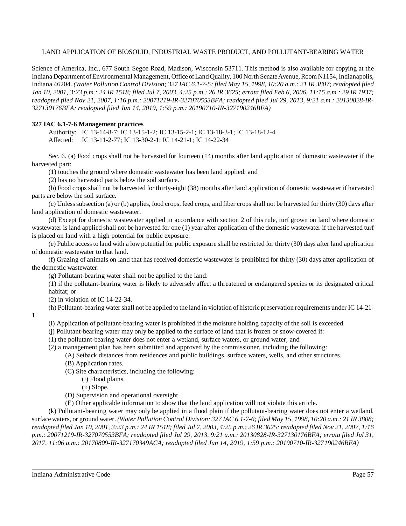Science of America, Inc., 677 South Segoe Road, Madison, Wisconsin 53711. This method is also available for copying at the Indiana Department ofEnvironmental Management, Office ofLand Quality, 100 North Senate Avenue, Room N1154, Indianapolis, Indiana 46204. (Water Pollution Control Division; 327 IAC 6.1-7-5; filed May 15, 1998, 10:20 a.m.: 21 IR 3807; readopted filed Jan 10, 2001, 3:23 p.m.: 24 IR 1518; filed Jul 7, 2003, 4:25 p.m.: 26 IR 3625; errata filed Feb 6, 2006, 11:15 a.m.: 29 IR 1937; *readopted filed Nov 21, 2007, 1:16 p.m.: 20071219-IR-327070553BFA; readopted filed Jul 29, 2013, 9:21 a.m.: 20130828-IR-327130176BFA; readopted filed Jun 14, 2019, 1:59 p.m.: 20190710-IR-327190246BFA)*

## **327 IAC 6.1-7-6 Management practices**

Authority: IC 13-14-8-7; IC 13-15-1-2; IC 13-15-2-1; IC 13-18-3-1; IC 13-18-12-4 Affected: IC 13-11-2-77; IC 13-30-2-1; IC 14-21-1; IC 14-22-34

Sec. 6. (a) Food crops shall not be harvested for fourteen (14) months after land application of domestic wastewater if the harvested part:

(1) touches the ground where domestic wastewater has been land applied; and

(2) has no harvested parts below the soil surface.

(b) Food crops shall not be harvested for thirty-eight (38) months after land application of domestic wastewater if harvested parts are below the soil surface.

(c) Unlesssubsection (a) or (b) applies, food crops, feed crops, and fiber cropsshall not be harvested for thirty (30) days after land application of domestic wastewater.

(d) Except for domestic wastewater applied in accordance with section 2 of this rule, turf grown on land where domestic wastewater is land applied shall not be harvested for one (1) year after application of the domestic wastewater if the harvested turf is placed on land with a high potential for public exposure.

(e) Public accessto land with a low potential for public exposure shall be restricted for thirty (30) days after land application of domestic wastewater to that land.

(f) Grazing of animals on land that has received domestic wastewater is prohibited for thirty (30) days after application of the domestic wastewater.

(g) Pollutant-bearing water shall not be applied to the land:

(1) if the pollutant-bearing water is likely to adversely affect a threatened or endangered species or its designated critical habitat; or

(2) in violation of IC 14-22-34.

1.

(h) Pollutant-bearing watershall not be applied to the land in violation of historic preservation requirements under IC 14-21-

(i) Application of pollutant-bearing water is prohibited if the moisture holding capacity of the soil is exceeded.

(j) Pollutant-bearing water may only be applied to the surface of land that is frozen or snow-covered if:

(1) the pollutant-bearing water does not enter a wetland, surface waters, or ground water; and

(2) a management plan has been submitted and approved by the commissioner, including the following:

(A) Setback distances from residences and public buildings, surface waters, wells, and other structures.

(B) Application rates.

(C) Site characteristics, including the following:

(i) Flood plains.

- (ii) Slope.
- (D) Supervision and operational oversight.
- (E) Other applicable information to show that the land application will not violate this article.

(k) Pollutant-bearing water may only be applied in a flood plain if the pollutant-bearing water does not enter a wetland, surface waters, or ground water. (Water Pollution Control Division; 327 IAC 6.1-7-6; filed May 15, 1998, 10:20 a.m.: 21 IR 3808; readopted filed Jan 10, 2001, 3:23 p.m.: 24 IR 1518; filed Jul 7, 2003, 4:25 p.m.: 26 IR 3625; readopted filed Nov 21, 2007, 1:16 *p.m.: 20071219-IR-327070553BFA; readopted filed Jul 29, 2013, 9:21 a.m.: 20130828-IR-327130176BFA; errata filed Jul 31, 2017, 11:06 a.m.: 20170809-IR-327170349ACA; readopted filed Jun 14, 2019, 1:59 p.m.: 20190710-IR-327190246BFA)*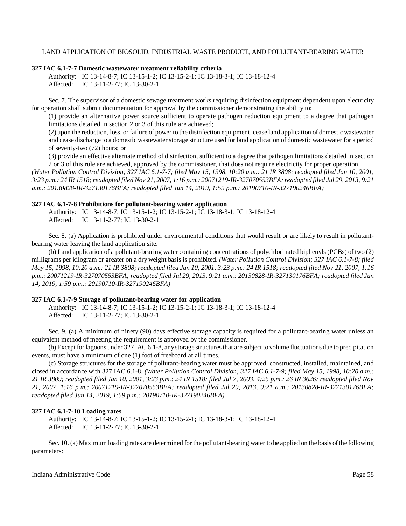#### **327 IAC 6.1-7-7 Domestic wastewater treatment reliability criteria**

Authority: IC 13-14-8-7; IC 13-15-1-2; IC 13-15-2-1; IC 13-18-3-1; IC 13-18-12-4 Affected: IC 13-11-2-77; IC 13-30-2-1

Sec. 7. The supervisor of a domestic sewage treatment works requiring disinfection equipment dependent upon electricity for operation shall submit documentation for approval by the commissioner demonstrating the ability to:

(1) provide an alternative power source sufficient to operate pathogen reduction equipment to a degree that pathogen limitations detailed in section 2 or 3 of this rule are achieved;

(2) upon the reduction, loss, or failure of power to the disinfection equipment, cease land application of domestic wastewater and cease discharge to a domestic wastewater storage structure used for land application of domestic wastewater for a period of seventy-two (72) hours; or

(3) provide an effective alternate method of disinfection, sufficient to a degree that pathogen limitations detailed in section 2 or 3 of this rule are achieved, approved by the commissioner, that does not require electricity for proper operation.

(Water Pollution Control Division; 327 IAC 6.1-7-7; filed May 15, 1998, 10:20 a.m.: 21 IR 3808; readopted filed Jan 10, 2001, 3:23 p.m.: 24 IR 1518; readopted filed Nov 21, 2007, 1:16 p.m.: 20071219-IR-327070553BFA; readopted filed Jul 29, 2013, 9:21 *a.m.: 20130828-IR-327130176BFA; readopted filed Jun 14, 2019, 1:59 p.m.: 20190710-IR-327190246BFA)*

#### **327 IAC 6.1-7-8 Prohibitions for pollutant-bearing water application**

Authority: IC 13-14-8-7; IC 13-15-1-2; IC 13-15-2-1; IC 13-18-3-1; IC 13-18-12-4 Affected: IC 13-11-2-77; IC 13-30-2-1

Sec. 8. (a) Application is prohibited under environmental conditions that would result or are likely to result in pollutantbearing water leaving the land application site.

(b) Land application of a pollutant-bearing water containing concentrations of polychlorinated biphenyls (PCBs) of two (2) milligrams per kilogram or greater on a dry weight basis is prohibited. *(Water Pollution Control Division; 327 IAC 6.1-7-8; filed* May 15, 1998, 10:20 a.m.: 21 IR 3808; readopted filed Jan 10, 2001, 3:23 p.m.: 24 IR 1518; readopted filed Nov 21, 2007, 1:16 *p.m.: 20071219-IR-327070553BFA; readopted filed Jul 29, 2013, 9:21 a.m.: 20130828-IR-327130176BFA; readopted filed Jun 14, 2019, 1:59 p.m.: 20190710-IR-327190246BFA)*

## **327 IAC 6.1-7-9 Storage of pollutant-bearing water for application**

Authority: IC 13-14-8-7; IC 13-15-1-2; IC 13-15-2-1; IC 13-18-3-1; IC 13-18-12-4 Affected: IC 13-11-2-77; IC 13-30-2-1

Sec. 9. (a) A minimum of ninety (90) days effective storage capacity is required for a pollutant-bearing water unless an equivalent method of meeting the requirement is approved by the commissioner.

(b) Except for lagoons under 327 IAC 6.1-8, any storage structures that are subject to volume fluctuations due to precipitation events, must have a minimum of one (1) foot of freeboard at all times.

(c) Storage structures for the storage of pollutant-bearing water must be approved, constructed, installed, maintained, and closed in accordance with 327 IAC 6.1-8. *(Water Pollution Control Division; 327 IAC 6.1-7-9; filed May 15, 1998, 10:20 a.m.: 21 IR 3809; readopted filed Jan 10, 2001, 3:23 p.m.: 24 IR 1518; filed Jul 7, 2003, 4:25 p.m.: 26 IR 3626; readopted filed Nov 21, 2007, 1:16 p.m.: 20071219-IR-327070553BFA; readopted filed Jul 29, 2013, 9:21 a.m.: 20130828-IR-327130176BFA; readopted filed Jun 14, 2019, 1:59 p.m.: 20190710-IR-327190246BFA)*

## **327 IAC 6.1-7-10 Loading rates**

Authority: IC 13-14-8-7; IC 13-15-1-2; IC 13-15-2-1; IC 13-18-3-1; IC 13-18-12-4 Affected: IC 13-11-2-77; IC 13-30-2-1

Sec. 10. (a) Maximum loading rates are determined for the pollutant-bearing water to be applied on the basis ofthe following parameters: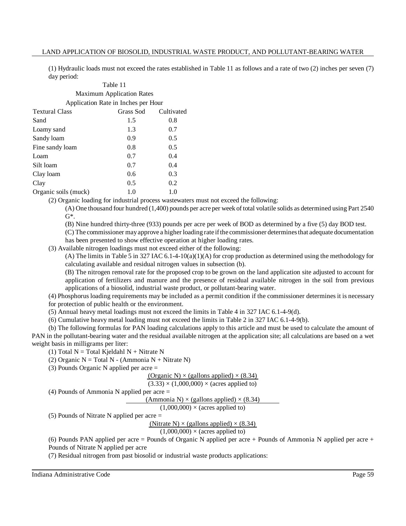(1) Hydraulic loads must not exceed the rates established in Table 11 as follows and a rate of two (2) inches per seven (7) day period:

## Table 11 Maximum Application Rates Application Rate in Inches per Hour Textural Class Grass Sod Cultivated

| Sand                 | 1.5 | 0.8 |
|----------------------|-----|-----|
| Loamy sand           | 1.3 | 0.7 |
| Sandy loam           | 0.9 | 0.5 |
| Fine sandy loam      | 0.8 | 0.5 |
| Loam                 | 0.7 | 0.4 |
| Silt loam            | 0.7 | 0.4 |
| Clay loam            | 0.6 | 0.3 |
| Clay                 | 0.5 | 0.2 |
| Organic soils (muck) | 1.0 | 1.0 |

(2) Organic loading for industrial process wastewaters must not exceed the following:

(A) One thousand four hundred (1,400) pounds per acre per week of total volatile solids as determined using Part 2540  $G^*$ .

(B) Nine hundred thirty-three (933) pounds per acre per week of BOD as determined by a five (5) day BOD test.

(C) The commissioner mayapprove a higher loading rate ifthe commissioner determinesthat adequate documentation has been presented to show effective operation at higher loading rates.

(3) Available nitrogen loadings must not exceed either of the following:

(A) The limits in Table 5 in 327 IAC 6.1-4-10(a)(1)(A) for crop production as determined using the methodology for calculating available and residual nitrogen values in subsection (b).

(B) The nitrogen removal rate for the proposed crop to be grown on the land application site adjusted to account for application of fertilizers and manure and the presence of residual available nitrogen in the soil from previous applications of a biosolid, industrial waste product, or pollutant-bearing water.

(4) Phosphorus loading requirements may be included as a permit condition if the commissioner determines it is necessary for protection of public health or the environment.

(5) Annual heavy metal loadings must not exceed the limits in Table 4 in 327 IAC 6.1-4-9(d).

(6) Cumulative heavy metal loading must not exceed the limits in Table 2 in 327 IAC 6.1-4-9(b).

(b) The following formulas for PAN loading calculations apply to this article and must be used to calculate the amount of PAN in the pollutant-bearing water and the residual available nitrogen at the application site; all calculations are based on a wet weight basis in milligrams per liter:

(1) Total N = Total Kjeldahl N + Nitrate N

(2) Organic  $N = Total N - (Ammonia N + Nitrate N)$ 

(3) Pounds Organic N applied per acre =

(Organic N)  $\times$  (gallons applied)  $\times$  (8.34)

$$
(3.33) \times (1,000,000) \times (acres applied to)
$$

(4) Pounds of Ammonia N applied per acre =

(Ammonia N)  $\times$  (gallons applied)  $\times$  (8.34)

 $(1,000,000) \times (acres applied to)$ 

(5) Pounds of Nitrate N applied per acre =

(Nitrate N)  $\times$  (gallons applied)  $\times$  (8.34)

 $(1,000,000) \times (a$ cres applied to)

(6) Pounds PAN applied per acre = Pounds of Organic N applied per acre + Pounds of Ammonia N applied per acre + Pounds of Nitrate N applied per acre

(7) Residual nitrogen from past biosolid or industrial waste products applications: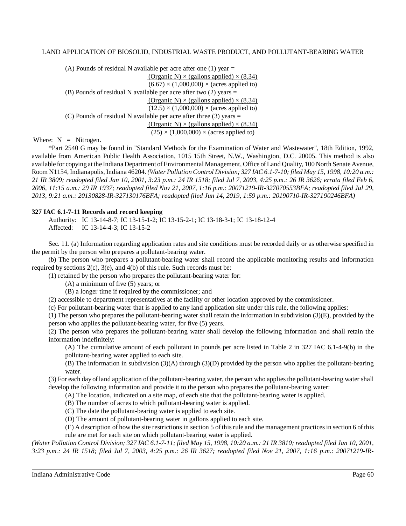(A) Pounds of residual N available per acre after one  $(1)$  year = (Organic N)  $\times$  (gallons applied)  $\times$  (8.34)  $(6.67) \times (1,000,000) \times (acres applied to)$ (B) Pounds of residual N available per acre after two (2) years = (Organic N)  $\times$  (gallons applied)  $\times$  (8.34)  $(12.5) \times (1,000,000) \times (acres applied to)$ (C) Pounds of residual N available per acre after three  $(3)$  years = (Organic N)  $\times$  (gallons applied)  $\times$  (8.34)  $(25) \times (1,000,000) \times (acres applied to)$ 

Where:  $N =$  Nitrogen.

\*Part 2540 G may be found in "Standard Methods for the Examination of Water and Wastewater", 18th Edition, 1992, available from American Public Health Association, 1015 15th Street, N.W., Washington, D.C. 20005. This method is also available for copying at the Indiana Department of Environmental Management, Office of Land Quality, 100 North Senate Avenue, Room N1154, Indianapolis, Indiana 46204. *(Water Pollution Control Division; 327 IAC 6.1-7-10; filed May 15, 1998, 10:20 a.m.:* 21 IR 3809; readopted filed Jan 10, 2001, 3:23 p.m.: 24 IR 1518; filed Jul 7, 2003, 4:25 p.m.: 26 IR 3626; errata filed Feb 6, *2006, 11:15 a.m.: 29 IR 1937; readopted filed Nov 21, 2007, 1:16 p.m.: 20071219-IR-327070553BFA; readopted filed Jul 29, 2013, 9:21 a.m.: 20130828-IR-327130176BFA; readopted filed Jun 14, 2019, 1:59 p.m.: 20190710-IR-327190246BFA)*

#### **327 IAC 6.1-7-11 Records and record keeping**

Authority: IC 13-14-8-7; IC 13-15-1-2; IC 13-15-2-1; IC 13-18-3-1; IC 13-18-12-4 Affected: IC 13-14-4-3; IC 13-15-2

Sec. 11. (a) Information regarding application rates and site conditions must be recorded daily or as otherwise specified in the permit by the person who prepares a pollutant-bearing water.

(b) The person who prepares a pollutant-bearing water shall record the applicable monitoring results and information required by sections 2(c), 3(e), and 4(b) of this rule. Such records must be:

(1) retained by the person who prepares the pollutant-bearing water for:

(A) a minimum of five (5) years; or

(B) a longer time if required by the commissioner; and

(2) accessible to department representatives at the facility or other location approved by the commissioner.

(c) For pollutant-bearing water that is applied to any land application site under this rule, the following applies:

(1) The person who prepares the pollutant-bearing water shall retain the information in subdivision (3)(E), provided by the person who applies the pollutant-bearing water, for five (5) years.

(2) The person who prepares the pollutant-bearing water shall develop the following information and shall retain the information indefinitely:

(A) The cumulative amount of each pollutant in pounds per acre listed in Table 2 in 327 IAC 6.1-4-9(b) in the pollutant-bearing water applied to each site.

(B) The information in subdivision (3)(A) through (3)(D) provided by the person who applies the pollutant-bearing water.

(3) For each day of land application of the pollutant-bearing water, the person who applies the pollutant-bearing water shall develop the following information and provide it to the person who prepares the pollutant-bearing water:

(A) The location, indicated on a site map, of each site that the pollutant-bearing water is applied.

(B) The number of acres to which pollutant-bearing water is applied.

(C) The date the pollutant-bearing water is applied to each site.

(D) The amount of pollutant-bearing water in gallons applied to each site.

(E) A description of how the site restrictions in section 5 of thisrule and the management practicesin section 6 of this rule are met for each site on which pollutant-bearing water is applied.

(Water Pollution Control Division; 327 IAC 6.1-7-11; filed May 15, 1998, 10:20 a.m.: 21 IR 3810; readopted filed Jan 10, 2001, 3:23 p.m.: 24 IR 1518; filed Jul 7, 2003, 4:25 p.m.: 26 IR 3627; readopted filed Nov 21, 2007, 1:16 p.m.: 20071219-IR-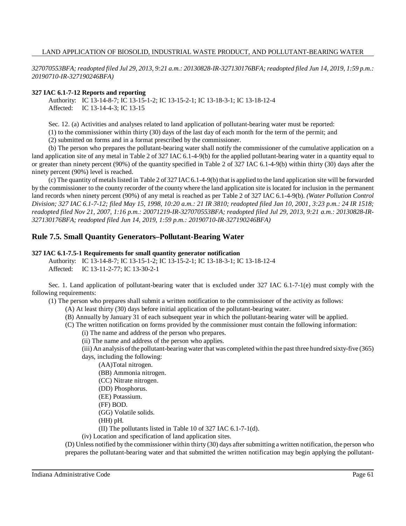327070553BFA; readopted filed Jul 29, 2013, 9:21 a.m.: 20130828-IR-327130176BFA; readopted filed Jun 14, 2019, 1:59 p.m.: *20190710-IR-327190246BFA)*

#### **327 IAC 6.1-7-12 Reports and reporting**

Authority: IC 13-14-8-7; IC 13-15-1-2; IC 13-15-2-1; IC 13-18-3-1; IC 13-18-12-4 Affected: IC 13-14-4-3; IC 13-15

Sec. 12. (a) Activities and analyses related to land application of pollutant-bearing water must be reported:

(1) to the commissioner within thirty (30) days of the last day of each month for the term of the permit; and

(2) submitted on forms and in a format prescribed by the commissioner.

(b) The person who prepares the pollutant-bearing water shall notify the commissioner of the cumulative application on a land application site of any metal in Table 2 of 327 IAC 6.1-4-9(b) for the applied pollutant-bearing water in a quantity equal to or greater than ninety percent (90%) of the quantity specified in Table 2 of 327 IAC 6.1-4-9(b) within thirty (30) days after the ninety percent (90%) level is reached.

(c) The quantity of metalslisted in Table 2 of 327 IAC 6.1-4-9(b) that is applied to the land application site will be forwarded by the commissioner to the county recorder of the county where the land application site is located for inclusion in the permanent land records when ninety percent (90%) of any metal is reached as per Table 2 of 327 IAC 6.1-4-9(b). *(Water Pollution Control Division; 327 IAC 6.1-7-12; filed May 15, 1998, 10:20 a.m.: 21 IR 3810; readopted filed Jan 10, 2001, 3:23 p.m.: 24 IR 1518; readopted filed Nov 21, 2007, 1:16 p.m.: 20071219-IR-327070553BFA; readopted filed Jul 29, 2013, 9:21 a.m.: 20130828-IR-327130176BFA; readopted filed Jun 14, 2019, 1:59 p.m.: 20190710-IR-327190246BFA)*

## **Rule 7.5. Small Quantity Generators–Pollutant-Bearing Water**

#### **327 IAC 6.1-7.5-1 Requirements for small quantity generator notification**

Authority: IC 13-14-8-7; IC 13-15-1-2; IC 13-15-2-1; IC 13-18-3-1; IC 13-18-12-4 Affected: IC 13-11-2-77; IC 13-30-2-1

Sec. 1. Land application of pollutant-bearing water that is excluded under 327 IAC 6.1-7-1(e) must comply with the following requirements:

(1) The person who prepares shall submit a written notification to the commissioner of the activity as follows:

- (A) At least thirty (30) days before initial application of the pollutant-bearing water.
- (B) Annually by January 31 of each subsequent year in which the pollutant-bearing water will be applied.

(C) The written notification on forms provided by the commissioner must contain the following information:

- (i) The name and address of the person who prepares.
- (ii) The name and address of the person who applies.

(iii) An analysis ofthe pollutant-bearing water that was completed within the past three hundred sixty-five (365) days, including the following:

(AA)Total nitrogen.

(BB) Ammonia nitrogen.

- (CC) Nitrate nitrogen.
- (DD) Phosphorus.
- (EE) Potassium.
- (FF) BOD.

(GG) Volatile solids.

(HH) pH.

(II) The pollutants listed in Table 10 of 327 IAC 6.1-7-1(d).

(iv) Location and specification of land application sites.

(D) Unless notified by the commissioner within thirty (30) days aftersubmitting a written notification, the person who prepares the pollutant-bearing water and that submitted the written notification may begin applying the pollutant-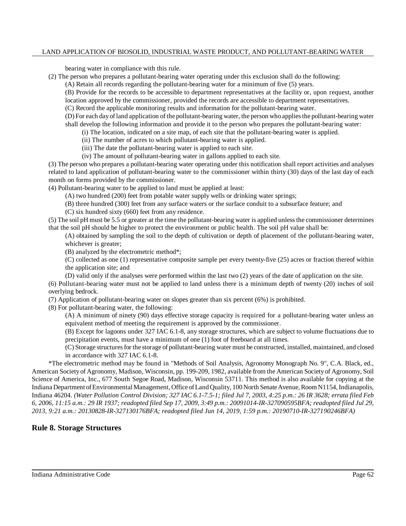bearing water in compliance with this rule.

(2) The person who prepares a pollutant-bearing water operating under this exclusion shall do the following:

(A) Retain all records regarding the pollutant-bearing water for a minimum of five (5) years.

(B) Provide for the records to be accessible to department representatives at the facility or, upon request, another location approved by the commissioner, provided the records are accessible to department representatives.

(C) Record the applicable monitoring results and information for the pollutant-bearing water.

(D) For each dayofland application of the pollutant-bearing water, the person who appliesthe pollutant-bearing water shall develop the following information and provide it to the person who prepares the pollutant-bearing water:

(i) The location, indicated on a site map, of each site that the pollutant-bearing water is applied.

(ii) The number of acres to which pollutant-bearing water is applied.

(iii) The date the pollutant-bearing water is applied to each site.

(iv) The amount of pollutant-bearing water in gallons applied to each site.

(3) The person who prepares a pollutant-bearing water operating under this notification shall report activities and analyses related to land application of pollutant-bearing water to the commissioner within thirty (30) days of the last day of each month on forms provided by the commissioner.

(4) Pollutant-bearing water to be applied to land must be applied at least:

(A) two hundred (200) feet from potable water supply wells or drinking water springs;

(B) three hundred (300) feet from any surface waters or the surface conduit to a subsurface feature; and

(C) six hundred sixty (660) feet from any residence.

(5) The soil pH must be 5.5 or greater at the time the pollutant-bearing water is applied unlessthe commissioner determines that the soil pH should be higher to protect the environment or public health. The soil pH value shall be:

(A) obtained by sampling the soil to the depth of cultivation or depth of placement of the pollutant-bearing water, whichever is greater;

(B) analyzed by the electrometric method\*;

(C) collected as one (1) representative composite sample per every twenty-five (25) acres or fraction thereof within the application site; and

(D) valid only if the analyses were performed within the last two (2) years of the date of application on the site.

(6) Pollutant-bearing water must not be applied to land unless there is a minimum depth of twenty (20) inches of soil overlying bedrock.

(7) Application of pollutant-bearing water on slopes greater than six percent (6%) is prohibited.

(8) For pollutant-bearing water, the following:

(A) A minimum of ninety (90) days effective storage capacity is required for a pollutant-bearing water unless an equivalent method of meeting the requirement is approved by the commissioner.

(B) Except for lagoons under 327 IAC 6.1-8, any storage structures, which are subject to volume fluctuations due to precipitation events, must have a minimum of one (1) foot of freeboard at all times.

(C) Storage structuresfor the storage of pollutant-bearing water must be constructed, installed, maintained, and closed in accordance with 327 IAC 6.1-8.

\*The electrometric method may be found in "Methods of Soil Analysis, Agronomy Monograph No. 9", C.A. Black, ed., American Society of Agronomy, Madison, Wisconsin, pp. 199-209, 1982, available from the American Society of Agronomy, Soil Science of America, Inc., 677 South Segoe Road, Madison, Wisconsin 53711. This method is also available for copying at the Indiana Department ofEnvironmental Management, Office ofLand Quality, 100 North Senate Avenue, Room N1154, Indianapolis, Indiana 46204. (Water Pollution Control Division; 327 IAC 6.1-7.5-1; filed Jul 7, 2003, 4:25 p.m.: 26 IR 3628; errata filed Feb 6, 2006, 11:15 a.m.: 29 IR 1937; readopted filed Sep 17, 2009, 3:49 p.m.: 20091014-IR-327090595BFA; readopted filed Jul 29, *2013, 9:21 a.m.: 20130828-IR-327130176BFA; readopted filed Jun 14, 2019, 1:59 p.m.: 20190710-IR-327190246BFA)*

## **Rule 8. Storage Structures**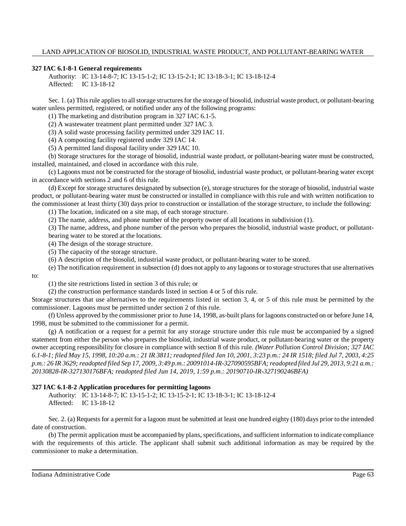#### **327 IAC 6.1-8-1 General requirements**

Authority: IC 13-14-8-7; IC 13-15-1-2; IC 13-15-2-1; IC 13-18-3-1; IC 13-18-12-4 Affected: IC 13-18-12

Sec. 1. (a) This rule applies to all storage structures for the storage of biosolid, industrial waste product, or pollutant-bearing water unless permitted, registered, or notified under any of the following programs:

(1) The marketing and distribution program in 327 IAC 6.1-5.

(2) A wastewater treatment plant permitted under 327 IAC 3.

(3) A solid waste processing facility permitted under 329 IAC 11.

(4) A composting facility registered under 329 IAC 14.

(5) A permitted land disposal facility under 329 IAC 10.

(b) Storage structures for the storage of biosolid, industrial waste product, or pollutant-bearing water must be constructed, installed, maintained, and closed in accordance with this rule.

(c) Lagoons must not be constructed for the storage of biosolid, industrial waste product, or pollutant-bearing water except in accordance with sections 2 and 6 of this rule.

(d) Except for storage structures designated by subsection (e), storage structures for the storage of biosolid, industrial waste product, or pollutant-bearing water must be constructed or installed in compliance with this rule and with written notification to the commissioner at least thirty (30) days prior to construction or installation of the storage structure, to include the following:

(1) The location, indicated on a site map, of each storage structure.

(2) The name, address, and phone number of the property owner of all locations in subdivision (1).

(3) The name, address, and phone number of the person who prepares the biosolid, industrial waste product, or pollutantbearing water to be stored at the locations.

(4) The design of the storage structure.

(5) The capacity of the storage structure.

(6) A description of the biosolid, industrial waste product, or pollutant-bearing water to be stored.

(e) The notification requirement in subsection (d) does not apply to any lagoons or to storage structuresthat use alternatives

to:

(1) the site restrictions listed in section 3 of this rule; or

(2) the construction performance standards listed in section 4 or 5 of this rule.

Storage structures that use alternatives to the requirements listed in section 3, 4, or 5 of this rule must be permitted by the commissioner. Lagoons must be permitted under section 2 of this rule.

(f) Unless approved by the commissioner prior to June 14, 1998, as-built plans for lagoons constructed on or before June 14, 1998, must be submitted to the commissioner for a permit.

(g) A notification or a request for a permit for any storage structure under this rule must be accompanied by a signed statement from either the person who prepares the biosolid, industrial waste product, or pollutant-bearing water or the property owner accepting responsibility for closure in compliance with section 8 of this rule. *(Water Pollution Control Division; 327 IAC* 6.1-8-1; filed May 15, 1998, 10:20 a.m.: 21 IR 3811; readopted filed Jan 10, 2001, 3:23 p.m.: 24 IR 1518; filed Jul 7, 2003, 4:25 p.m.: 26 IR 3629; readopted filed Sep 17, 2009, 3:49 p.m.: 20091014-IR-327090595BFA; readopted filed Jul 29, 2013, 9:21 a.m.: *20130828-IR-327130176BFA; readopted filed Jun 14, 2019, 1:59 p.m.: 20190710-IR-327190246BFA)*

## **327 IAC 6.1-8-2 Application procedures for permitting lagoons**

Authority: IC 13-14-8-7; IC 13-15-1-2; IC 13-15-2-1; IC 13-18-3-1; IC 13-18-12-4 Affected: IC 13-18-12

Sec. 2. (a) Requests for a permit for a lagoon must be submitted at least one hundred eighty (180) days prior to the intended date of construction.

(b) The permit application must be accompanied by plans, specifications, and sufficient information to indicate compliance with the requirements of this article. The applicant shall submit such additional information as may be required by the commissioner to make a determination.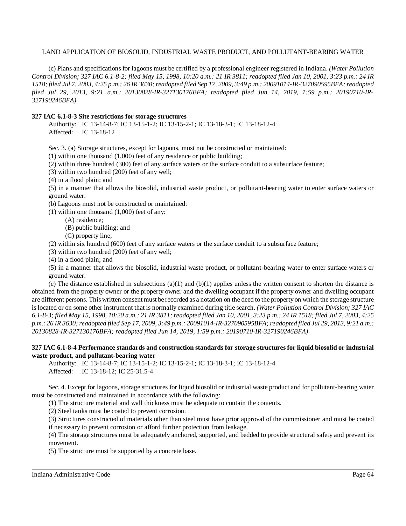(c) Plans and specifications for lagoons must be certified by a professional engineer registered in Indiana. *(Water Pollution* Control Division; 327 IAC 6.1-8-2; filed May 15, 1998, 10:20 a.m.: 21 IR 3811; readopted filed Jan 10, 2001, 3:23 p.m.: 24 IR 1518; filed Jul 7, 2003, 4:25 p.m.: 26 IR 3630; readopted filed Sep 17, 2009, 3:49 p.m.: 20091014-IR-327090595BFA; readopted *filed Jul 29, 2013, 9:21 a.m.: 20130828-IR-327130176BFA; readopted filed Jun 14, 2019, 1:59 p.m.: 20190710-IR-327190246BFA)*

#### **327 IAC 6.1-8-3 Site restrictions for storage structures**

Authority: IC 13-14-8-7; IC 13-15-1-2; IC 13-15-2-1; IC 13-18-3-1; IC 13-18-12-4 Affected: IC 13-18-12

Sec. 3. (a) Storage structures, except for lagoons, must not be constructed or maintained:

(1) within one thousand (1,000) feet of any residence or public building;

(2) within three hundred (300) feet of any surface waters or the surface conduit to a subsurface feature;

(3) within two hundred (200) feet of any well;

(4) in a flood plain; and

(5) in a manner that allows the biosolid, industrial waste product, or pollutant-bearing water to enter surface waters or ground water.

(b) Lagoons must not be constructed or maintained:

(1) within one thousand (1,000) feet of any:

(A) residence;

(B) public building; and

(C) property line;

(2) within six hundred (600) feet of any surface waters or the surface conduit to a subsurface feature;

(3) within two hundred (200) feet of any well;

(4) in a flood plain; and

(5) in a manner that allows the biosolid, industrial waste product, or pollutant-bearing water to enter surface waters or ground water.

(c) The distance established in subsections (a)(1) and (b)(1) applies unless the written consent to shorten the distance is obtained from the property owner or the property owner and the dwelling occupant if the property owner and dwelling occupant are different persons. This written consent must be recorded as a notation on the deed to the property on which the storage structure is located or on some other instrument that is normally examined during title search. *(Water Pollution Control Division; 327 IAC* 6.1-8-3; filed May 15, 1998, 10:20 a.m.: 21 IR 3811; readopted filed Jan 10, 2001, 3:23 p.m.: 24 IR 1518; filed Jul 7, 2003, 4:25 p.m.: 26 IR 3630; readopted filed Sep 17, 2009, 3:49 p.m.: 20091014-IR-327090595BFA; readopted filed Jul 29, 2013, 9:21 a.m.: *20130828-IR-327130176BFA; readopted filed Jun 14, 2019, 1:59 p.m.: 20190710-IR-327190246BFA)*

#### 327 IAC 6.1-8-4 Performance standards and construction standards for storage structures for liquid biosolid or industrial **waste product, and pollutant-bearing water**

Authority: IC 13-14-8-7; IC 13-15-1-2; IC 13-15-2-1; IC 13-18-3-1; IC 13-18-12-4 Affected: IC 13-18-12; IC 25-31.5-4

Sec. 4. Except for lagoons, storage structures for liquid biosolid or industrial waste product and for pollutant-bearing water must be constructed and maintained in accordance with the following:

(1) The structure material and wall thickness must be adequate to contain the contents.

(2) Steel tanks must be coated to prevent corrosion.

(3) Structures constructed of materials other than steel must have prior approval of the commissioner and must be coated if necessary to prevent corrosion or afford further protection from leakage.

(4) The storage structures must be adequately anchored, supported, and bedded to provide structural safety and prevent its movement.

(5) The structure must be supported by a concrete base.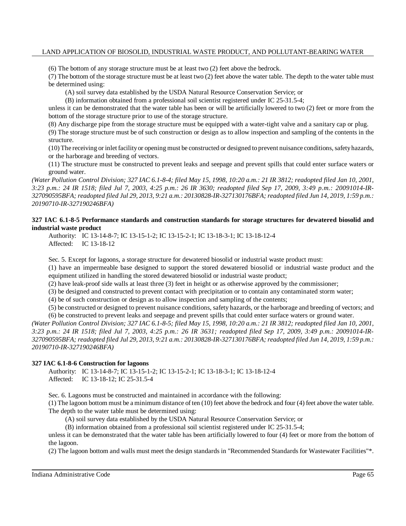(6) The bottom of any storage structure must be at least two (2) feet above the bedrock.

(7) The bottom of the storage structure must be at least two (2) feet above the water table. The depth to the water table must be determined using:

(A) soil survey data established by the USDA Natural Resource Conservation Service; or

(B) information obtained from a professional soil scientist registered under IC 25-31.5-4;

unless it can be demonstrated that the water table has been or will be artificially lowered to two (2) feet or more from the bottom of the storage structure prior to use of the storage structure.

(8) Any discharge pipe from the storage structure must be equipped with a water-tight valve and a sanitary cap or plug.

(9) The storage structure must be of such construction or design as to allow inspection and sampling of the contents in the structure.

(10) The receiving or inlet facilityor opening must be constructed or designed to prevent nuisance conditions,safetyhazards, or the harborage and breeding of vectors.

(11) The structure must be constructed to prevent leaks and seepage and prevent spills that could enter surface waters or ground water.

(Water Pollution Control Division; 327 IAC 6.1-8-4; filed May 15, 1998, 10:20 a.m.: 21 IR 3812; readopted filed Jan 10, 2001, 3:23 p.m.: 24 IR 1518; filed Jul 7, 2003, 4:25 p.m.: 26 IR 3630; readopted filed Sep 17, 2009, 3:49 p.m.: 20091014-IR-327090595BFA; readopted filed Jul 29, 2013, 9:21 a.m.: 20130828-IR-327130176BFA; readopted filed Jun 14, 2019, 1:59 p.m.: *20190710-IR-327190246BFA)*

## **327 IAC 6.1-8-5 Performance standards and construction standards for storage structures for dewatered biosolid and industrial waste product**

Authority: IC 13-14-8-7; IC 13-15-1-2; IC 13-15-2-1; IC 13-18-3-1; IC 13-18-12-4 Affected: IC 13-18-12

Sec. 5. Except for lagoons, a storage structure for dewatered biosolid or industrial waste product must:

(1) have an impermeable base designed to support the stored dewatered biosolid or industrial waste product and the equipment utilized in handling the stored dewatered biosolid or industrial waste product;

(2) have leak-proof side walls at least three (3) feet in height or as otherwise approved by the commissioner;

(3) be designed and constructed to prevent contact with precipitation or to contain any contaminated storm water;

(4) be of such construction or design as to allow inspection and sampling of the contents;

(5) be constructed or designed to prevent nuisance conditions, safety hazards, or the harborage and breeding of vectors; and

(6) be constructed to prevent leaks and seepage and prevent spills that could enter surface waters or ground water. (Water Pollution Control Division; 327 IAC 6.1-8-5; filed May 15, 1998, 10:20 a.m.: 21 IR 3812; readopted filed Jan 10, 2001,

*3:23 p.m.: 24 IR 1518; filed Jul 7, 2003, 4:25 p.m.: 26 IR 3631; readopted filed Sep 17, 2009, 3:49 p.m.: 20091014-IR-*327090595BFA; readopted filed Jul 29, 2013, 9:21 a.m.: 20130828-IR-327130176BFA; readopted filed Jun 14, 2019, 1:59 p.m.: *20190710-IR-327190246BFA)*

## **327 IAC 6.1-8-6 Construction for lagoons**

Authority: IC 13-14-8-7; IC 13-15-1-2; IC 13-15-2-1; IC 13-18-3-1; IC 13-18-12-4 Affected: IC 13-18-12; IC 25-31.5-4

Sec. 6. Lagoons must be constructed and maintained in accordance with the following:

(1) The lagoon bottom must be a minimum distance of ten (10) feet above the bedrock and four (4) feet above the water table. The depth to the water table must be determined using:

(A) soil survey data established by the USDA Natural Resource Conservation Service; or

(B) information obtained from a professional soil scientist registered under IC 25-31.5-4;

unless it can be demonstrated that the water table has been artificially lowered to four (4) feet or more from the bottom of the lagoon.

(2) The lagoon bottom and walls must meet the design standards in "Recommended Standards for Wastewater Facilities"\*.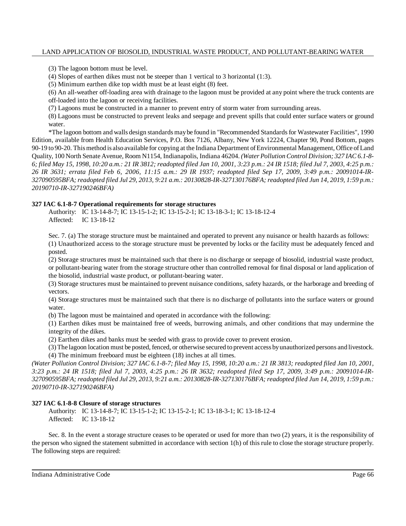(3) The lagoon bottom must be level.

(4) Slopes of earthen dikes must not be steeper than 1 vertical to 3 horizontal (1:3).

(5) Minimum earthen dike top width must be at least eight (8) feet.

(6) An all-weather off-loading area with drainage to the lagoon must be provided at any point where the truck contents are off-loaded into the lagoon or receiving facilities.

(7) Lagoons must be constructed in a manner to prevent entry of storm water from surrounding areas.

(8) Lagoons must be constructed to prevent leaks and seepage and prevent spills that could enter surface waters or ground water.

\*The lagoon bottom and walls design standards maybe found in "Recommended Standardsfor Wastewater Facilities", 1990 Edition, available from Health Education Services, P.O. Box 7126, Albany, New York 12224, Chapter 90, Pond Bottom, pages 90-19 to 90-20. Thismethod is alsoavailable for copying at the Indiana Department ofEnvironmental Management, Office ofLand Quality, 100 North Senate Avenue, Room N1154, Indianapolis, Indiana 46204. *(Water Pollution Control Division; 327 IAC 6.1-8-* 6; filed May 15, 1998, 10:20 a.m.: 21 IR 3812; readopted filed Jan 10, 2001, 3:23 p.m.: 24 IR 1518; filed Jul 7, 2003, 4:25 p.m.: *26 IR 3631; errata filed Feb 6, 2006, 11:15 a.m.: 29 IR 1937; readopted filed Sep 17, 2009, 3:49 p.m.: 20091014-IR-*327090595BFA; readopted filed Jul 29, 2013, 9:21 a.m.: 20130828-IR-327130176BFA; readopted filed Jun 14, 2019, 1:59 p.m.: *20190710-IR-327190246BFA)*

#### **327 IAC 6.1-8-7 Operational requirements for storage structures**

Authority: IC 13-14-8-7; IC 13-15-1-2; IC 13-15-2-1; IC 13-18-3-1; IC 13-18-12-4 Affected: IC 13-18-12

Sec. 7. (a) The storage structure must be maintained and operated to prevent any nuisance or health hazards as follows:

(1) Unauthorized access to the storage structure must be prevented by locks or the facility must be adequately fenced and posted.

(2) Storage structures must be maintained such that there is no discharge or seepage of biosolid, industrial waste product, or pollutant-bearing water from the storage structure other than controlled removal for final disposal or land application of the biosolid, industrial waste product, or pollutant-bearing water.

(3) Storage structures must be maintained to prevent nuisance conditions, safety hazards, or the harborage and breeding of vectors.

(4) Storage structures must be maintained such that there is no discharge of pollutants into the surface waters or ground water.

(b) The lagoon must be maintained and operated in accordance with the following:

(1) Earthen dikes must be maintained free of weeds, burrowing animals, and other conditions that may undermine the integrity of the dikes.

(2) Earthen dikes and banks must be seeded with grass to provide cover to prevent erosion.

(3)The lagoon location must be posted, fenced, or otherwise secured to prevent access byunauthorized persons and livestock. (4) The minimum freeboard must be eighteen (18) inches at all times.

(Water Pollution Control Division; 327 IAC 6.1-8-7; filed May 15, 1998, 10:20 a.m.: 21 IR 3813; readopted filed Jan 10, 2001, *3:23 p.m.: 24 IR 1518; filed Jul 7, 2003, 4:25 p.m.: 26 IR 3632; readopted filed Sep 17, 2009, 3:49 p.m.: 20091014-IR-*327090595BFA; readopted filed Jul 29, 2013, 9:21 a.m.: 20130828-IR-327130176BFA; readopted filed Jun 14, 2019, 1:59 p.m.: *20190710-IR-327190246BFA)*

## **327 IAC 6.1-8-8 Closure of storage structures**

Authority: IC 13-14-8-7; IC 13-15-1-2; IC 13-15-2-1; IC 13-18-3-1; IC 13-18-12-4 Affected: IC 13-18-12

Sec. 8. In the event a storage structure ceases to be operated or used for more than two (2) years, it is the responsibility of the person who signed the statement submitted in accordance with section 1(h) of this rule to close the storage structure properly. The following steps are required: